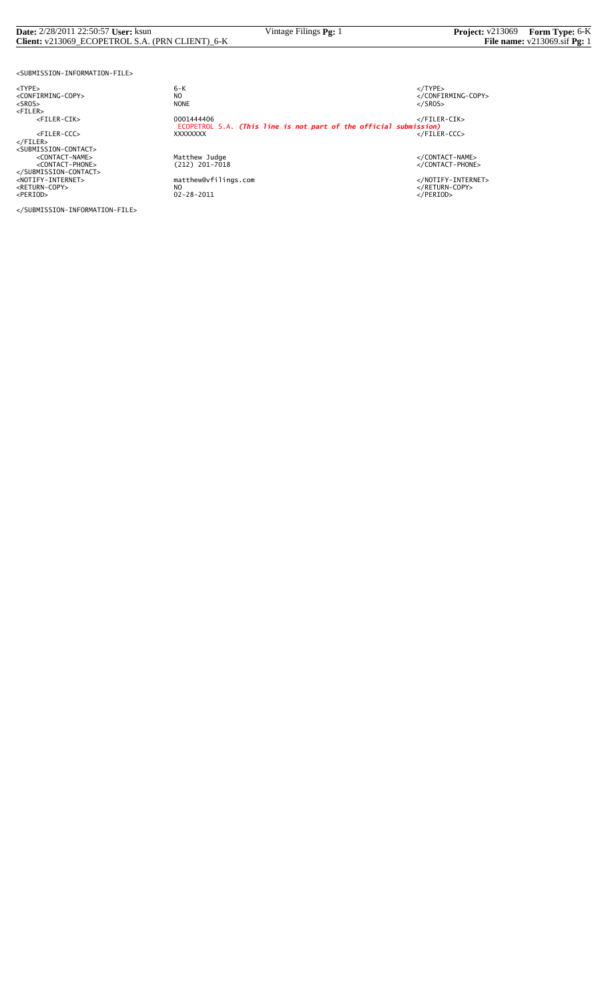#### **Date:** 2/28/2011 22:50:57 **User:** ksun Vintage Filings **Pg:** 1 **Project:** v213069 **Form Type:** 6-K **Client:** v213069\_ECOPETROL S.A. (PRN CLIENT)\_6-K **File name:** v213069.sif **Pg:** 1

<SUBMISSION-INFORMATION-FILE>

</SUBMISSION-INFORMATION-FILE>

<TYPE> 6-K </TYPE>  $6 - K$ NO<br>
NO<br>
NONE<br>
NONE<br>
NONE<br>
S/SROS> <SROS> NONE </SROS> <FILER> <FILER-CIK> 0001444406 </FILER-CIK> ECOPETROL S.A. *(This line is not part of the official submission)* <FILER-CCC> XXXXXXXX </FILER-CCC> </FILER> <SUBMISSION-CONTACT> <CONTACT-NAME> Matthew Judge </CONTACT-NAME> <CONTACT-PHONE> (212) 201-7018 </CONTACT-PHONE> </SUBMISSION-CONTACT> <NOTIFY-INTERNET> matthew@vfilings.com </NOTIFY-INTERNET> <RETURN-COPY> NO </RETURN-COPY> <PERIOD> 02-28-2011 </PERIOD>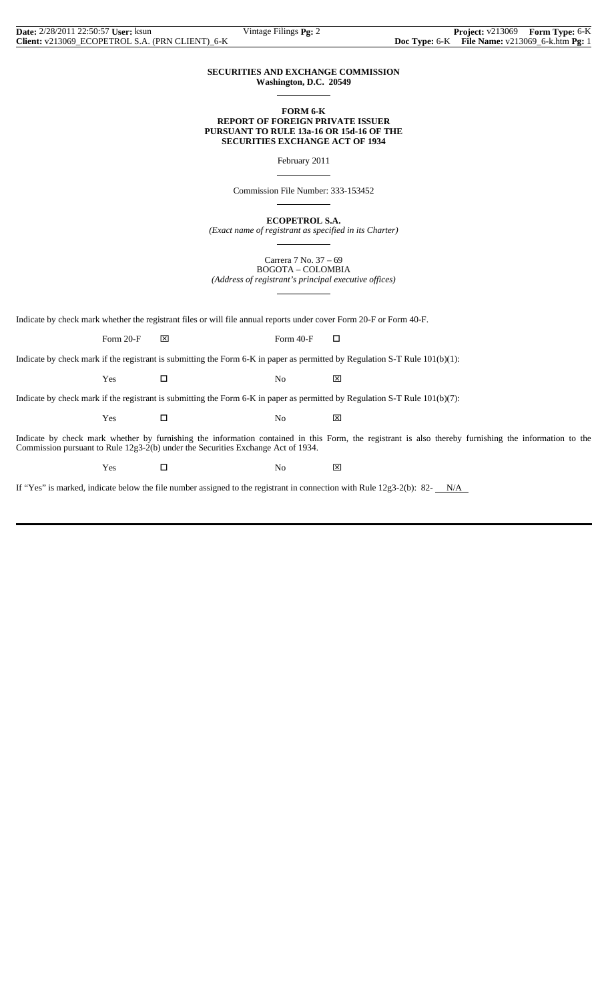#### **SECURITIES AND EXCHANGE COMMISSION Washington, D.C. 20549**

 $\overline{a}$ 

 $\overline{a}$ 

 $\overline{a}$ 

 $\overline{a}$ 

#### **FORM 6-K REPORT OF FOREIGN PRIVATE ISSUER PURSUANT TO RULE 13a-16 OR 15d-16 OF THE SECURITIES EXCHANGE ACT OF 1934**

February 2011

Commission File Number: 333-153452

**ECOPETROL S.A.**

*(Exact name of registrant as specified in its Charter)*  $\overline{a}$ 

> Carrera 7 No. 37 – 69 BOGOTA – COLOMBIA

*(Address of registrant's principal executive offices)*

Indicate by check mark whether the registrant files or will file annual reports under cover Form 20-F or Form 40-F.

Form 20-F  $\boxtimes$  Form 40-F  $\Box$ 

Indicate by check mark if the registrant is submitting the Form 6-K in paper as permitted by Regulation S-T Rule 101(b)(1):

 $Yes$   $\Box$  No  $\boxtimes$ 

Indicate by check mark if the registrant is submitting the Form 6-K in paper as permitted by Regulation S-T Rule 101(b)(7):

 $Yes$   $\Box$  No  $\boxtimes$ 

Indicate by check mark whether by furnishing the information contained in this Form, the registrant is also thereby furnishing the information to the Commission pursuant to Rule 12g3-2(b) under the Securities Exchange Act of 1934.

Yes □ No ⊠

If "Yes" is marked, indicate below the file number assigned to the registrant in connection with Rule  $12g3-2(b)$ : 82- $N/A$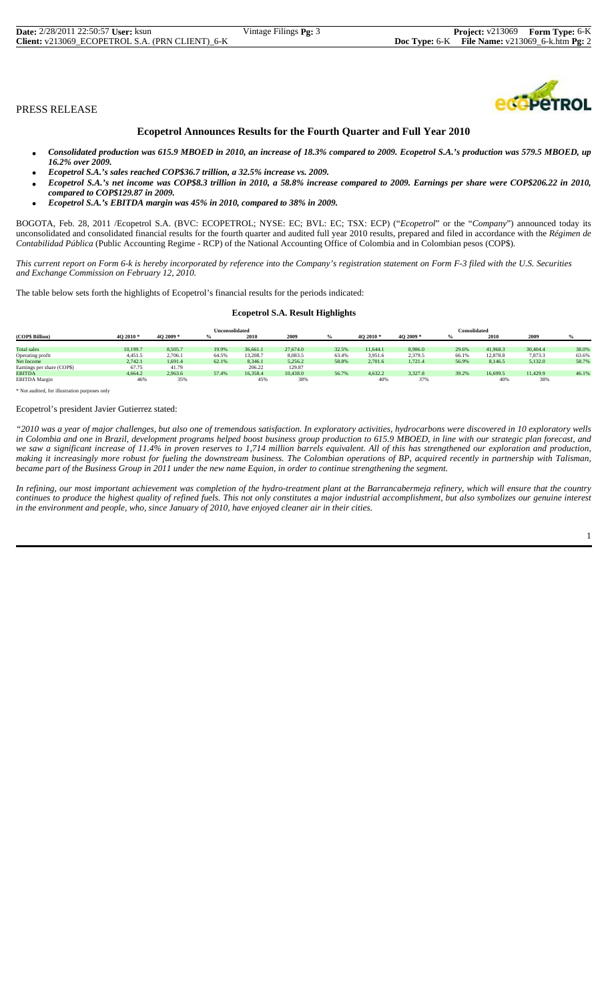# **Ecopetrol Announces Results for the Fourth Quarter and Full Year 2010**

- *Consolidated production was 615.9 MBOED in 2010, an increase of 18.3% compared to 2009. Ecopetrol S.A.'s production was 579.5 MBOED, up 16.2% over 2009.*
- *Ecopetrol S.A.'s sales reached COP\$36.7 trillion, a 32.5% increase vs. 2009.*
- *Ecopetrol S.A.'s net income was COP\$8.3 trillion in 2010, a 58.8% increase compared to 2009. Earnings per share were COP\$206.22 in 2010, compared to COP\$129.87 in 2009.*
- *Ecopetrol S.A.'s EBITDA margin was 45% in 2010, compared to 38% in 2009.*

BOGOTA, Feb. 28, 2011 /Ecopetrol S.A. (BVC: ECOPETROL; NYSE: EC; BVL: EC; TSX: ECP) ("*Ecopetrol*" or the "*Company*") announced today its unconsolidated and consolidated financial results for the fourth quarter and audited full year 2010 results, prepared and filed in accordance with the *Régimen de Contabilidad Pública* (Public Accounting Regime - RCP) of the National Accounting Office of Colombia and in Colombian pesos (COP\$).

*This current report on Form 6-k is hereby incorporated by reference into the Company's registration statement on Form F-3 filed with the U.S. Securities and Exchange Commission on February 12, 2010.*

The table below sets forth the highlights of Ecopetrol's financial results for the periods indicated:

#### **Ecopetrol S.A. Result Highlights**

|                            | Unconsolidated |           |       |          |          |       |           | <b>Consolidated</b> |               |          |          |       |  |
|----------------------------|----------------|-----------|-------|----------|----------|-------|-----------|---------------------|---------------|----------|----------|-------|--|
| (COP\$ Billion)            | 4O 2010 *      | 4O 2009 * |       | 2010     | 2009     |       | 4O 2010 * | 4O 2009 *           | $\frac{0}{2}$ | 2010     | 2009     |       |  |
|                            |                |           |       |          |          |       |           |                     |               |          |          |       |  |
| <b>Total sales</b>         | 10,199.7       | 8,505.7   | 19.9% | 36,661.1 | 27,674.0 | 32.5% | 11,644.1  | 8,986.0             | 29.6%         | 41.968.3 | 30,404.4 | 38.0% |  |
| Operating profit           | 4.451.5        | 2,706.1   | 64.5% | 13,208.7 | 8.083.5  | 63.4% | 3.951.6   | 2.379.5             | 66.1%         | 12,878.8 | 7,873.3  | 63.6% |  |
| Net Income                 | 2,742.1        | 1,691.4   | 62.1% | 8.346.1  | 5.256.2  | 58.8% | 2.701.6   | 1.721.4             | 56.9%         | 8,146.5  | 5,132.0  | 58.7% |  |
| Earnings per share (COP\$) | 67.75          | 41.79     |       | 206.22   | 129.87   |       |           |                     |               |          |          |       |  |
| <b>EBITDA</b>              | 4.664.2        | 2.963.6   | 57.4% | 16.358.4 | 10.438.0 | 56.7% | 4.632.2   | 3.327.8             | 39.2%         | 16,699.5 | 11.429.9 | 46.1% |  |
| <b>EBITDA</b> Margin       | 46%            | 35%       |       | 45%      | 38%      |       | 40%       | 37%                 |               | 40%      | 38%      |       |  |

\* Not audited, for illustration purposes only

#### Ecopetrol's president Javier Gutierrez stated:

*"2010 was a year of major challenges, but also one of tremendous satisfaction. In exploratory activities, hydrocarbons were discovered in 10 exploratory wells in Colombia and one in Brazil, development programs helped boost business group production to 615.9 MBOED, in line with our strategic plan forecast, and we saw a significant increase of 11.4% in proven reserves to 1,714 million barrels equivalent. All of this has strengthened our exploration and production, making it increasingly more robust for fueling the downstream business. The Colombian operations of BP, acquired recently in partnership with Talisman, became part of the Business Group in 2011 under the new name Equion, in order to continue strengthening the segment.*

*In refining, our most important achievement was completion of the hydro-treatment plant at the Barrancabermeja refinery, which will ensure that the country continues to produce the highest quality of refined fuels. This not only constitutes a major industrial accomplishment, but also symbolizes our genuine interest in the environment and people, who, since January of 2010, have enjoyed cleaner air in their cities.*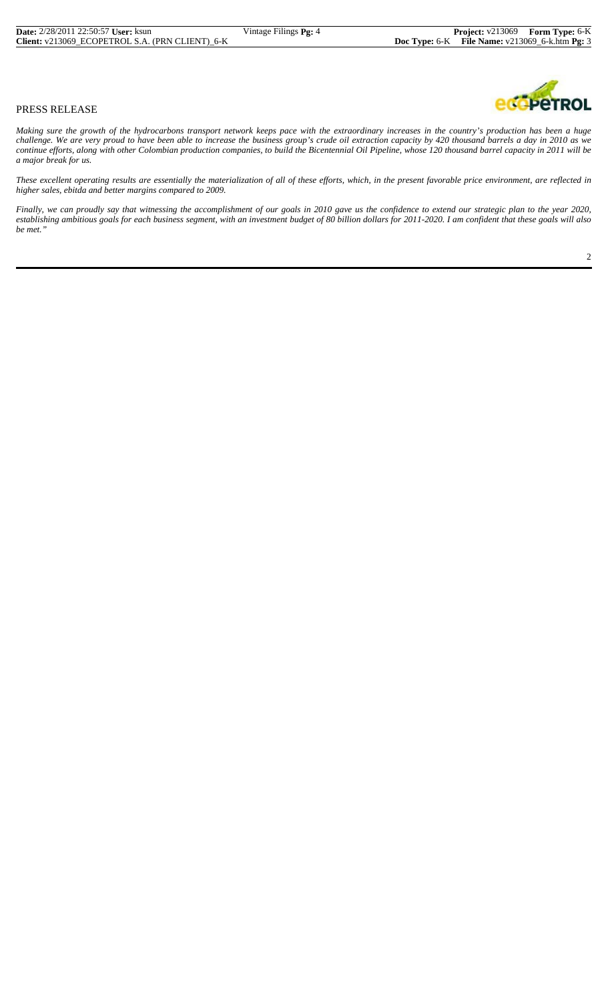*Making sure the growth of the hydrocarbons transport network keeps pace with the extraordinary increases in the country's production has been a huge challenge. We are very proud to have been able to increase the business group's crude oil extraction capacity by 420 thousand barrels a day in 2010 as we continue efforts, along with other Colombian production companies, to build the Bicentennial Oil Pipeline, whose 120 thousand barrel capacity in 2011 will be a major break for us.*

*These excellent operating results are essentially the materialization of all of these efforts, which, in the present favorable price environment, are reflected in higher sales, ebitda and better margins compared to 2009.*

*Finally, we can proudly say that witnessing the accomplishment of our goals in 2010 gave us the confidence to extend our strategic plan to the year 2020, establishing ambitious goals for each business segment, with an investment budget of 80 billion dollars for 2011-2020. I am confident that these goals will also be met."*

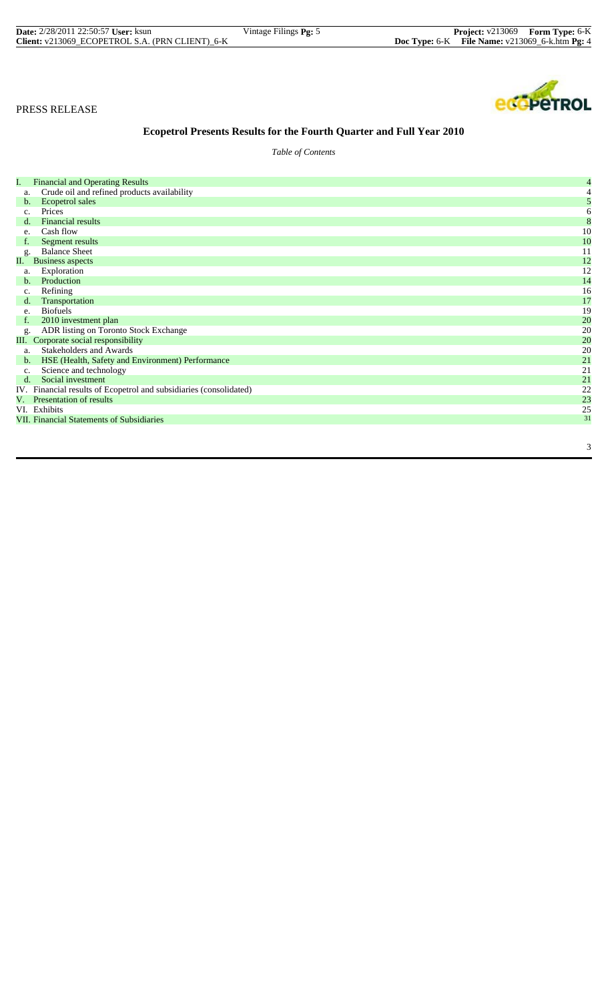| <b>Date:</b> 2/28/2011 22:50:57 <b>User:</b> ksun | Vintage Filings <b>Pg:</b> 5 | <b>Project:</b> v213069 Form Type: 6-K              |  |
|---------------------------------------------------|------------------------------|-----------------------------------------------------|--|
| Client: v213069 ECOPETROL S.A. (PRN CLIENT) 6-K   |                              | Doc Type: $6-K$ File Name: $v213069_6$ -k.htm Pg: 4 |  |



# **Ecopetrol Presents Results for the Fourth Quarter and Full Year 2010**

*Table of Contents*

| Ι.             | <b>Financial and Operating Results</b>                             | 4  |
|----------------|--------------------------------------------------------------------|----|
| a.             | Crude oil and refined products availability                        | 4  |
| b.             | Ecopetrol sales                                                    | 5  |
| c.             | Prices                                                             | 6  |
| d.             | <b>Financial results</b>                                           | 8  |
| e.             | Cash flow                                                          | 10 |
|                | Segment results                                                    | 10 |
| g.             | <b>Balance Sheet</b>                                               | 11 |
| П.             | <b>Business aspects</b>                                            | 12 |
| a.             | Exploration                                                        | 12 |
| b.             | Production                                                         | 14 |
| c.             | Refining                                                           | 16 |
| $d_{\cdot}$    | Transportation                                                     | 17 |
| e.             | <b>Biofuels</b>                                                    | 19 |
|                | 2010 investment plan                                               | 20 |
| g.             | ADR listing on Toronto Stock Exchange                              | 20 |
|                | III. Corporate social responsibility                               | 20 |
| a.             | Stakeholders and Awards                                            | 20 |
| $\mathbf{b}$ . | HSE (Health, Safety and Environment) Performance                   | 21 |
| $\mathbf{c}$ . | Science and technology                                             | 21 |
| $d_{\cdot}$    | Social investment                                                  | 21 |
|                | IV. Financial results of Ecopetrol and subsidiaries (consolidated) | 22 |
| V.             | Presentation of results                                            | 23 |
|                | VI. Exhibits                                                       | 25 |
|                | <b>VII. Financial Statements of Subsidiaries</b>                   | 31 |
|                |                                                                    |    |
|                |                                                                    |    |
|                |                                                                    | 3  |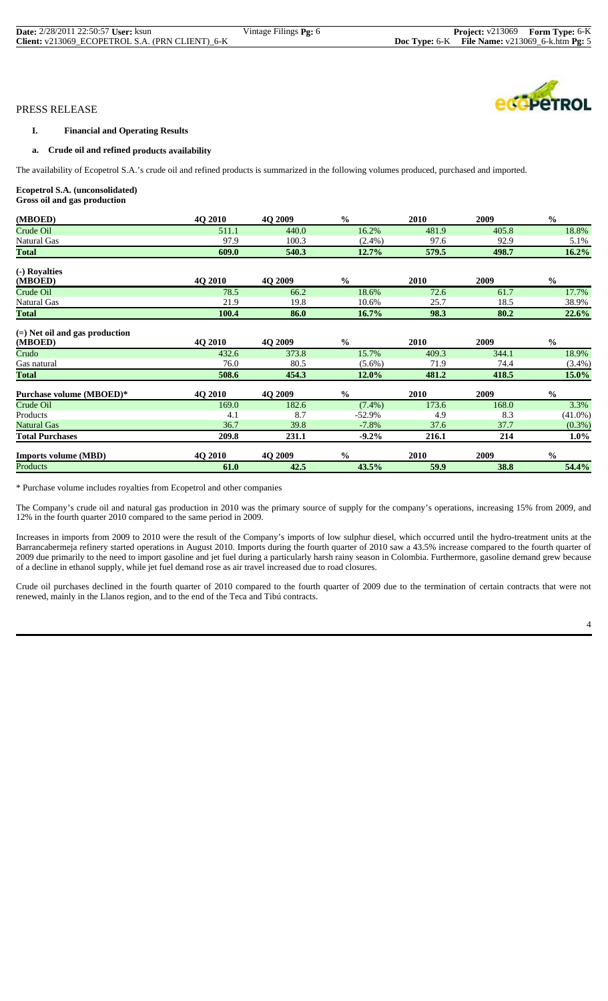## **I. Financial and Operating Results**

#### **a. Crude oil and refined products availability**

The availability of Ecopetrol S.A.'s crude oil and refined products is summarized in the following volumes produced, purchased and imported.

# **Ecopetrol S.A. (unconsolidated)**

**Gross oil and gas production**

| (MBOED)                                     | 4O 2010        | 4Q 2009        | $\frac{0}{0}$ | 2010        | 2009  | $\frac{0}{0}$ |
|---------------------------------------------|----------------|----------------|---------------|-------------|-------|---------------|
| Crude Oil                                   | 511.1          | 440.0          | 16.2%         | 481.9       | 405.8 | 18.8%         |
| Natural Gas                                 | 97.9           | 100.3          | $(2.4\%)$     | 97.6        | 92.9  | 5.1%          |
| <b>Total</b>                                | 609.0          | 540.3          | 12.7%         | 579.5       | 498.7 | 16.2%         |
| (-) Royalties                               |                |                |               |             |       |               |
| (MBOED)                                     | 4Q 2010        | 4Q 2009        | $\frac{0}{0}$ | <b>2010</b> | 2009  | $\frac{0}{0}$ |
| Crude Oil                                   | 78.5           | 66.2           | 18.6%         | 72.6        | 61.7  | 17.7%         |
| Natural Gas                                 | 21.9           | 19.8           | 10.6%         | 25.7        | 18.5  | 38.9%         |
| <b>Total</b>                                | 100.4          | 86.0           | 16.7%         | 98.3        | 80.2  | 22.6%         |
| $(=)$ Net oil and gas production<br>(MBOED) | 4Q 2010        | 4O 2009        | $\frac{0}{0}$ | 2010        | 2009  | $\frac{0}{0}$ |
| Crudo                                       | 432.6          | 373.8          | 15.7%         | 409.3       | 344.1 | 18.9%         |
| Gas natural                                 | 76.0           | 80.5           | $(5.6\%)$     | 71.9        | 74.4  | $(3.4\%)$     |
| <b>Total</b>                                | 508.6          | 454.3          | 12.0%         | 481.2       | 418.5 | 15.0%         |
| Purchase volume (MBOED)*                    | <b>40 2010</b> | <b>40 2009</b> | $\frac{0}{0}$ | 2010        | 2009  | $\frac{0}{0}$ |
| Crude Oil                                   | 169.0          | 182.6          | $(7.4\%)$     | 173.6       | 168.0 | 3.3%          |
| Products                                    | 4.1            | 8.7            | $-52.9%$      | 4.9         | 8.3   | $(41.0\%)$    |
| <b>Natural Gas</b>                          | 36.7           | 39.8           | $-7.8%$       | 37.6        | 37.7  | $(0.3\%)$     |
| <b>Total Purchases</b>                      | 209.8          | 231.1          | $-9.2\%$      | 216.1       | 214   | $1.0\%$       |
| <b>Imports volume (MBD)</b>                 | 4Q 2010        | 4Q 2009        | $\frac{0}{0}$ | 2010        | 2009  | $\frac{0}{0}$ |
| Products                                    | 61.0           | 42.5           | 43.5%         | 59.9        | 38.8  | 54.4%         |

\* Purchase volume includes royalties from Ecopetrol and other companies

The Company's crude oil and natural gas production in 2010 was the primary source of supply for the company's operations, increasing 15% from 2009, and 12% in the fourth quarter 2010 compared to the same period in 2009.

Increases in imports from 2009 to 2010 were the result of the Company's imports of low sulphur diesel, which occurred until the hydro-treatment units at the Barrancabermeja refinery started operations in August 2010. Imports during the fourth quarter of 2010 saw a 43.5% increase compared to the fourth quarter of 2009 due primarily to the need to import gasoline and jet fuel during a particularly harsh rainy season in Colombia. Furthermore, gasoline demand grew because of a decline in ethanol supply, while jet fuel demand rose as air travel increased due to road closures.

Crude oil purchases declined in the fourth quarter of 2010 compared to the fourth quarter of 2009 due to the termination of certain contracts that were not renewed, mainly in the Llanos region, and to the end of the Teca and Tibú contracts.

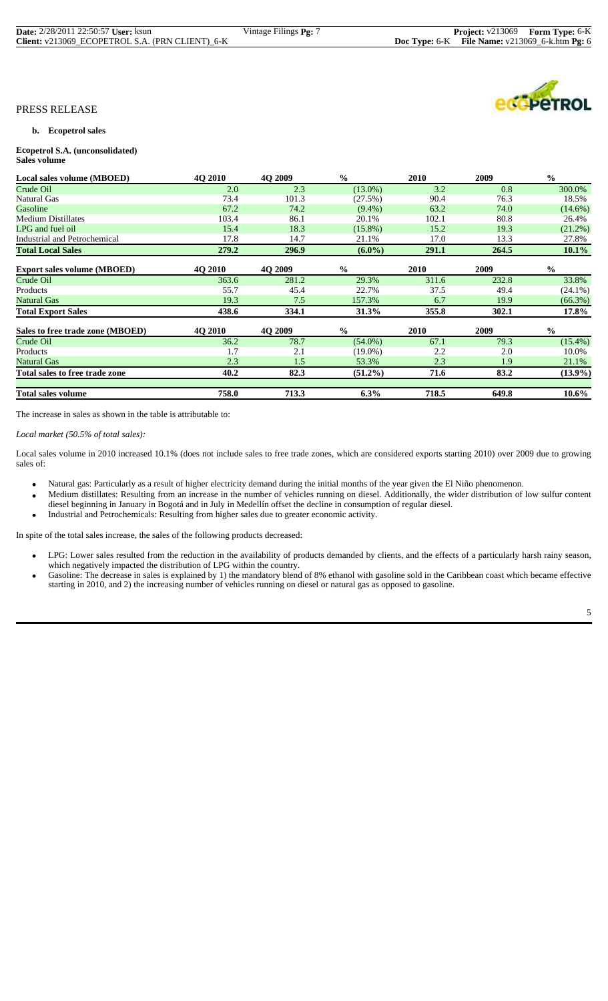| <b>Date:</b> 2/28/2011 22:50:57 <b>User:</b> ksun | Vintage Filings Pg: 7 |
|---------------------------------------------------|-----------------------|
| Client: v213069 ECOPETROL S.A. (PRN CLIENT) 6-K   |                       |

#### **b. Ecopetrol sales**

#### **Ecopetrol S.A. (unconsolidated) Sales volume**

| Local sales volume (MBOED)         | 4Q 2010        | 4Q 2009 | $\frac{6}{6}$ | <b>2010</b> | 2009  | $\frac{0}{0}$ |
|------------------------------------|----------------|---------|---------------|-------------|-------|---------------|
| Crude Oil                          | 2.0            | 2.3     | $(13.0\%)$    | 3.2         | 0.8   | 300.0%        |
| Natural Gas                        | 73.4           | 101.3   | (27.5%)       | 90.4        | 76.3  | 18.5%         |
| Gasoline                           | 67.2           | 74.2    | $(9.4\%)$     | 63.2        | 74.0  | $(14.6\%)$    |
| <b>Medium Distillates</b>          | 103.4          | 86.1    | 20.1%         | 102.1       | 80.8  | 26.4%         |
| LPG and fuel oil                   | 15.4           | 18.3    | $(15.8\%)$    | 15.2        | 19.3  | $(21.2\%)$    |
| Industrial and Petrochemical       | 17.8           | 14.7    | 21.1%         | 17.0        | 13.3  | 27.8%         |
| <b>Total Local Sales</b>           | 279.2          | 296.9   | $(6.0\%)$     | 291.1       | 264.5 | $10.1\%$      |
| <b>Export sales volume (MBOED)</b> | <b>40 2010</b> | 4Q 2009 | $\frac{0}{0}$ | <b>2010</b> | 2009  | $\frac{0}{0}$ |
| Crude Oil                          | 363.6          | 281.2   | 29.3%         | 311.6       | 232.8 | 33.8%         |
| Products                           | 55.7           | 45.4    | 22.7%         | 37.5        | 49.4  | $(24.1\%)$    |
| Natural Gas                        | 19.3           | 7.5     | 157.3%        | 6.7         | 19.9  | $(66.3\%)$    |
| <b>Total Export Sales</b>          | 438.6          | 334.1   | 31.3%         | 355.8       | 302.1 | 17.8%         |
| Sales to free trade zone (MBOED)   | <b>40 2010</b> | 4O 2009 | $\frac{0}{0}$ | <b>2010</b> | 2009  | $\frac{0}{0}$ |
| Crude Oil                          | 36.2           | 78.7    | $(54.0\%)$    | 67.1        | 79.3  | $(15.4\%)$    |
| Products                           | 1.7            | 2.1     | $(19.0\%)$    | 2.2         | 2.0   | 10.0%         |
| <b>Natural Gas</b>                 | 2.3            | 1.5     | 53.3%         | 2.3         | 1.9   | 21.1%         |
| Total sales to free trade zone     | 40.2           | 82.3    | $(51.2\%)$    | 71.6        | 83.2  | $(13.9\%)$    |
| <b>Total sales volume</b>          | 758.0          | 713.3   | 6.3%          | 718.5       | 649.8 | $10.6\%$      |

The increase in sales as shown in the table is attributable to:

*Local market (50.5% of total sales):*

Local sales volume in 2010 increased 10.1% (does not include sales to free trade zones, which are considered exports starting 2010) over 2009 due to growing sales of:

- Natural gas: Particularly as a result of higher electricity demand during the initial months of the year given the El Niño phenomenon.
- Medium distillates: Resulting from an increase in the number of vehicles running on diesel. Additionally, the wider distribution of low sulfur content diesel beginning in January in Bogotá and in July in Medellín offset the decline in consumption of regular diesel.
- Industrial and Petrochemicals: Resulting from higher sales due to greater economic activity.

In spite of the total sales increase, the sales of the following products decreased:

- LPG: Lower sales resulted from the reduction in the availability of products demanded by clients, and the effects of a particularly harsh rainy season,
	- which negatively impacted the distribution of LPG within the country.<br>Gasoline: The decrease in sales is explained by 1) the mandatory blend of 8% ethanol with gasoline sold in the Caribbean coast which became effective starting in 2010, and 2) the increasing number of vehicles running on diesel or natural gas as opposed to gasoline.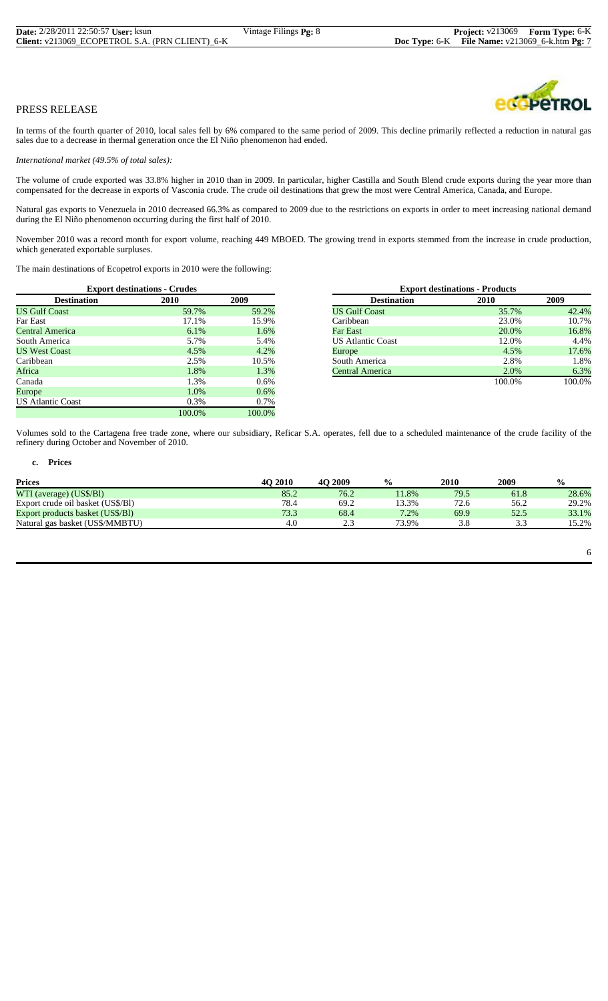# COPETROL

# PRESS RELEASE

In terms of the fourth quarter of 2010, local sales fell by 6% compared to the same period of 2009. This decline primarily reflected a reduction in natural gas sales due to a decrease in thermal generation once the El Niño phenomenon had ended.

*International market (49.5% of total sales):*

The volume of crude exported was 33.8% higher in 2010 than in 2009. In particular, higher Castilla and South Blend crude exports during the year more than compensated for the decrease in exports of Vasconia crude. The crude oil destinations that grew the most were Central America, Canada, and Europe.

Natural gas exports to Venezuela in 2010 decreased 66.3% as compared to 2009 due to the restrictions on exports in order to meet increasing national demand during the El Niño phenomenon occurring during the first half of 2010.

November 2010 was a record month for export volume, reaching 449 MBOED. The growing trend in exports stemmed from the increase in crude production, which generated exportable surpluses.

The main destinations of Ecopetrol exports in 2010 were the following:

|                          | <b>Export destinations - Crudes</b> |        |                          | <b>Export destinations - Products</b> |        |
|--------------------------|-------------------------------------|--------|--------------------------|---------------------------------------|--------|
| <b>Destination</b>       | <b>2010</b>                         | 2009   | <b>Destination</b>       | 2010                                  | 2009   |
| <b>US Gulf Coast</b>     | 59.7%                               | 59.2%  | <b>US Gulf Coast</b>     | 35.7%                                 | 42.4%  |
| Far East                 | 17.1%                               | 15.9%  | Caribbean                | 23.0%                                 | 10.7%  |
| Central America          | $6.1\%$                             | 1.6%   | Far East                 | 20.0%                                 | 16.8%  |
| South America            | 5.7%                                | 5.4%   | <b>US Atlantic Coast</b> | 12.0%                                 | 4.4%   |
| <b>US West Coast</b>     | 4.5%                                | 4.2%   | Europe                   | 4.5%                                  | 17.6%  |
| Caribbean                | 2.5%                                | 10.5%  | South America            | 2.8%                                  | 1.8%   |
| Africa                   | 1.8%                                | 1.3%   | Central America          | 2.0%                                  | 6.3%   |
| Canada                   | l.3%                                | 0.6%   |                          | 100.0%                                | 100.0% |
| Europe                   | 1.0%                                | 0.6%   |                          |                                       |        |
| <b>US Atlantic Coast</b> | 0.3%                                | 0.7%   |                          |                                       |        |
|                          | 100.0%                              | 100.0% |                          |                                       |        |

|                    | <b>Export destinations - Crudes</b> |       |                          | <b>Export destinations - Products</b> |  |  |
|--------------------|-------------------------------------|-------|--------------------------|---------------------------------------|--|--|
| <b>Destination</b> | 2010                                | 2009  | <b>Destination</b>       | 2010                                  |  |  |
| oast               | 59.7%                               | 59.2% | <b>US Gulf Coast</b>     | 35.7%                                 |  |  |
|                    | 17.1%                               | 15.9% | Caribbean                | 23.0%                                 |  |  |
| nerica             | $6.1\%$                             | 1.6%  | Far East                 | 20.0%                                 |  |  |
| erica              | 5.7%                                | 5.4%  | <b>US Atlantic Coast</b> | 12.0%                                 |  |  |
| `oast              | 4.5%                                | 4.2%  | Europe                   | 4.5%                                  |  |  |
|                    | 2.5%                                | 10.5% | South America            | 2.8%                                  |  |  |
|                    | 1.8%                                | 1.3%  | Central America          | 2.0%                                  |  |  |
|                    | 1.3%                                | 0.6%  |                          | 100.0%                                |  |  |

Volumes sold to the Cartagena free trade zone, where our subsidiary, Reficar S.A. operates, fell due to a scheduled maintenance of the crude facility of the refinery during October and November of 2010.

#### **c. Prices**

| <b>40 2010</b> | <b>40 2009</b> | $\frac{0}{0}$ | 2010 | 2009 | $\frac{0}{0}$ |
|----------------|----------------|---------------|------|------|---------------|
| 85.2           | 76.2           | 11.8%         | 79.5 | 61.8 | 28.6%         |
| 78.4           | 69.2           | 13.3%         | 72.6 | 56.2 | 29.2%         |
| 73.3           | 68.4           | 7.2%          | 69.9 | 52.5 | 33.1%         |
| 4.0            | ت ک            | 73.9%         | 3.8  | 3.3  | 15.2%         |
|                |                |               |      |      |               |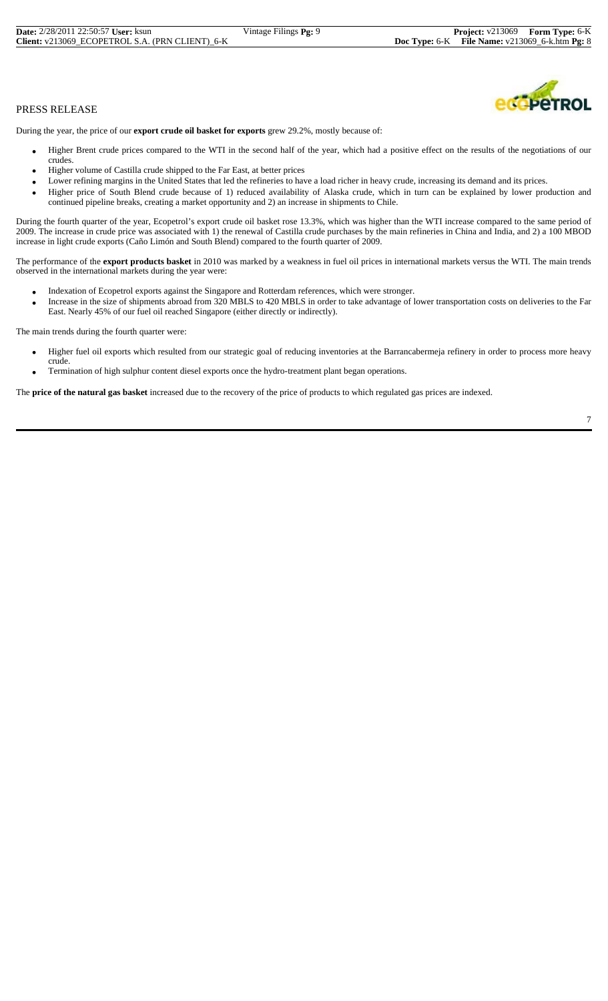During the year, the price of our **export crude oil basket for exports** grew 29.2%, mostly because of:

- Higher Brent crude prices compared to the WTI in the second half of the year, which had a positive effect on the results of the negotiations of our crudes.
- Higher volume of Castilla crude shipped to the Far East, at better prices
- Lower refining margins in the United States that led the refineries to have a load richer in heavy crude, increasing its demand and its prices.
- Higher price of South Blend crude because of 1) reduced availability of Alaska crude, which in turn can be explained by lower production and continued pipeline breaks, creating a market opportunity and 2) an increase in shipments to Chile.

During the fourth quarter of the year, Ecopetrol's export crude oil basket rose 13.3%, which was higher than the WTI increase compared to the same period of 2009. The increase in crude price was associated with 1) the renewal of Castilla crude purchases by the main refineries in China and India, and 2) a 100 MBOD increase in light crude exports (Caño Limón and South Blend) compared to the fourth quarter of 2009.

The performance of the **export products basket** in 2010 was marked by a weakness in fuel oil prices in international markets versus the WTI. The main trends observed in the international markets during the year were:

- Indexation of Ecopetrol exports against the Singapore and Rotterdam references, which were stronger.
- Increase in the size of shipments abroad from 320 MBLS to 420 MBLS in order to take advantage of lower transportation costs on deliveries to the Far East. Nearly 45% of our fuel oil reached Singapore (either directly or indirectly).

The main trends during the fourth quarter were:

- Higher fuel oil exports which resulted from our strategic goal of reducing inventories at the Barrancabermeja refinery in order to process more heavy
- crude. • Termination of high sulphur content diesel exports once the hydro-treatment plant began operations.

The **price of the natural gas basket** increased due to the recovery of the price of products to which regulated gas prices are indexed.

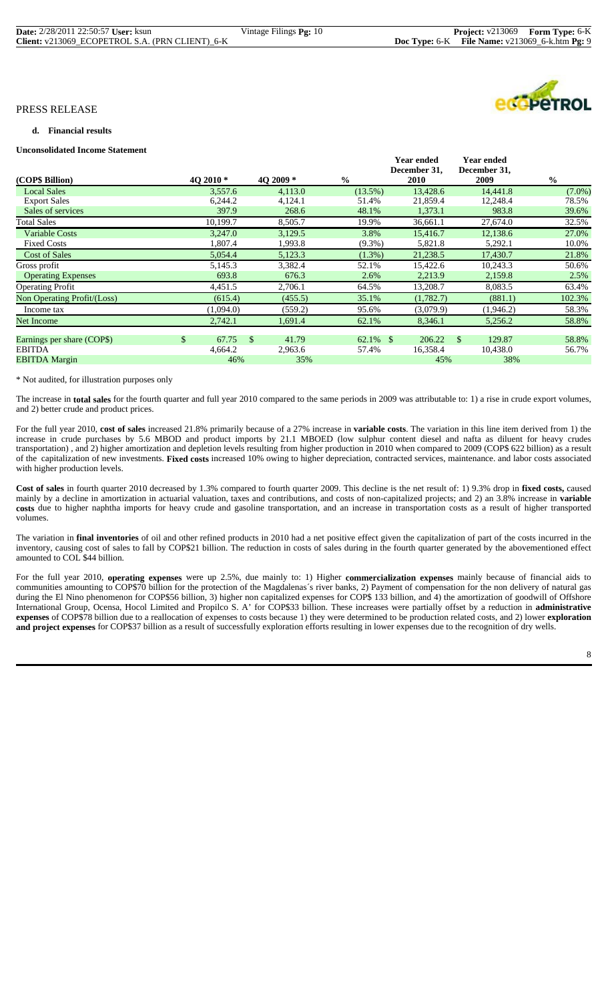**Year ended** 

**Year ended** 

# PRESS RELEASE

#### **d. Financial results**

#### **Unconsolidated Income Statement**

|           |                               |                      | $\frac{0}{0}$                        |            |       | <b>2010</b> |                                                    | 2009      | $\frac{0}{0}$                                             |
|-----------|-------------------------------|----------------------|--------------------------------------|------------|-------|-------------|----------------------------------------------------|-----------|-----------------------------------------------------------|
| 3,557.6   |                               | 4,113.0              |                                      | $(13.5\%)$ |       | 13,428.6    |                                                    | 14,441.8  | $(7.0\%)$                                                 |
| 6,244.2   |                               | 4,124.1              |                                      | 51.4%      |       | 21,859.4    |                                                    | 12,248.4  | 78.5%                                                     |
| 397.9     |                               | 268.6                |                                      | 48.1%      |       | 1,373.1     |                                                    | 983.8     | 39.6%                                                     |
| 10,199.7  |                               | 8,505.7              |                                      | 19.9%      |       | 36,661.1    |                                                    | 27,674.0  | 32.5%                                                     |
| 3,247.0   |                               | 3,129.5              |                                      | 3.8%       |       | 15,416.7    |                                                    | 12,138.6  | 27.0%                                                     |
| 1,807.4   |                               | 1,993.8              |                                      | $(9.3\%)$  |       | 5,821.8     |                                                    | 5,292.1   | 10.0%                                                     |
| 5,054.4   |                               | 5,123.3              |                                      | $(1.3\%)$  |       | 21,238.5    |                                                    | 17,430.7  | 21.8%                                                     |
| 5,145.3   |                               | 3,382.4              |                                      | 52.1%      |       | 15,422.6    |                                                    | 10,243.3  | 50.6%                                                     |
| 693.8     |                               | 676.3                |                                      | 2.6%       |       | 2,213.9     |                                                    | 2,159.8   | 2.5%                                                      |
| 4,451.5   |                               | 2,706.1              |                                      | 64.5%      |       | 13,208.7    |                                                    | 8,083.5   | 63.4%                                                     |
| (615.4)   |                               | (455.5)              |                                      | 35.1%      |       | (1,782.7)   |                                                    | (881.1)   | 102.3%                                                    |
| (1,094.0) |                               | (559.2)              |                                      | 95.6%      |       | (3,079.9)   |                                                    | (1,946.2) | 58.3%                                                     |
| 2,742.1   |                               | 1,691.4              |                                      | 62.1%      |       | 8,346.1     |                                                    | 5,256.2   | 58.8%                                                     |
|           |                               |                      |                                      |            |       |             |                                                    |           |                                                           |
|           |                               |                      |                                      |            |       |             | -S                                                 |           | 58.8%                                                     |
|           |                               |                      |                                      |            |       |             |                                                    |           | 56.7%                                                     |
|           |                               |                      |                                      |            |       |             |                                                    |           |                                                           |
| \$        | 40 2010 *<br>67.75<br>4,664.2 | <sup>\$</sup><br>46% | 4O 2009 *<br>41.79<br>2,963.6<br>35% |            | 57.4% | $62.1\%$ \$ | 1 vai viiuvu<br>December 31,<br>206.22<br>16,358.4 | 45%       | ı var viruvu<br>December 31,<br>129.87<br>10,438.0<br>38% |

#### \* Not audited, for illustration purposes only

The increase in **total sales** for the fourth quarter and full year 2010 compared to the same periods in 2009 was attributable to: 1) a rise in crude export volumes, and 2) better crude and product prices.

For the full year 2010, **cost of sales** increased 21.8% primarily because of a 27% increase in **variable costs**. The variation in this line item derived from 1) the increase in crude purchases by 5.6 MBOD and product imports by 21.1 MBOED (low sulphur content diesel and nafta as diluent for heavy crudes transportation) , and 2) higher amortization and depletion levels resulting from higher production in 2010 when compared to 2009 (COP\$ 622 billion) as a result of the capitalization of new investments. **Fixed costs** increased 10% owing to higher depreciation, contracted services, maintenance. and labor costs associated with higher production levels.

**Cost of sales** in fourth quarter 2010 decreased by 1.3% compared to fourth quarter 2009. This decline is the net result of: 1) 9.3% drop in **fixed costs,** caused mainly by a decline in amortization in actuarial valuation, taxes and contributions, and costs of non-capitalized projects; and 2) an 3.8% increase in **variable costs** due to higher naphtha imports for heavy crude and gasoline transportation, and an increase in transportation costs as a result of higher transported volumes.

The variation in **final inventories** of oil and other refined products in 2010 had a net positive effect given the capitalization of part of the costs incurred in the inventory, causing cost of sales to fall by COP\$21 billion. The reduction in costs of sales during in the fourth quarter generated by the abovementioned effect amounted to COL \$44 billion.

For the full year 2010, **operating expenses** were up 2.5%, due mainly to: 1) Higher **commercialization expenses** mainly because of financial aids to communities amounting to COP\$70 billion for the protection of the Magdalenas´s river banks, 2) Payment of compensation for the non delivery of natural gas during the El Nino phenomenon for COP\$56 billion, 3) higher non capitalized expenses for COP\$ 133 billion, and 4) the amortization of goodwill of Offshore International Group, Ocensa, Hocol Limited and Propilco S. A' for COP\$33 billion. These increases were partially offset by a reduction in **administrative expenses** of COP\$78 billion due to a reallocation of expenses to costs because 1) they were determined to be production related costs, and 2) lower **exploration and project expenses** for COP\$37 billion as a result of successfully exploration efforts resulting in lower expenses due to the recognition of dry wells.

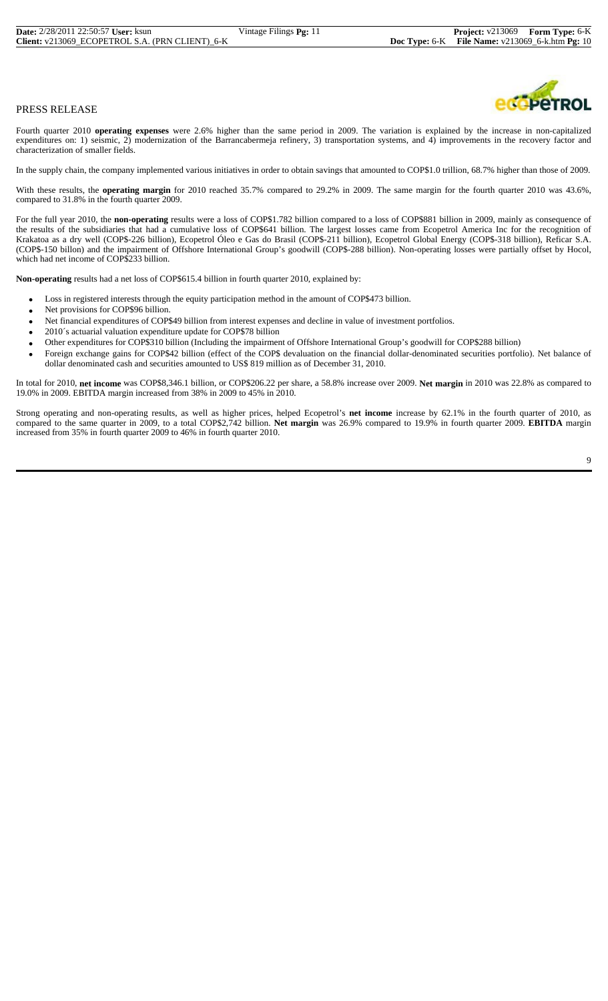Fourth quarter 2010 **operating expenses** were 2.6% higher than the same period in 2009. The variation is explained by the increase in non-capitalized expenditures on: 1) seismic, 2) modernization of the Barrancabermeja refinery, 3) transportation systems, and 4) improvements in the recovery factor and characterization of smaller fields.

In the supply chain, the company implemented various initiatives in order to obtain savings that amounted to COP\$1.0 trillion, 68.7% higher than those of 2009.

With these results, the **operating margin** for 2010 reached 35.7% compared to 29.2% in 2009. The same margin for the fourth quarter 2010 was 43.6%, compared to 31.8% in the fourth quarter 2009.

For the full year 2010, the **non-operating** results were a loss of COP\$1.782 billion compared to a loss of COP\$881 billion in 2009, mainly as consequence of the results of the subsidiaries that had a cumulative loss of COP\$641 billion. The largest losses came from Ecopetrol America Inc for the recognition of Krakatoa as a dry well (COP\$-226 billion), Ecopetrol Óleo e Gas do Brasil (COP\$-211 billion), Ecopetrol Global Energy (COP\$-318 billion), Reficar S.A. (COP\$-150 billon) and the impairment of Offshore International Group's goodwill (COP\$-288 billion). Non-operating losses were partially offset by Hocol, which had net income of COP\$233 billion.

**Non-operating** results had a net loss of COP\$615.4 billion in fourth quarter 2010, explained by:

- Loss in registered interests through the equity participation method in the amount of COP\$473 billion.
- Net provisions for COP\$96 billion.
- Net financial expenditures of COP\$49 billion from interest expenses and decline in value of investment portfolios.
- 2010´s actuarial valuation expenditure update for COP\$78 billion
- Other expenditures for COP\$310 billion (Including the impairment of Offshore International Group's goodwill for COP\$288 billion)
- Foreign exchange gains for COP\$42 billion (effect of the COP\$ devaluation on the financial dollar-denominated securities portfolio). Net balance of dollar denominated cash and securities amounted to US\$ 819 million as of December 31, 2010.

In total for 2010, **net income** was COP\$8,346.1 billion, or COP\$206.22 per share, a 58.8% increase over 2009. **Net margin** in 2010 was 22.8% as compared to 19.0% in 2009. EBITDA margin increased from 38% in 2009 to 45% in 2010.

Strong operating and non-operating results, as well as higher prices, helped Ecopetrol's **net income** increase by 62.1% in the fourth quarter of 2010, as compared to the same quarter in 2009, to a total COP\$2,742 billion. **Net margin** was 26.9% compared to 19.9% in fourth quarter 2009. **EBITDA** margin increased from 35% in fourth quarter 2009 to 46% in fourth quarter 2010.

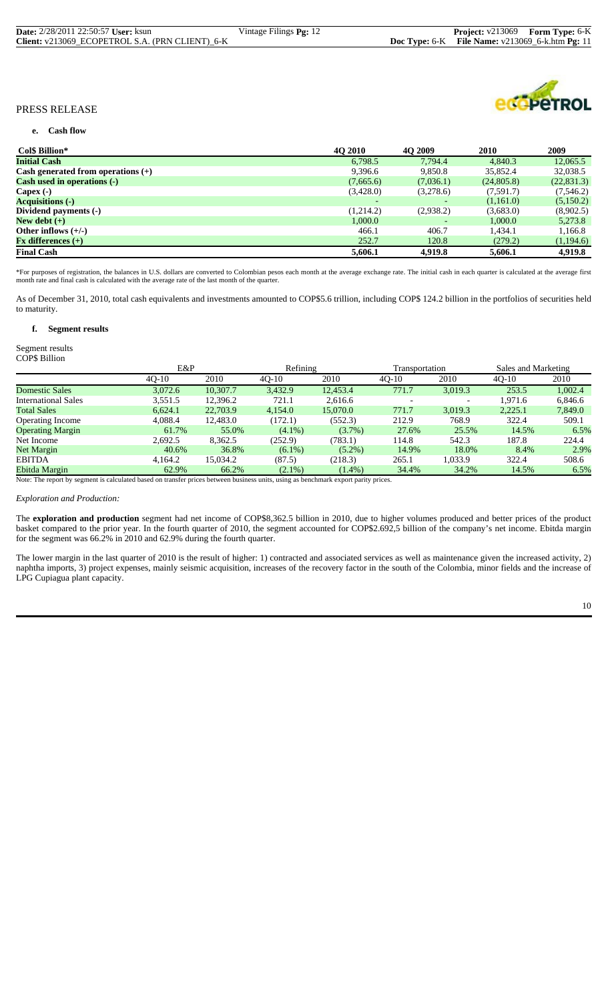| <b>Date:</b> 2/28/2011 22:50:57 User: ksun      | Vintage Filings <b>Pg:</b> 12 | <b>Project:</b> v213069 Form Type: 6-K                                     |  |
|-------------------------------------------------|-------------------------------|----------------------------------------------------------------------------|--|
| Client: v213069 ECOPETROL S.A. (PRN CLIENT) 6-K |                               | <b>Doc Type:</b> $6-K$ <b>File Name:</b> $v213069$ $6-k.htm$ <b>Pg:</b> 11 |  |



#### **e. Cash flow**

| Col\$ Billion*                            | <b>40 2010</b> | <b>40 2009</b> | <b>2010</b> | 2009        |
|-------------------------------------------|----------------|----------------|-------------|-------------|
| <b>Initial Cash</b>                       | 6,798.5        | 7.794.4        | 4,840.3     | 12,065.5    |
| Cash generated from operations $(+)$      | 9,396.6        | 9,850.8        | 35,852.4    | 32,038.5    |
| <b>Cash used in operations (-)</b>        | (7,665.6)      | (7,036.1)      | (24,805.8)  | (22, 831.3) |
| Capex $(-)$                               | (3,428.0)      | (3,278.6)      | (7,591.7)   | (7,546.2)   |
| <b>Acquisitions</b> (-)                   |                |                | (1,161.0)   | (5,150.2)   |
| Dividend payments (-)                     | (1,214.2)      | (2,938.2)      | (3,683.0)   | (8,902.5)   |
| New debt $(+)$                            | 1,000.0        |                | 1,000.0     | 5,273.8     |
| Other inflows $(+/-)$                     | 466.1          | 406.7          | 1,434.1     | 1,166.8     |
| $\mathbf{F} \mathbf{x}$ differences $(+)$ | 252.7          | 120.8          | (279.2)     | (1,194.6)   |
| <b>Final Cash</b>                         | 5,606.1        | 4,919.8        | 5,606.1     | 4,919.8     |

\*For purposes of registration, the balances in U.S. dollars are converted to Colombian pesos each month at the average exchange rate. The initial cash in each quarter is calculated at the average first<br>month rate and final

As of December 31, 2010, total cash equivalents and investments amounted to COP\$5.6 trillion, including COP\$ 124.2 billion in the portfolios of securities held to maturity.

#### **f. Segment results**

#### Segment results COP\$ Billion

|                            |         | E&P      |           | Refining  |         | Transportation |         | Sales and Marketing |
|----------------------------|---------|----------|-----------|-----------|---------|----------------|---------|---------------------|
|                            | $40-10$ | 2010     | $40-10$   | 2010      | $40-10$ | 2010           | $40-10$ | 2010                |
| <b>Domestic Sales</b>      | 3,072.6 | 10.307.7 | 3,432.9   | 12,453.4  | 771.7   | 3,019.3        | 253.5   | 1.002.4             |
| <b>International Sales</b> | 3,551.5 | 12,396.2 | 721.1     | 2.616.6   |         |                | 1.971.6 | 6.846.6             |
| <b>Total Sales</b>         | 6.624.1 | 22,703.9 | 4,154.0   | 15,070.0  | 771.7   | 3,019.3        | 2,225.1 | 7,849.0             |
| <b>Operating Income</b>    | 4.088.4 | 12,483.0 | (172.1)   | (552.3)   | 212.9   | 768.9          | 322.4   | 509.1               |
| <b>Operating Margin</b>    | 61.7%   | 55.0%    | $(4.1\%)$ | $(3.7\%)$ | 27.6%   | 25.5%          | 14.5%   | 6.5%                |
| Net Income                 | 2.692.5 | 8.362.5  | (252.9)   | (783.1)   | 114.8   | 542.3          | 187.8   | 224.4               |
| <b>Net Margin</b>          | 40.6%   | 36.8%    | $(6.1\%)$ | $(5.2\%)$ | 14.9%   | 18.0%          | 8.4%    | 2.9%                |
| <b>EBITDA</b>              | 4.164.2 | 15.034.2 | (87.5)    | (218.3)   | 265.1   | 1.033.9        | 322.4   | 508.6               |
| Ebitda Margin              | 62.9%   | 66.2%    | $(2.1\%)$ | $(1.4\%)$ | 34.4%   | 34.2%          | 14.5%   | 6.5%                |

Note: The report by segment is calculated based on transfer prices between business units, using as benchmark export parity prices.

#### *Exploration and Production:*

The **exploration and production** segment had net income of COP\$8,362.5 billion in 2010, due to higher volumes produced and better prices of the product basket compared to the prior year. In the fourth quarter of 2010, the segment accounted for COP\$2.692,5 billion of the company's net income. Ebitda margin for the segment was 66.2% in 2010 and 62.9% during the fourth quarter.

The lower margin in the last quarter of 2010 is the result of higher: 1) contracted and associated services as well as maintenance given the increased activity, 2) naphtha imports, 3) project expenses, mainly seismic acquisition, increases of the recovery factor in the south of the Colombia, minor fields and the increase of LPG Cupiagua plant capacity.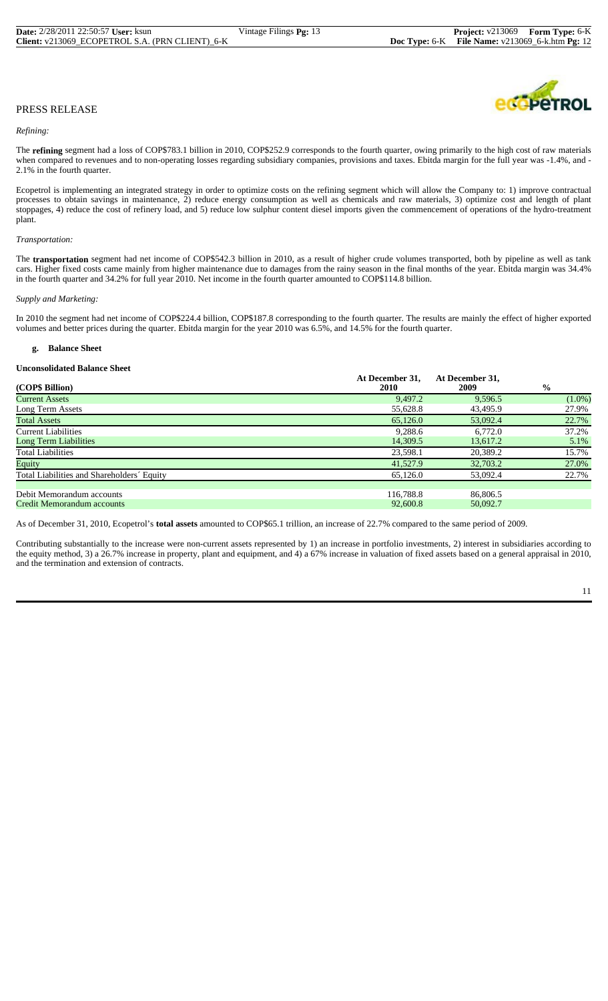#### *Refining:*

The **refining** segment had a loss of COP\$783.1 billion in 2010, COP\$252.9 corresponds to the fourth quarter, owing primarily to the high cost of raw materials when compared to revenues and to non-operating losses regarding subsidiary companies, provisions and taxes. Ebitda margin for the full year was -1.4%, and -2.1% in the fourth quarter.

Ecopetrol is implementing an integrated strategy in order to optimize costs on the refining segment which will allow the Company to: 1) improve contractual processes to obtain savings in maintenance, 2) reduce energy consumption as well as chemicals and raw materials, 3) optimize cost and length of plant stoppages, 4) reduce the cost of refinery load, and 5) reduce low sulphur content diesel imports given the commencement of operations of the hydro-treatment plant.

#### *Transportation:*

The **transportation** segment had net income of COP\$542.3 billion in 2010, as a result of higher crude volumes transported, both by pipeline as well as tank cars. Higher fixed costs came mainly from higher maintenance due to damages from the rainy season in the final months of the year. Ebitda margin was 34.4% in the fourth quarter and 34.2% for full year 2010. Net income in the fourth quarter amounted to COP\$114.8 billion.

#### *Supply and Marketing:*

In 2010 the segment had net income of COP\$224.4 billion, COP\$187.8 corresponding to the fourth quarter. The results are mainly the effect of higher exported volumes and better prices during the quarter. Ebitda margin for the year 2010 was 6.5%, and 14.5% for the fourth quarter.

#### **g. Balance Sheet**

#### **Unconsolidated Balance Sheet**

| (COP\$ Billion)                            | At December 31,<br><b>2010</b> | At December 31,<br>2009 | $\frac{0}{0}$ |
|--------------------------------------------|--------------------------------|-------------------------|---------------|
| <b>Current Assets</b>                      | 9.497.2                        | 9.596.5                 | $(1.0\%)$     |
| Long Term Assets                           | 55,628.8                       | 43,495.9                | 27.9%         |
| <b>Total Assets</b>                        | 65,126.0                       | 53,092.4                | 22.7%         |
| <b>Current Liabilities</b>                 | 9.288.6                        | 6.772.0                 | 37.2%         |
| Long Term Liabilities                      | 14,309.5                       | 13,617.2                | 5.1%          |
| <b>Total Liabilities</b>                   | 23,598.1                       | 20,389.2                | 15.7%         |
| Equity                                     | 41,527.9                       | 32,703.2                | 27.0%         |
| Total Liabilities and Shareholders' Equity | 65,126.0                       | 53,092.4                | 22.7%         |
|                                            |                                |                         |               |
| Debit Memorandum accounts                  | 116.788.8                      | 86,806.5                |               |
| Credit Memorandum accounts                 | 92,600.8                       | 50,092.7                |               |

As of December 31, 2010, Ecopetrol's **total assets** amounted to COP\$65.1 trillion, an increase of 22.7% compared to the same period of 2009.

Contributing substantially to the increase were non-current assets represented by 1) an increase in portfolio investments, 2) interest in subsidiaries according to the equity method, 3) a 26.7% increase in property, plant and equipment, and 4) a 67% increase in valuation of fixed assets based on a general appraisal in 2010, and the termination and extension of contracts.

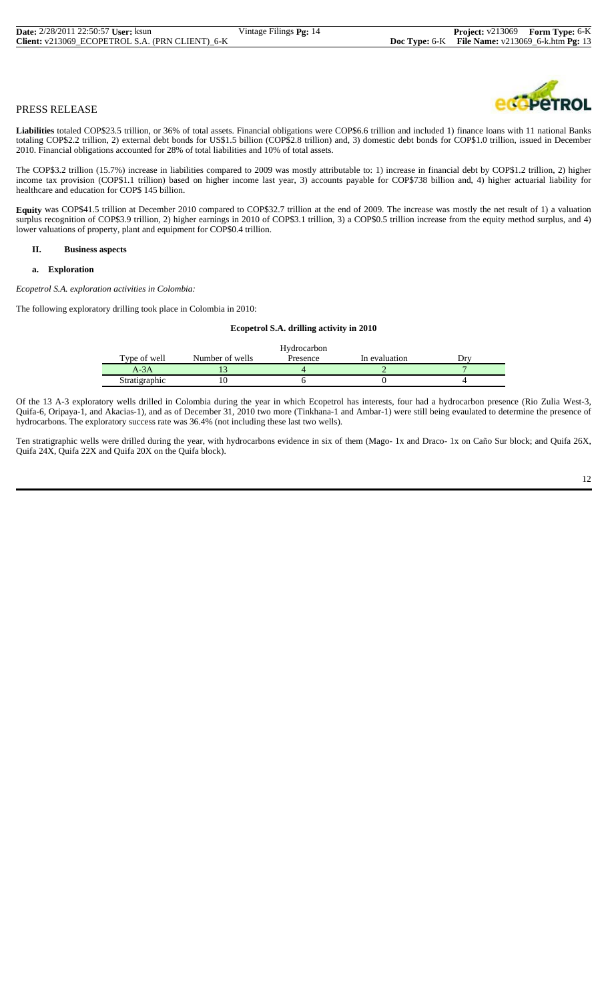**Liabilities** totaled COP\$23.5 trillion, or 36% of total assets. Financial obligations were COP\$6.6 trillion and included 1) finance loans with 11 national Banks totaling COP\$2.2 trillion, 2) external debt bonds for US\$1.5 billion (COP\$2.8 trillion) and, 3) domestic debt bonds for COP\$1.0 trillion, issued in December 2010. Financial obligations accounted for 28% of total liabilities and 10% of total assets.

The COP\$3.2 trillion (15.7%) increase in liabilities compared to 2009 was mostly attributable to: 1) increase in financial debt by COP\$1.2 trillion, 2) higher income tax provision (COP\$1.1 trillion) based on higher income last year, 3) accounts payable for COP\$738 billion and, 4) higher actuarial liability for healthcare and education for COP\$ 145 billion.

**Equity** was COP\$41.5 trillion at December 2010 compared to COP\$32.7 trillion at the end of 2009. The increase was mostly the net result of 1) a valuation surplus recognition of COP\$3.9 trillion, 2) higher earnings in 2010 of COP\$3.1 trillion, 3) a COP\$0.5 trillion increase from the equity method surplus, and 4) lower valuations of property, plant and equipment for COP\$0.4 trillion.

# **II. Business aspects**

#### **a. Exploration**

*Ecopetrol S.A. exploration activities in Colombia:*

The following exploratory drilling took place in Colombia in 2010:

#### **Ecopetrol S.A. drilling activity in 2010**

|               |                 | Hydrocarbon |               |  |
|---------------|-----------------|-------------|---------------|--|
| Type of well  | Number of wells | Presence    | In evaluation |  |
| A-3A          |                 |             |               |  |
| Stratigraphic |                 |             |               |  |

Of the 13 A-3 exploratory wells drilled in Colombia during the year in which Ecopetrol has interests, four had a hydrocarbon presence (Rio Zulia West-3, Quifa-6, Oripaya-1, and Akacias-1), and as of December 31, 2010 two more (Tinkhana-1 and Ambar-1) were still being evaulated to determine the presence of hydrocarbons. The exploratory success rate was 36.4% (not including these last two wells).

Ten stratigraphic wells were drilled during the year, with hydrocarbons evidence in six of them (Mago- 1x and Draco- 1x on Caño Sur block; and Quifa 26X, Quifa 24X, Quifa 22X and Quifa 20X on the Quifa block).

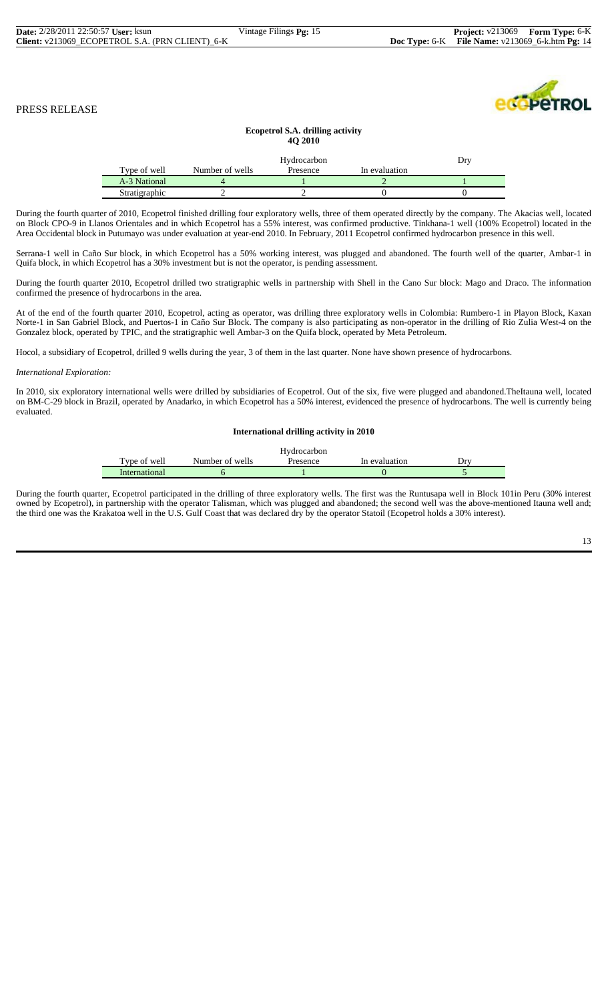edopeTROL

# PRESS RELEASE

#### **Ecopetrol S.A. drilling activity 4Q 2010**

|               |                 | Hydrocarbon |               | D۳ |
|---------------|-----------------|-------------|---------------|----|
| Type of well  | Number of wells | Presence    | In evaluation |    |
| A-3 National  |                 |             |               |    |
| Stratigraphic |                 |             |               |    |

During the fourth quarter of 2010, Ecopetrol finished drilling four exploratory wells, three of them operated directly by the company. The Akacias well, located on Block CPO-9 in Llanos Orientales and in which Ecopetrol has a 55% interest, was confirmed productive. Tinkhana-1 well (100% Ecopetrol) located in the Area Occidental block in Putumayo was under evaluation at year-end 2010. In February, 2011 Ecopetrol confirmed hydrocarbon presence in this well.

Serrana-1 well in Caño Sur block, in which Ecopetrol has a 50% working interest, was plugged and abandoned. The fourth well of the quarter, Ambar-1 in Quifa block, in which Ecopetrol has a 30% investment but is not the operator, is pending assessment.

During the fourth quarter 2010, Ecopetrol drilled two stratigraphic wells in partnership with Shell in the Cano Sur block: Mago and Draco. The information confirmed the presence of hydrocarbons in the area.

At of the end of the fourth quarter 2010, Ecopetrol, acting as operator, was drilling three exploratory wells in Colombia: Rumbero-1 in Playon Block, Kaxan Norte-1 in San Gabriel Block, and Puertos-1 in Caño Sur Block. The company is also participating as non-operator in the drilling of Rio Zulia West-4 on the Gonzalez block, operated by TPIC, and the stratigraphic well Ambar-3 on the Quifa block, operated by Meta Petroleum.

Hocol, a subsidiary of Ecopetrol, drilled 9 wells during the year, 3 of them in the last quarter. None have shown presence of hydrocarbons.

#### *International Exploration:*

In 2010, six exploratory international wells were drilled by subsidiaries of Ecopetrol. Out of the six, five were plugged and abandoned.TheItauna well, located on BM-C-29 block in Brazil, operated by Anadarko, in which Ecopetrol has a 50% interest, evidenced the presence of hydrocarbons. The well is currently being evaluated.

#### **International drilling activity in 2010**

|               |                 | Hvdrocarbon |               |     |
|---------------|-----------------|-------------|---------------|-----|
| Type of well  | Number of wells | Presence    | In evaluation | Drv |
| International |                 |             |               |     |

During the fourth quarter, Ecopetrol participated in the drilling of three exploratory wells. The first was the Runtusapa well in Block 101in Peru (30% interest owned by Ecopetrol), in partnership with the operator Talisman, which was plugged and abandoned; the second well was the above-mentioned Itauna well and; the third one was the Krakatoa well in the U.S. Gulf Coast that was declared dry by the operator Statoil (Ecopetrol holds a 30% interest).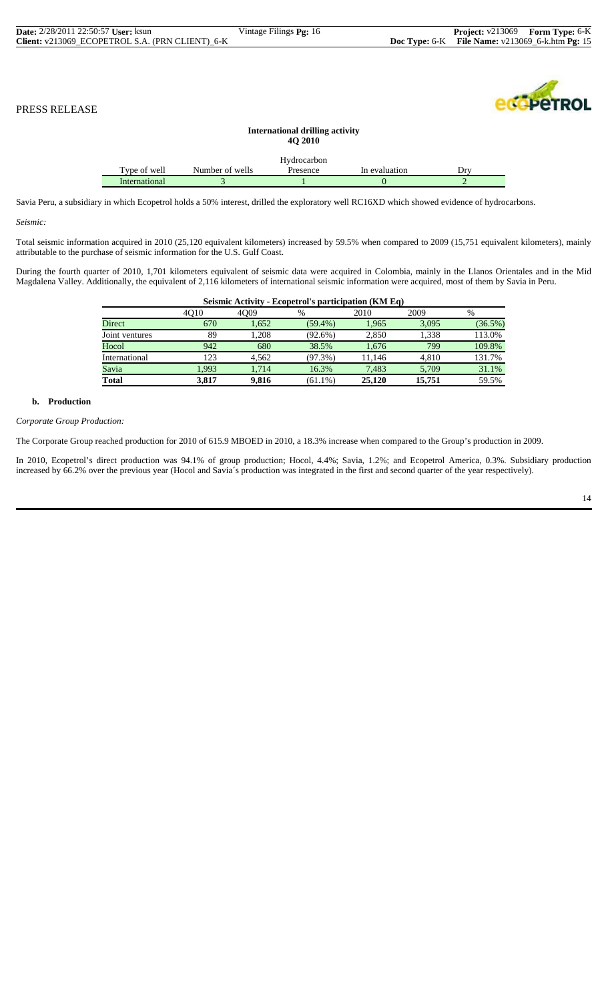| <b>Date:</b> 2/28/2011 22:50:57 <b>User:</b> ksun |              |                 | Vintage Filings Pg: 16                                   |               | <b>Project:</b> v213069 | Form Type: 6-K                    |
|---------------------------------------------------|--------------|-----------------|----------------------------------------------------------|---------------|-------------------------|-----------------------------------|
| Client: v213069_ECOPETROL S.A. (PRN CLIENT)_6-K   |              |                 |                                                          | Doc Type: 6-K |                         | File Name: v213069 6-k.htm Pg: 15 |
| PRESS RELEASE                                     |              |                 |                                                          |               |                         | <b><i><u>COPETROL</u></i></b>     |
|                                                   |              |                 | <b>International drilling activity</b><br><b>40 2010</b> |               |                         |                                   |
|                                                   | Type of well | Number of wells | Hydrocarbon<br>Presence                                  | In evaluation | Drv                     |                                   |

Savia Peru, a subsidiary in which Ecopetrol holds a 50% interest, drilled the exploratory well RC16XD which showed evidence of hydrocarbons. International 3 1 0

*Seismic:*

Total seismic information acquired in 2010 (25,120 equivalent kilometers) increased by 59.5% when compared to 2009 (15,751 equivalent kilometers), mainly attributable to the purchase of seismic information for the U.S. Gulf Coast.

During the fourth quarter of 2010, 1,701 kilometers equivalent of seismic data were acquired in Colombia, mainly in the Llanos Orientales and in the Mid Magdalena Valley. Additionally, the equivalent of 2,116 kilometers of international seismic information were acquired, most of them by Savia in Peru.

|                | Seismic Activity - Ecopetrol's participation (KM Eq) |       |            |        |        |            |  |  |  |  |
|----------------|------------------------------------------------------|-------|------------|--------|--------|------------|--|--|--|--|
|                | 4010                                                 | 4009  | %          | 2010   | 2009   | %          |  |  |  |  |
| Direct         | 670                                                  | 1,652 | $(59.4\%)$ | 1,965  | 3,095  | $(36.5\%)$ |  |  |  |  |
| Joint ventures | 89                                                   | 1.208 | $(92.6\%)$ | 2.850  | 1.338  | 113.0%     |  |  |  |  |
| Hocol          | 942                                                  | 680   | 38.5%      | 1.676  | 799    | 109.8%     |  |  |  |  |
| International  | 123                                                  | 4.562 | $(97.3\%)$ | 11.146 | 4.810  | 131.7%     |  |  |  |  |
| Savia          | 1.993                                                | 1.714 | 16.3%      | 7.483  | 5.709  | 31.1%      |  |  |  |  |
| <b>Total</b>   | 3.817                                                | 9.816 | $(61.1\%)$ | 25,120 | 15,751 | 59.5%      |  |  |  |  |

#### **b. Production**

*Corporate Group Production:*

The Corporate Group reached production for 2010 of 615.9 MBOED in 2010, a 18.3% increase when compared to the Group's production in 2009.

In 2010, Ecopetrol's direct production was 94.1% of group production; Hocol, 4.4%; Savia, 1.2%; and Ecopetrol America, 0.3%. Subsidiary production increased by 66.2% over the previous year (Hocol and Savia´s production was integrated in the first and second quarter of the year respectively).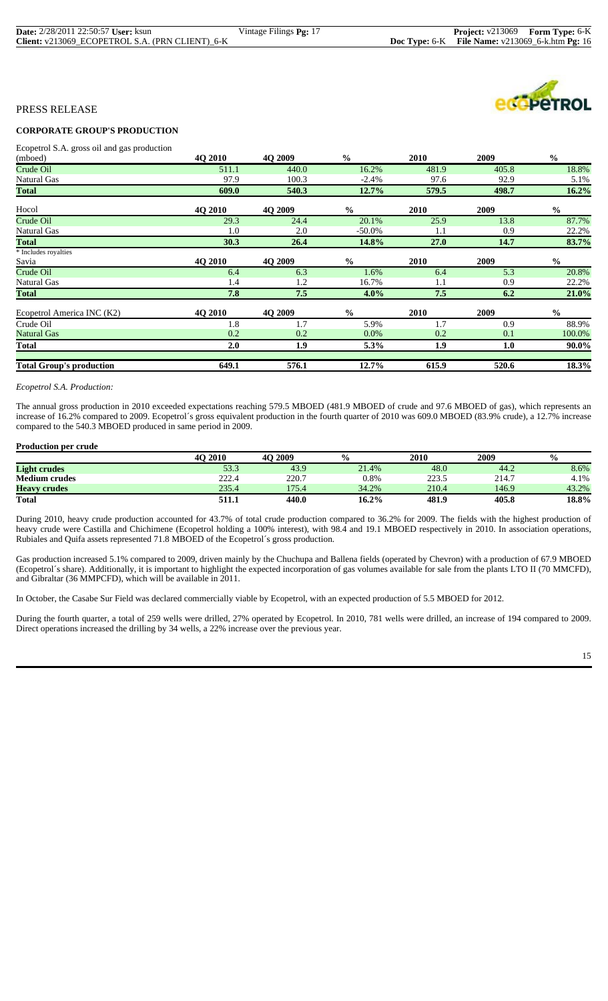| <b>Date:</b> 2/28/2011 22:50:57 User: ksun      | Vintage Filings Pg: 17 | <b>Project:</b> v213069 Form Type: 6-K                   |  |
|-------------------------------------------------|------------------------|----------------------------------------------------------|--|
| Client: v213069 ECOPETROL S.A. (PRN CLIENT) 6-K |                        | <b>Doc Type:</b> 6-K File Name: $v213069$ 6-k.htm Pg: 16 |  |

# **CORPORATE GROUP'S PRODUCTION**

Ecopetrol S.A. gross oil and gas production

| (mboed)                         | 4O 2010        | 4Q 2009        | $\frac{0}{0}$ | 2010        | 2009  | $\frac{0}{0}$ |
|---------------------------------|----------------|----------------|---------------|-------------|-------|---------------|
| Crude Oil                       | 511.1          | 440.0          | 16.2%         | 481.9       | 405.8 | 18.8%         |
| Natural Gas                     | 97.9           | 100.3          | $-2.4%$       | 97.6        | 92.9  | 5.1%          |
| <b>Total</b>                    | 609.0          | 540.3          | 12.7%         | 579.5       | 498.7 | 16.2%         |
| Hocol                           | <b>40 2010</b> | <b>40 2009</b> | $\frac{6}{9}$ | 2010        | 2009  | $\frac{0}{0}$ |
| Crude Oil                       | 29.3           | 24.4           | 20.1%         | 25.9        | 13.8  | 87.7%         |
| Natural Gas                     | 1.0            | 2.0            | $-50.0\%$     | 1.1         | 0.9   | 22.2%         |
| <b>Total</b>                    | 30.3           | 26.4           | 14.8%         | <b>27.0</b> | 14.7  | 83.7%         |
| * Includes royalties            |                |                |               |             |       |               |
| Savia                           | <b>40 2010</b> | <b>40 2009</b> | $\frac{0}{0}$ | 2010        | 2009  | $\frac{6}{6}$ |
| Crude Oil                       | 6.4            | 6.3            | 1.6%          | 6.4         | 5.3   | 20.8%         |
| Natural Gas                     | 1.4            | 1.2            | 16.7%         | 1.1         | 0.9   | 22.2%         |
| <b>Total</b>                    | 7.8            | 7.5            | $4.0\%$       | 7.5         | 6.2   | 21.0%         |
| Ecopetrol America INC (K2)      | <b>40 2010</b> | <b>40 2009</b> | $\frac{0}{0}$ | 2010        | 2009  | $\frac{6}{6}$ |
| Crude Oil                       | 1.8            | 1.7            | 5.9%          | 1.7         | 0.9   | 88.9%         |
| <b>Natural Gas</b>              | 0.2            | 0.2            | $0.0\%$       | 0.2         | 0.1   | 100.0%        |
| Total                           | 2.0            | 1.9            | 5.3%          | 1.9         | 1.0   | 90.0%         |
| <b>Total Group's production</b> | 649.1          | 576.1          | 12.7%         | 615.9       | 520.6 | 18.3%         |

#### *Ecopetrol S.A. Production:*

The annual gross production in 2010 exceeded expectations reaching 579.5 MBOED (481.9 MBOED of crude and 97.6 MBOED of gas), which represents an increase of 16.2% compared to 2009. Ecopetrol´s gross equivalent production in the fourth quarter of 2010 was 609.0 MBOED (83.9% crude), a 12.7% increase compared to the 540.3 MBOED produced in same period in 2009.

#### **Production per crude**

|                      | <b>4O 2010</b> | 4O 2009 | $\frac{0}{0}$ | 2010  | 2009  | $\frac{0}{0}$ |
|----------------------|----------------|---------|---------------|-------|-------|---------------|
| <b>Light crudes</b>  | 53.3           | 43.9    | 21.4%         | 48.0  | 44.2  | 8.6%          |
| <b>Medium crudes</b> | 222.4          | 220.7   | 0.8%          | 223.5 | 214.7 | 4.1%          |
| <b>Heavy crudes</b>  | 235.4          | 175.4   | 34.2%         | 210.4 | 146.9 | 43.2%         |
| <b>Total</b>         | 511.1          | 440.0   | 16.2%         | 481.9 | 405.8 | 18.8%         |

During 2010, heavy crude production accounted for 43.7% of total crude production compared to 36.2% for 2009. The fields with the highest production of heavy crude were Castilla and Chichimene (Ecopetrol holding a 100% interest), with 98.4 and 19.1 MBOED respectively in 2010. In association operations, Rubiales and Quifa assets represented 71.8 MBOED of the Ecopetrol´s gross production.

Gas production increased 5.1% compared to 2009, driven mainly by the Chuchupa and Ballena fields (operated by Chevron) with a production of 67.9 MBOED (Ecopetrol´s share). Additionally, it is important to highlight the expected incorporation of gas volumes available for sale from the plants LTO II (70 MMCFD), and Gibraltar (36 MMPCFD), which will be available in 2011.

In October, the Casabe Sur Field was declared commercially viable by Ecopetrol, with an expected production of 5.5 MBOED for 2012.

During the fourth quarter, a total of 259 wells were drilled, 27% operated by Ecopetrol. In 2010, 781 wells were drilled, an increase of 194 compared to 2009. Direct operations increased the drilling by 34 wells, a 22% increase over the previous year.

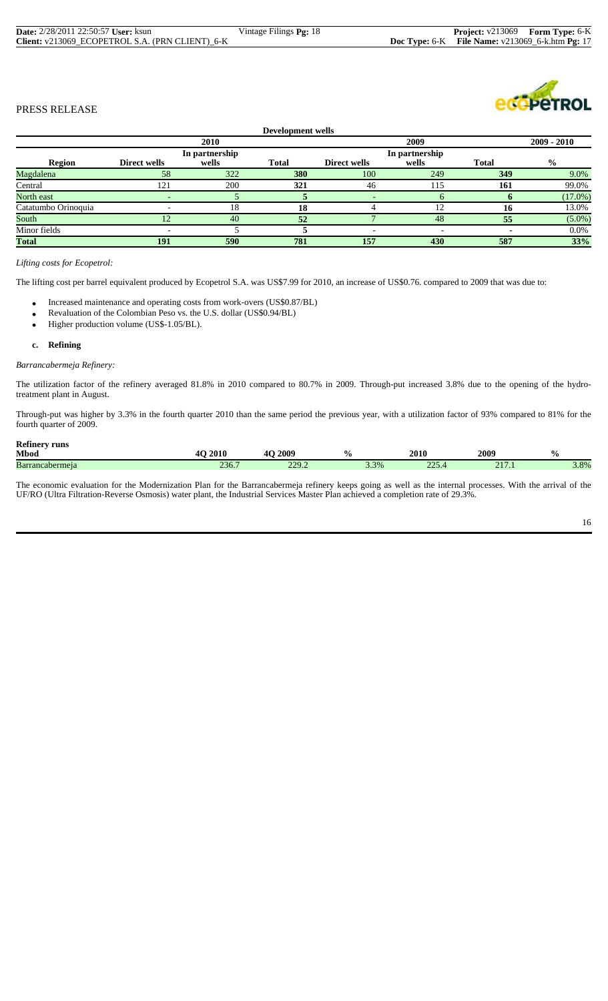|                     |              |                | Development wells |              |                |              |               |
|---------------------|--------------|----------------|-------------------|--------------|----------------|--------------|---------------|
|                     |              | 2010           |                   |              | 2009           |              | $2009 - 2010$ |
|                     |              | In partnership |                   |              | In partnership |              |               |
| Region              | Direct wells | wells          | <b>Total</b>      | Direct wells | wells          | <b>Total</b> | $\frac{0}{0}$ |
| Magdalena           | 58           | 322            | 380               | 100          | 249            | 349          | 9.0%          |
| Central             | 121          | 200            | 321               | 46           | 115            | 161          | 99.0%         |
| North east          |              |                |                   |              |                |              | $(17.0\%)$    |
| Catatumbo Orinoquia |              | 18             | 18                |              |                | 16           | 13.0%         |
| South               |              | 40             | 52                |              | 48             | 55           | $(5.0\%)$     |
| Minor fields        |              |                |                   |              |                |              | $0.0\%$       |
| <b>Total</b>        | 191          | 590            | 781               | 157          | 430            | 587          | 33%           |

## *Lifting costs for Ecopetrol:*

The lifting cost per barrel equivalent produced by Ecopetrol S.A. was US\$7.99 for 2010, an increase of US\$0.76. compared to 2009 that was due to:

- Increased maintenance and operating costs from work-overs (US\$0.87/BL)
- Revaluation of the Colombian Peso vs. the U.S. dollar (US\$0.94/BL)
- Higher production volume (US\$-1.05/BL).

#### **c. Refining**

# *Barrancabermeja Refinery:*

The utilization factor of the refinery averaged 81.8% in 2010 compared to 80.7% in 2009. Through-put increased 3.8% due to the opening of the hydrotreatment plant in August.

Through-put was higher by 3.3% in the fourth quarter 2010 than the same period the previous year, with a utilization factor of 93% compared to 81% for the fourth quarter of 2009.

| <b>Refinery runs</b>   |       |                |      |             |                          |               |
|------------------------|-------|----------------|------|-------------|--------------------------|---------------|
| <b>Mbod</b>            | 2010  | <b>IO 2009</b> |      | 2010        | 2009                     | $\frac{0}{0}$ |
| <b>Barrancabermeia</b> | 236.7 | 220<br>22.2    | 3.3% | 225<br>22.7 | 01 <sup>h</sup><br>211.1 | 3.8%          |

The economic evaluation for the Modernization Plan for the Barrancabermeja refinery keeps going as well as the internal processes. With the arrival of the UF/RO (Ultra Filtration-Reverse Osmosis) water plant, the Industrial Services Master Plan achieved a completion rate of 29.3%.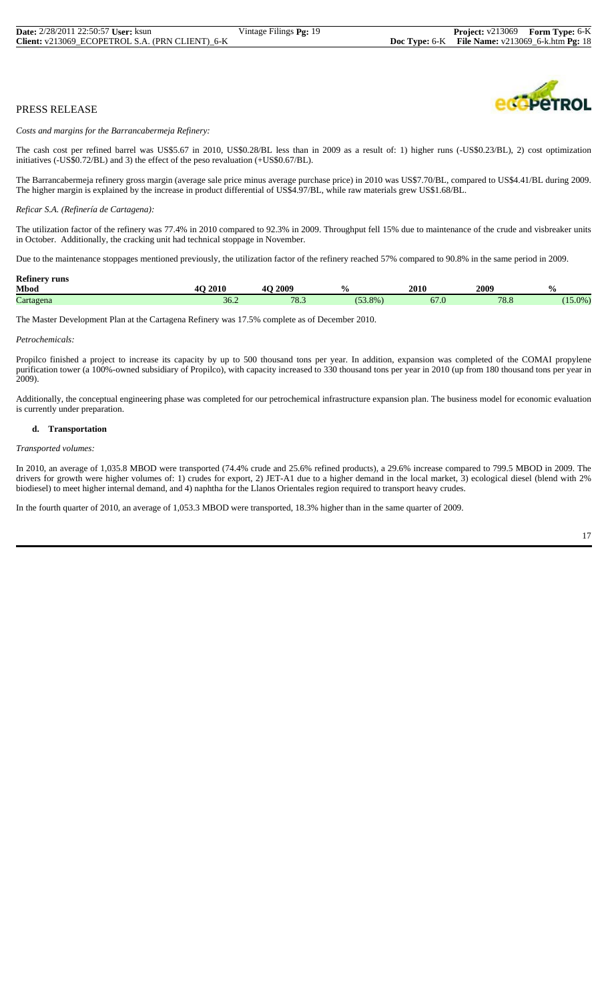

*Costs and margins for the Barrancabermeja Refinery:*

The cash cost per refined barrel was US\$5.67 in 2010, US\$0.28/BL less than in 2009 as a result of: 1) higher runs (-US\$0.23/BL), 2) cost optimization initiatives (-US\$0.72/BL) and 3) the effect of the peso revaluation (+US\$0.67/BL).

The Barrancabermeja refinery gross margin (average sale price minus average purchase price) in 2010 was US\$7.70/BL, compared to US\$4.41/BL during 2009. The higher margin is explained by the increase in product differential of US\$4.97/BL, while raw materials grew US\$1.68/BL.

#### *Reficar S.A. (Refinería de Cartagena):*

The utilization factor of the refinery was 77.4% in 2010 compared to 92.3% in 2009. Throughput fell 15% due to maintenance of the crude and visbreaker units in October. Additionally, the cracking unit had technical stoppage in November.

Due to the maintenance stoppages mentioned previously, the utilization factor of the refinery reached 57% compared to 90.8% in the same period in 2009.

| <b>Refinery runs</b> |                                  |                            |                   |      |              |                    |
|----------------------|----------------------------------|----------------------------|-------------------|------|--------------|--------------------|
| <b>Mbod</b>          | <b>O</b> 2010                    | 2009<br>$\Lambda$ $\Omega$ | $\frac{6}{6}$     | 2010 | 2009         | $\mathbf{0}$<br>70 |
| $\sim$<br>Cartagena  | $\overline{\phantom{a}}$<br>30.Z | 78.3                       | (52)<br>$(53.8\%$ | 07.U | 700<br>/ ბ.ბ | $(15.0\%$          |

The Master Development Plan at the Cartagena Refinery was 17.5% complete as of December 2010.

#### *Petrochemicals:*

Propilco finished a project to increase its capacity by up to 500 thousand tons per year. In addition, expansion was completed of the COMAI propylene purification tower (a 100%-owned subsidiary of Propilco), with capacity increased to 330 thousand tons per year in 2010 (up from 180 thousand tons per year in 2009).

Additionally, the conceptual engineering phase was completed for our petrochemical infrastructure expansion plan. The business model for economic evaluation is currently under preparation.

#### **d. Transportation**

*Transported volumes:*

In 2010, an average of 1,035.8 MBOD were transported (74.4% crude and 25.6% refined products), a 29.6% increase compared to 799.5 MBOD in 2009. The drivers for growth were higher volumes of: 1) crudes for export, 2) JET-A1 due to a higher demand in the local market, 3) ecological diesel (blend with 2% biodiesel) to meet higher internal demand, and 4) naphtha for the Llanos Orientales region required to transport heavy crudes.

In the fourth quarter of 2010, an average of 1,053.3 MBOD were transported, 18.3% higher than in the same quarter of 2009.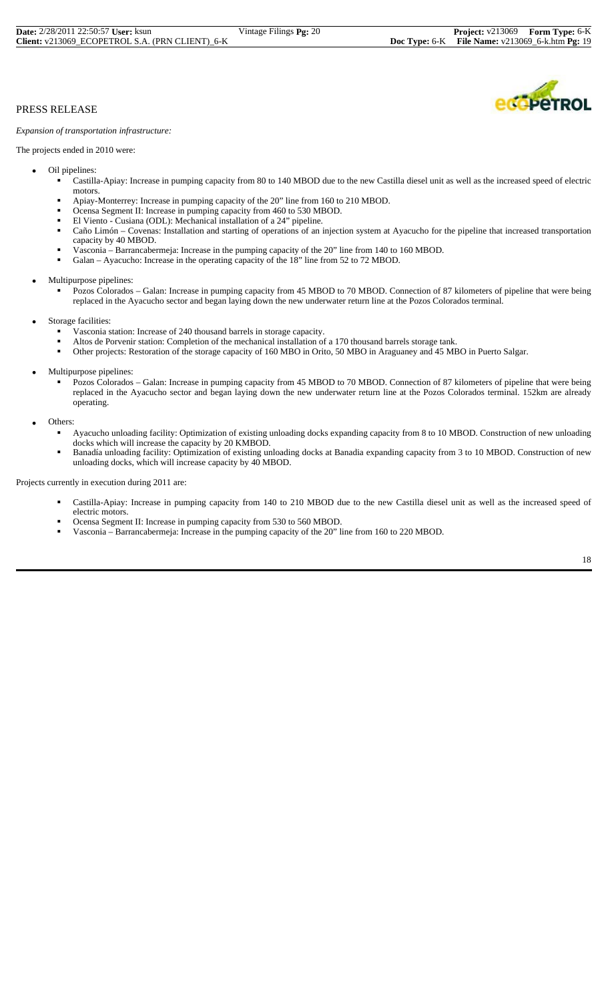*Expansion of transportation infrastructure:*

The projects ended in 2010 were:

- Oil pipelines:
	- Castilla-Apiay: Increase in pumping capacity from 80 to 140 MBOD due to the new Castilla diesel unit as well as the increased speed of electric
	- motors.<br>Apiay-Monterrey: Increase in pumping capacity of the 20" line from 160 to 210 MBOD.
	-
	-
	- Ocensa Segment II: Increase in pumping capacity from 460 to 530 MBOD.<br>El Viento Cusiana (ODL): Mechanical installation of a 24" pipeline.<br>Caño Limón Covenas: Installation and starting of operations of an injection syst capacity by 40 MBOD.
	- Vasconia Barrancabermeja: Increase in the pumping capacity of the 20" line from 140 to 160 MBOD.
	- Galan Ayacucho: Increase in the operating capacity of the 18" line from 52 to 72 MBOD.
- Multipurpose pipelines:
	- Pozos Colorados Galan: Increase in pumping capacity from 45 MBOD to 70 MBOD. Connection of 87 kilometers of pipeline that were being replaced in the Ayacucho sector and began laying down the new underwater return line at the Pozos Colorados terminal.
- - Storage facilities:<br>
	 Vasconia station: Increase of 240 thousand barrels in storage capacity.
		- Altos de Porvenir station: Completion of the mechanical installation of a 170 thousand barrels storage tank.
		- Other projects: Restoration of the storage capacity of 160 MBO in Orito, 50 MBO in Araguaney and 45 MBO in Puerto Salgar.
- Multipurpose pipelines:
	- Pozos Colorados Galan: Increase in pumping capacity from 45 MBOD to 70 MBOD. Connection of 87 kilometers of pipeline that were being replaced in the Ayacucho sector and began laying down the new underwater return line at the Pozos Colorados terminal. 152km are already operating.
- Others:
	- Ayacucho unloading facility: Optimization of existing unloading docks expanding capacity from 8 to 10 MBOD. Construction of new unloading docks which will increase the capacity by 20 KMBOD.<br>Banadía unloading facility: Optimization of existing unloading docks at Banadia expanding capacity from 3 to 10 MBOD. Construction of new
	- unloading docks, which will increase capacity by 40 MBOD.

Projects currently in execution during 2011 are:

- Castilla-Apiay: Increase in pumping capacity from 140 to 210 MBOD due to the new Castilla diesel unit as well as the increased speed of electric motors.
- 
- Ocensa Segment II: Increase in pumping capacity from 530 to 560 MBOD. Vasconia Barrancabermeja: Increase in the pumping capacity of the 20" line from 160 to 220 MBOD.

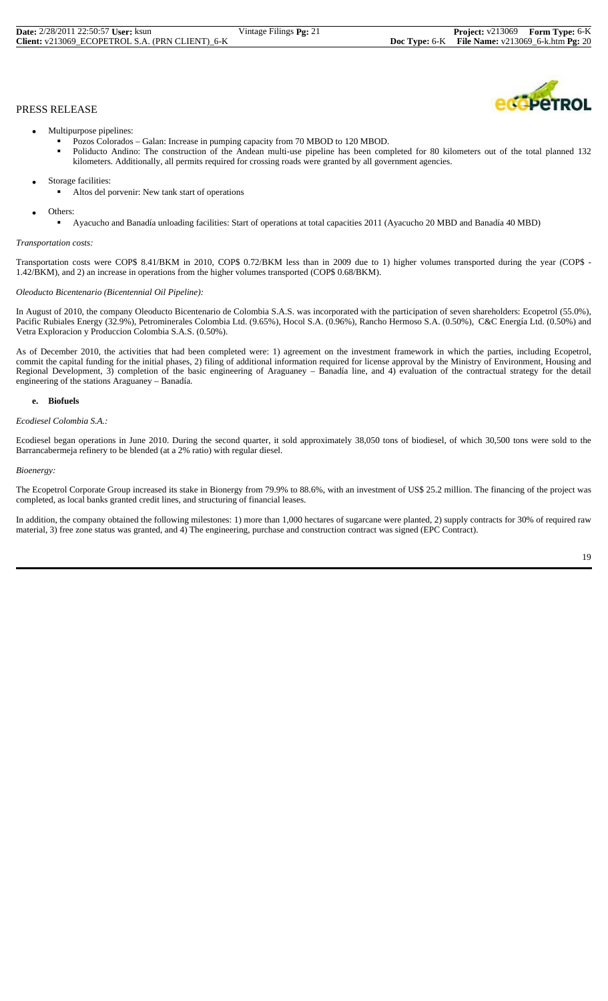- Multipurpose pipelines:
	-
	- Pozos Colorados Galan: Increase in pumping capacity from 70 MBOD to 120 MBOD. Poliducto Andino: The construction of the Andean multi-use pipeline has been completed for 80 kilometers out of the total planned 132 kilometers. Additionally, all permits required for crossing roads were granted by all government agencies.
- Storage facilities:
	- Altos del porvenir: New tank start of operations
- Others:
	- Ayacucho and Banadía unloading facilities: Start of operations at total capacities 2011 (Ayacucho 20 MBD and Banadía 40 MBD)

# *Transportation costs:*

Transportation costs were COP\$ 8.41/BKM in 2010, COP\$ 0.72/BKM less than in 2009 due to 1) higher volumes transported during the year (COP\$ - 1.42/BKM), and 2) an increase in operations from the higher volumes transported (COP\$ 0.68/BKM).

#### *Oleoducto Bicentenario (Bicentennial Oil Pipeline):*

In August of 2010, the company Oleoducto Bicentenario de Colombia S.A.S. was incorporated with the participation of seven shareholders: Ecopetrol (55.0%), Pacific Rubiales Energy (32.9%), Petrominerales Colombia Ltd. (9.65%), Hocol S.A. (0.96%), Rancho Hermoso S.A. (0.50%), C&C Energía Ltd. (0.50%) and Vetra Exploracion y Produccion Colombia S.A.S. (0.50%).

As of December 2010, the activities that had been completed were: 1) agreement on the investment framework in which the parties, including Ecopetrol, commit the capital funding for the initial phases, 2) filing of additional information required for license approval by the Ministry of Environment, Housing and Regional Development, 3) completion of the basic engineering of Araguaney – Banadía line, and 4) evaluation of the contractual strategy for the detail engineering of the stations Araguaney – Banadía.

#### **e. Biofuels**

#### *Ecodiesel Colombia S.A.:*

Ecodiesel began operations in June 2010. During the second quarter, it sold approximately 38,050 tons of biodiesel, of which 30,500 tons were sold to the Barrancabermeja refinery to be blended (at a 2% ratio) with regular diesel.

#### *Bioenergy:*

The Ecopetrol Corporate Group increased its stake in Bionergy from 79.9% to 88.6%, with an investment of US\$ 25.2 million. The financing of the project was completed, as local banks granted credit lines, and structuring of financial leases.

In addition, the company obtained the following milestones: 1) more than 1,000 hectares of sugarcane were planted, 2) supply contracts for 30% of required raw material, 3) free zone status was granted, and 4) The engineering, purchase and construction contract was signed (EPC Contract).

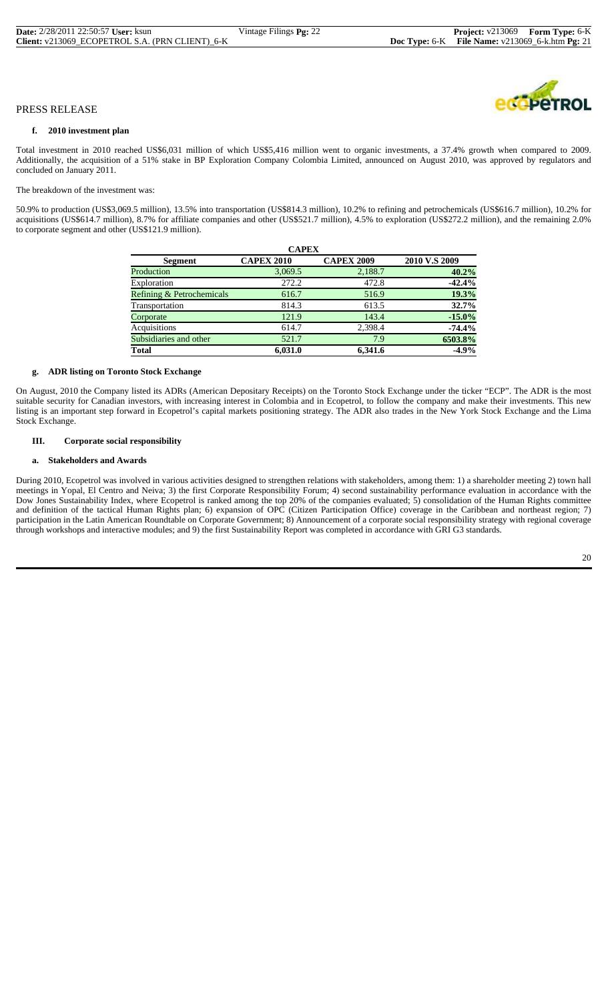#### **f. 2010 investment plan**

Total investment in 2010 reached US\$6,031 million of which US\$5,416 million went to organic investments, a 37.4% growth when compared to 2009. Additionally, the acquisition of a 51% stake in BP Exploration Company Colombia Limited, announced on August 2010, was approved by regulators and concluded on January 2011.

The breakdown of the investment was:

50.9% to production (US\$3,069.5 million), 13.5% into transportation (US\$814.3 million), 10.2% to refining and petrochemicals (US\$616.7 million), 10.2% for acquisitions (US\$614.7 million), 8.7% for affiliate companies and other (US\$521.7 million), 4.5% to exploration (US\$272.2 million), and the remaining 2.0% to corporate segment and other (US\$121.9 million).

| <b>CAPEX</b>              |                   |                   |               |  |  |  |  |  |  |  |
|---------------------------|-------------------|-------------------|---------------|--|--|--|--|--|--|--|
| Segment                   | <b>CAPEX 2010</b> | <b>CAPEX 2009</b> | 2010 V.S 2009 |  |  |  |  |  |  |  |
| Production                | 3,069.5           | 2,188.7           | 40.2%         |  |  |  |  |  |  |  |
| Exploration               | 272.2             | 472.8             | $-42.4%$      |  |  |  |  |  |  |  |
| Refining & Petrochemicals | 616.7             | 516.9             | 19.3%         |  |  |  |  |  |  |  |
| Transportation            | 814.3             | 613.5             | 32.7%         |  |  |  |  |  |  |  |
| Corporate                 | 121.9             | 143.4             | $-15.0%$      |  |  |  |  |  |  |  |
| Acquisitions              | 614.7             | 2,398.4           | $-74.4\%$     |  |  |  |  |  |  |  |
| Subsidiaries and other    | 521.7             | 7.9               | 6503.8%       |  |  |  |  |  |  |  |
| <b>Total</b>              | 6.031.0           | 6.341.6           | $-4.9%$       |  |  |  |  |  |  |  |

#### **g. ADR listing on Toronto Stock Exchange**

On August, 2010 the Company listed its ADRs (American Depositary Receipts) on the Toronto Stock Exchange under the ticker "ECP". The ADR is the most suitable security for Canadian investors, with increasing interest in Colombia and in Ecopetrol, to follow the company and make their investments. This new listing is an important step forward in Ecopetrol's capital markets positioning strategy. The ADR also trades in the New York Stock Exchange and the Lima Stock Exchange.

# **III. Corporate social responsibility**

#### **a. Stakeholders and Awards**

During 2010, Ecopetrol was involved in various activities designed to strengthen relations with stakeholders, among them: 1) a shareholder meeting 2) town hall meetings in Yopal, El Centro and Neiva; 3) the first Corporate Responsibility Forum; 4) second sustainability performance evaluation in accordance with the Dow Jones Sustainability Index, where Ecopetrol is ranked among the top 20% of the companies evaluated; 5) consolidation of the Human Rights committee and definition of the tactical Human Rights plan; 6) expansion of OPC (Citizen Participation Office) coverage in the Caribbean and northeast region; 7) participation in the Latin American Roundtable on Corporate Government; 8) Announcement of a corporate social responsibility strategy with regional coverage through workshops and interactive modules; and 9) the first Sustainability Report was completed in accordance with GRI G3 standards.

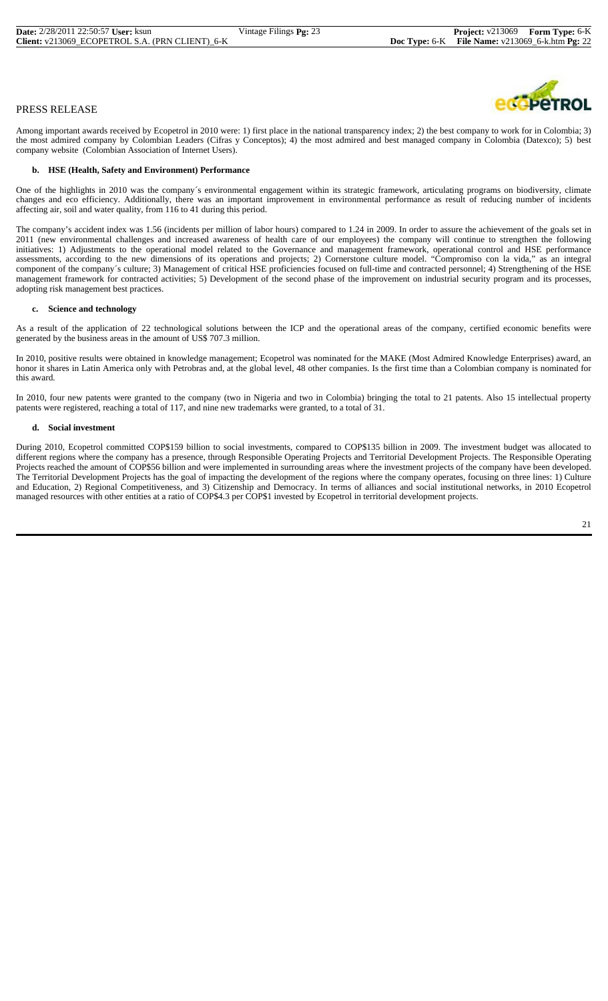

Among important awards received by Ecopetrol in 2010 were: 1) first place in the national transparency index; 2) the best company to work for in Colombia; 3) the most admired company by Colombian Leaders (Cifras y Conceptos); 4) the most admired and best managed company in Colombia (Datexco); 5) best company website (Colombian Association of Internet Users).

#### **b. HSE (Health, Safety and Environment) Performance**

One of the highlights in 2010 was the company´s environmental engagement within its strategic framework, articulating programs on biodiversity, climate changes and eco efficiency. Additionally, there was an important improvement in environmental performance as result of reducing number of incidents affecting air, soil and water quality, from 116 to 41 during this period.

The company's accident index was 1.56 (incidents per million of labor hours) compared to 1.24 in 2009. In order to assure the achievement of the goals set in 2011 (new environmental challenges and increased awareness of health care of our employees) the company will continue to strengthen the following initiatives: 1) Adjustments to the operational model related to the Governance and management framework, operational control and HSE performance assessments, according to the new dimensions of its operations and projects; 2) Cornerstone culture model. "Compromiso con la vida," as an integral component of the company´s culture; 3) Management of critical HSE proficiencies focused on full-time and contracted personnel; 4) Strengthening of the HSE management framework for contracted activities; 5) Development of the second phase of the improvement on industrial security program and its processes, adopting risk management best practices.

#### **c. Science and technology**

As a result of the application of 22 technological solutions between the ICP and the operational areas of the company, certified economic benefits were generated by the business areas in the amount of US\$ 707.3 million.

In 2010, positive results were obtained in knowledge management; Ecopetrol was nominated for the MAKE (Most Admired Knowledge Enterprises) award, an honor it shares in Latin America only with Petrobras and, at the global level, 48 other companies. Is the first time than a Colombian company is nominated for this award.

In 2010, four new patents were granted to the company (two in Nigeria and two in Colombia) bringing the total to 21 patents. Also 15 intellectual property patents were registered, reaching a total of 117, and nine new trademarks were granted, to a total of 31.

#### **d. Social investment**

During 2010, Ecopetrol committed COP\$159 billion to social investments, compared to COP\$135 billion in 2009. The investment budget was allocated to different regions where the company has a presence, through Responsible Operating Projects and Territorial Development Projects. The Responsible Operating Projects reached the amount of COP\$56 billion and were implemented in surrounding areas where the investment projects of the company have been developed. The Territorial Development Projects has the goal of impacting the development of the regions where the company operates, focusing on three lines: 1) Culture and Education, 2) Regional Competitiveness, and 3) Citizenship and Democracy. In terms of alliances and social institutional networks, in 2010 Ecopetrol managed resources with other entities at a ratio of COP\$4.3 per COP\$1 invested by Ecopetrol in territorial development projects.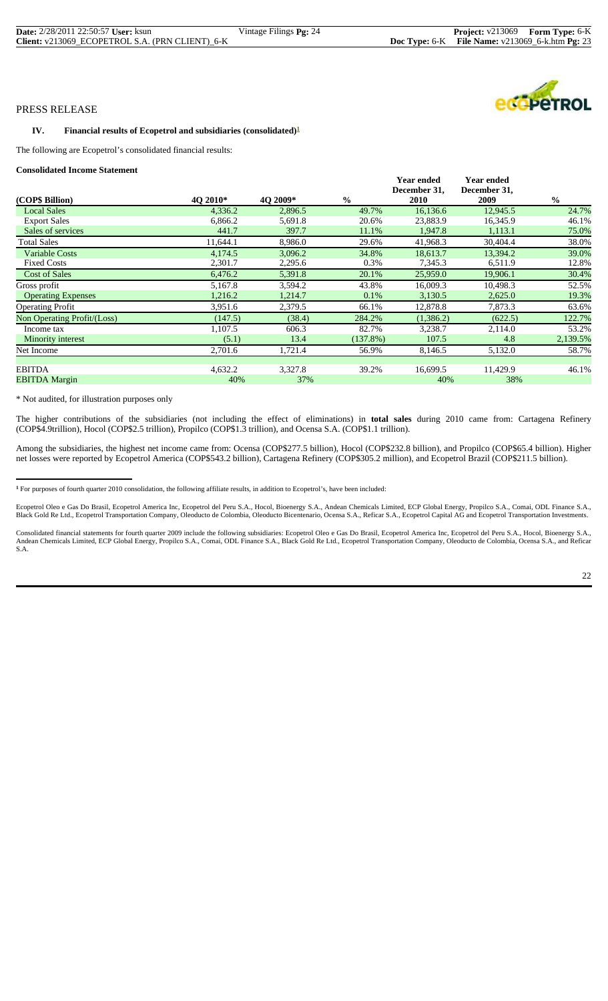#### **IV.** Financial results of Ecopetrol and subsidiaries (consolidated)<sup>1</sup>

The following are Ecopetrol's consolidated financial results:

#### **Consolidated Income Statement**

| сонзонаака нісоніс віакінсін |          |          |               |                                   |                                   |               |
|------------------------------|----------|----------|---------------|-----------------------------------|-----------------------------------|---------------|
|                              |          |          |               | <b>Year ended</b><br>December 31, | <b>Year ended</b><br>December 31, |               |
| (COP\$ Billion)              | 40 2010* | 4O 2009* | $\frac{0}{0}$ | <b>2010</b>                       | 2009                              | $\frac{0}{0}$ |
| <b>Local Sales</b>           | 4,336.2  | 2,896.5  | 49.7%         | 16,136.6                          | 12,945.5                          | 24.7%         |
| <b>Export Sales</b>          | 6,866.2  | 5,691.8  | 20.6%         | 23,883.9                          | 16,345.9                          | 46.1%         |
| Sales of services            | 441.7    | 397.7    | 11.1%         | 1,947.8                           | 1,113.1                           | 75.0%         |
| <b>Total Sales</b>           | 11,644.1 | 8,986.0  | 29.6%         | 41,968.3                          | 30,404.4                          | 38.0%         |
| <b>Variable Costs</b>        | 4,174.5  | 3,096.2  | 34.8%         | 18,613.7                          | 13,394.2                          | 39.0%         |
| <b>Fixed Costs</b>           | 2,301.7  | 2,295.6  | 0.3%          | 7,345.3                           | 6,511.9                           | 12.8%         |
| <b>Cost of Sales</b>         | 6,476.2  | 5,391.8  | 20.1%         | 25,959.0                          | 19,906.1                          | 30.4%         |
| Gross profit                 | 5,167.8  | 3,594.2  | 43.8%         | 16,009.3                          | 10,498.3                          | 52.5%         |
| <b>Operating Expenses</b>    | 1,216.2  | 1,214.7  | 0.1%          | 3,130.5                           | 2,625.0                           | 19.3%         |
| <b>Operating Profit</b>      | 3,951.6  | 2,379.5  | 66.1%         | 12,878.8                          | 7,873.3                           | 63.6%         |
| Non Operating Profit/(Loss)  | (147.5)  | (38.4)   | 284.2%        | (1,386.2)                         | (622.5)                           | 122.7%        |
| Income tax                   | 1,107.5  | 606.3    | 82.7%         | 3,238.7                           | 2,114.0                           | 53.2%         |
| Minority interest            | (5.1)    | 13.4     | (137.8%)      | 107.5                             | 4.8                               | 2,139.5%      |
| Net Income                   | 2,701.6  | 1,721.4  | 56.9%         | 8,146.5                           | 5,132.0                           | 58.7%         |
|                              |          |          |               |                                   |                                   |               |
| <b>EBITDA</b>                | 4,632.2  | 3,327.8  | 39.2%         | 16,699.5                          | 11,429.9                          | 46.1%         |
| <b>EBITDA</b> Margin         | 40%      | 37%      |               | 40%                               | 38%                               |               |

\* Not audited, for illustration purposes only

The higher contributions of the subsidiaries (not including the effect of eliminations) in **total sales** during 2010 came from: Cartagena Refinery (COP\$4.9trillion), Hocol (COP\$2.5 trillion), Propilco (COP\$1.3 trillion), and Ocensa S.A. (COP\$1.1 trillion).

Among the subsidiaries, the highest net income came from: Ocensa (COP\$277.5 billion), Hocol (COP\$232.8 billion), and Propilco (COP\$65.4 billion). Higher net losses were reported by Ecopetrol America (COP\$543.2 billion), Cartagena Refinery (COP\$305.2 million), and Ecopetrol Brazil (COP\$211.5 billion).

**<sup>1</sup>** For purposes of fourth quarter 2010 consolidation, the following affiliate results, in addition to Ecopetrol's, have been included:

Ecopetrol Oleo e Gas Do Brasil, Ecopetrol America Inc, Ecopetrol del Peru S.A., Hocol, Bioenergy S.A., Andean Chemicals Limited, ECP Global Energy, Propilco S.A., Comai, ODL Finance S.A., A., Comai, ODL Finance S.A., Horic

Consolidated financial statements for fourth quarter 2009 include the following subsidiaries: Ecopetrol Oleo e Gas Do Brasil, Ecopetrol America Inc, Ecopetrol del Peru S.A., Hocol, Bioenergy S.A., And Reficar Andean Chemic

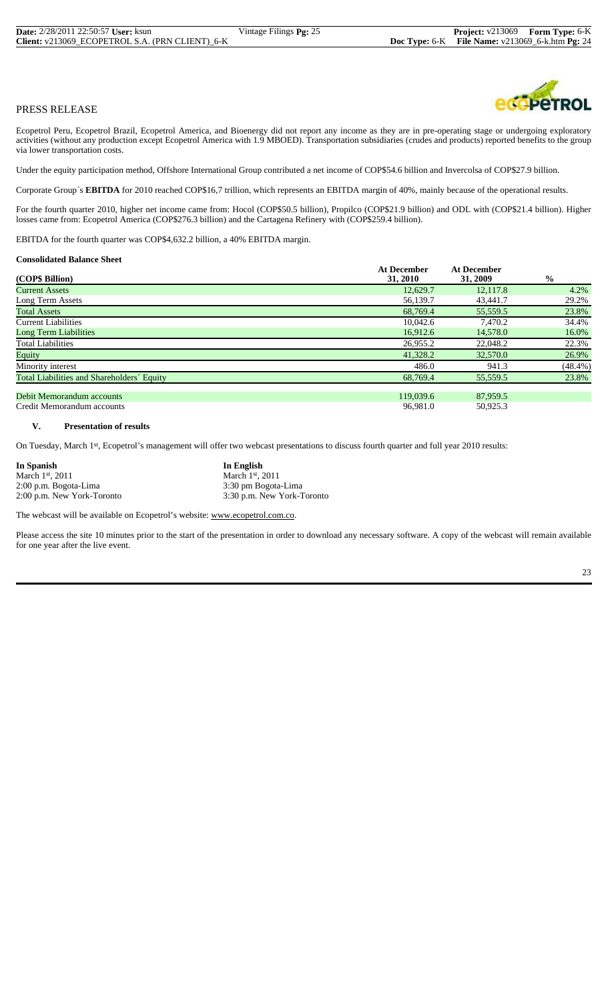Ecopetrol Peru, Ecopetrol Brazil, Ecopetrol America, and Bioenergy did not report any income as they are in pre-operating stage or undergoing exploratory activities (without any production except Ecopetrol America with 1.9 MBOED). Transportation subsidiaries (crudes and products) reported benefits to the group via lower transportation costs.

Under the equity participation method, Offshore International Group contributed a net income of COP\$54.6 billion and Invercolsa of COP\$27.9 billion.

Corporate Group´s **EBITDA** for 2010 reached COP\$16,7 trillion, which represents an EBITDA margin of 40%, mainly because of the operational results.

For the fourth quarter 2010, higher net income came from: Hocol (COP\$50.5 billion), Propilco (COP\$21.9 billion) and ODL with (COP\$21.4 billion). Higher losses came from: Ecopetrol America (COP\$276.3 billion) and the Cartagena Refinery with (COP\$259.4 billion).

EBITDA for the fourth quarter was COP\$4,632.2 billion, a 40% EBITDA margin.

#### **Consolidated Balance Sheet**

|                                            | <b>At December</b> | <b>At December</b> |               |
|--------------------------------------------|--------------------|--------------------|---------------|
| (COP\$ Billion)                            | 31, 2010           | 31, 2009           | $\frac{0}{0}$ |
| <b>Current Assets</b>                      | 12,629.7           | 12,117.8           | 4.2%          |
| Long Term Assets                           | 56,139.7           | 43,441.7           | 29.2%         |
| <b>Total Assets</b>                        | 68,769.4           | 55,559.5           | 23.8%         |
| <b>Current Liabilities</b>                 | 10.042.6           | 7.470.2            | 34.4%         |
| <b>Long Term Liabilities</b>               | 16,912.6           | 14,578.0           | 16.0%         |
| <b>Total Liabilities</b>                   | 26,955.2           | 22,048.2           | 22.3%         |
| Equity                                     | 41,328.2           | 32,570.0           | 26.9%         |
| Minority interest                          | 486.0              | 941.3              | $(48.4\%)$    |
| Total Liabilities and Shareholders' Equity | 68,769.4           | 55,559.5           | 23.8%         |
| Debit Memorandum accounts                  | 119,039.6          | 87,959.5           |               |
| Credit Memorandum accounts                 | 96,981.0           | 50,925.3           |               |

## **V. Presentation of results**

On Tuesday, March 1st, Ecopetrol's management will offer two webcast presentations to discuss fourth quarter and full year 2010 results:

| In Spanish                 | In English                 |
|----------------------------|----------------------------|
| March 1st, 2011            | March $1st$ , 2011         |
| 2:00 p.m. Bogota-Lima      | 3:30 pm Bogota-Lima        |
| 2:00 p.m. New York-Toronto | 3:30 p.m. New York-Toronto |

The webcast will be available on Ecopetrol's website: www.ecopetrol.com.co.

Please access the site 10 minutes prior to the start of the presentation in order to download any necessary software. A copy of the webcast will remain available for one year after the live event.

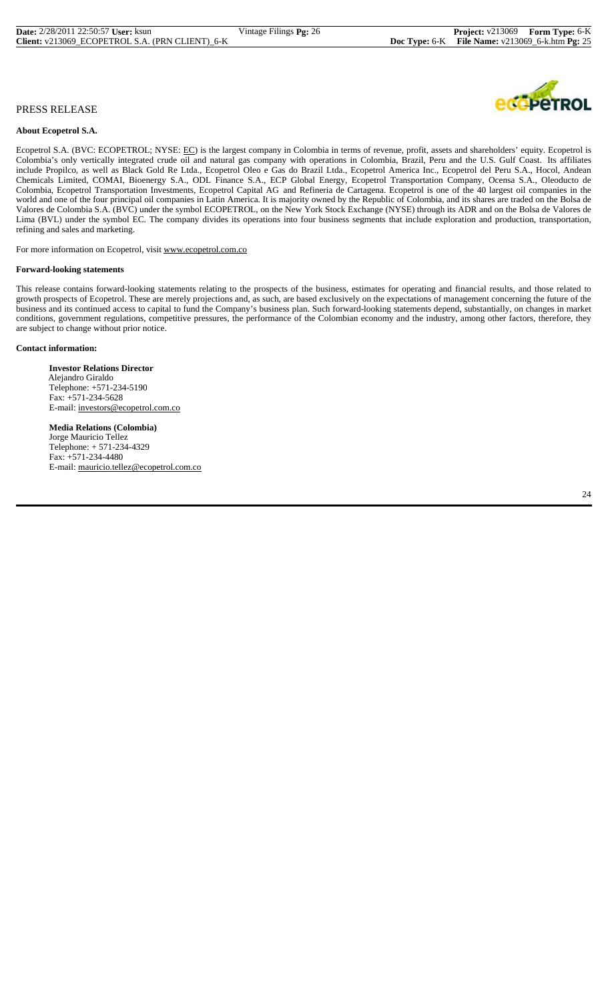#### **About Ecopetrol S.A.**

Ecopetrol S.A. (BVC: ECOPETROL; NYSE: EC) is the largest company in Colombia in terms of revenue, profit, assets and shareholders' equity. Ecopetrol is Colombia's only vertically integrated crude oil and natural gas company with operations in Colombia, Brazil, Peru and the U.S. Gulf Coast. Its affiliates include Propilco, as well as Black Gold Re Ltda., Ecopetrol Oleo e Gas do Brazil Ltda., Ecopetrol America Inc., Ecopetrol del Peru S.A., Hocol, Andean Chemicals Limited, COMAI, Bioenergy S.A., ODL Finance S.A., ECP Global Energy, Ecopetrol Transportation Company, Ocensa S.A., Oleoducto de Colombia, Ecopetrol Transportation Investments, Ecopetrol Capital AG and Refineria de Cartagena. Ecopetrol is one of the 40 largest oil companies in the world and one of the four principal oil companies in Latin America. It is majority owned by the Republic of Colombia, and its shares are traded on the Bolsa de Valores de Colombia S.A. (BVC) under the symbol ECOPETROL, on the New York Stock Exchange (NYSE) through its ADR and on the Bolsa de Valores de Lima (BVL) under the symbol EC. The company divides its operations into four business segments that include exploration and production, transportation, refining and sales and marketing.

For more information on Ecopetrol, visit www.ecopetrol.com.co

#### **Forward-looking statements**

This release contains forward-looking statements relating to the prospects of the business, estimates for operating and financial results, and those related to growth prospects of Ecopetrol. These are merely projections and, as such, are based exclusively on the expectations of management concerning the future of the business and its continued access to capital to fund the Company's business plan. Such forward-looking statements depend, substantially, on changes in market conditions, government regulations, competitive pressures, the performance of the Colombian economy and the industry, among other factors, therefore, they are subject to change without prior notice.

#### **Contact information:**

 **Investor Relations Director** Alejandro Giraldo Telephone: +571-234-5190 Fax: +571-234-5628 E-mail: investors@ecopetrol.com.co

 **Media Relations (Colombia)** Jorge Mauricio Tellez Telephone: + 571-234-4329 Fax: +571-234-4480 E-mail: mauricio.tellez@ecopetrol.com.co

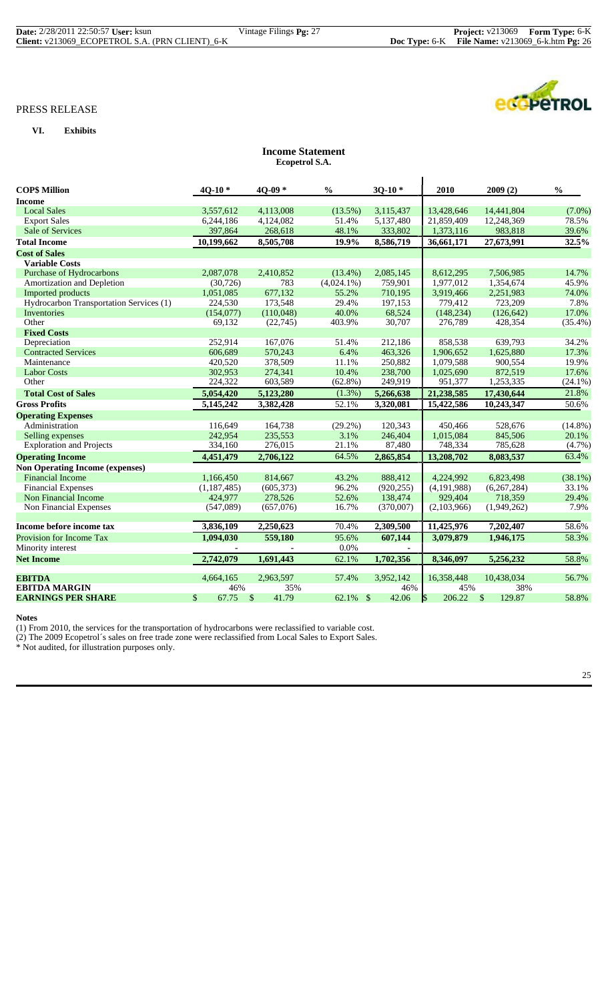$\overline{a}$ 

# PRESS RELEASE

# **VI. Exhibits**

# **Income Statement Ecopetrol S.A.**

| <b>COP\$ Million</b>                    | $40-10*$    | $40-09*$    | $\frac{0}{0}$ | $30-10*$   | 2010          | 2009(2)      | $\frac{0}{0}$ |
|-----------------------------------------|-------------|-------------|---------------|------------|---------------|--------------|---------------|
| <b>Income</b>                           |             |             |               |            |               |              |               |
| <b>Local Sales</b>                      | 3,557,612   | 4,113,008   | $(13.5\%)$    | 3,115,437  | 13,428,646    | 14,441,804   | $(7.0\%)$     |
| <b>Export Sales</b>                     | 6,244,186   | 4,124,082   | 51.4%         | 5,137,480  | 21,859,409    | 12,248,369   | 78.5%         |
| Sale of Services                        | 397,864     | 268,618     | 48.1%         | 333,802    | 1,373,116     | 983,818      | 39.6%         |
| <b>Total Income</b>                     | 10,199,662  | 8,505,708   | 19.9%         | 8,586,719  | 36,661,171    | 27,673,991   | 32.5%         |
| <b>Cost of Sales</b>                    |             |             |               |            |               |              |               |
| <b>Variable Costs</b>                   |             |             |               |            |               |              |               |
| Purchase of Hydrocarbons                | 2,087,078   | 2,410,852   | $(13.4\%)$    | 2,085,145  | 8,612,295     | 7,506,985    | 14.7%         |
| Amortization and Depletion              | (30, 726)   | 783         | $(4,024.1\%)$ | 759,901    | 1,977,012     | 1,354,674    | 45.9%         |
| Imported products                       | 1,051,085   | 677,132     | 55.2%         | 710,195    | 3,919,466     | 2,251,983    | 74.0%         |
| Hydrocarbon Transportation Services (1) | 224,530     | 173,548     | 29.4%         | 197,153    | 779,412       | 723,209      | 7.8%          |
| Inventories                             | (154,077)   | (110,048)   | 40.0%         | 68,524     | (148, 234)    | (126, 642)   | 17.0%         |
| Other                                   | 69,132      | (22,745)    | 403.9%        | 30,707     | 276,789       | 428,354      | (35.4%)       |
| <b>Fixed Costs</b>                      |             |             |               |            |               |              |               |
| Depreciation                            | 252,914     | 167,076     | 51.4%         | 212,186    | 858,538       | 639,793      | 34.2%         |
| <b>Contracted Services</b>              | 606,689     | 570.243     | 6.4%          | 463.326    | 1,906,652     | 1,625,880    | 17.3%         |
| Maintenance                             | 420,520     | 378,509     | 11.1%         | 250,882    | 1,079,588     | 900,554      | 19.9%         |
| <b>Labor Costs</b>                      | 302,953     | 274,341     | 10.4%         | 238,700    | 1,025,690     | 872,519      | 17.6%         |
| Other                                   | 224,322     | 603,589     | $(62.8\%)$    | 249,919    | 951,377       | 1,253,335    | $(24.1\%)$    |
| <b>Total Cost of Sales</b>              | 5,054,420   | 5,123,280   | $(1.3\%)$     | 5,266,638  | 21,238,585    | 17,430,644   | 21.8%         |
| <b>Gross Profits</b>                    | 5,145,242   | 3,382,428   | 52.1%         | 3,320,081  | 15,422,586    | 10,243,347   | 50.6%         |
| <b>Operating Expenses</b>               |             |             |               |            |               |              |               |
| Administration                          | 116.649     | 164,738     | $(29.2\%)$    | 120,343    | 450,466       | 528,676      | $(14.8\%)$    |
| Selling expenses                        | 242,954     | 235,553     | 3.1%          | 246,404    | 1,015,084     | 845,506      | 20.1%         |
| <b>Exploration and Projects</b>         | 334,160     | 276,015     | 21.1%         | 87,480     | 748,334       | 785,628      | (4.7%)        |
| <b>Operating Income</b>                 | 4,451,479   | 2,706,122   | 64.5%         | 2,865,854  | 13,208,702    | 8,083,537    | 63.4%         |
| <b>Non Operating Income (expenses)</b>  |             |             |               |            |               |              |               |
| <b>Financial Income</b>                 | 1,166,450   | 814,667     | 43.2%         | 888,412    | 4.224.992     | 6,823,498    | (38.1%)       |
| <b>Financial Expenses</b>               | (1,187,485) | (605, 373)  | 96.2%         | (920, 255) | (4, 191, 988) | (6,267,284)  | 33.1%         |
| Non Financial Income                    | 424,977     | 278,526     | 52.6%         | 138,474    | 929,404       | 718,359      | 29.4%         |
| Non Financial Expenses                  | (547,089)   | (657,076)   | 16.7%         | (370,007)  | (2,103,966)   | (1,949,262)  | 7.9%          |
|                                         |             |             |               |            |               |              |               |
| Income before income tax                | 3,836,109   | 2,250,623   | 70.4%         | 2,309,500  | 11,425,976    | 7,202,407    | 58.6%         |
| Provision for Income Tax                | 1,094,030   | 559,180     | 95.6%         | 607,144    | 3,079,879     | 1,946,175    | 58.3%         |
| Minority interest                       |             |             | 0.0%          |            |               |              |               |
| <b>Net Income</b>                       | 2,742,079   | 1,691,443   | 62.1%         | 1,702,356  | 8,346,097     | 5,256,232    | 58.8%         |
|                                         |             |             |               |            |               |              |               |
| <b>EBITDA</b>                           | 4,664,165   | 2,963,597   | 57.4%         | 3,952,142  | 16,358,448    | 10,438,034   | 56.7%         |
| <b>EBITDA MARGIN</b>                    | 46%         | 35%         |               | 46%        | 45%           | 38%          |               |
| <b>EARNINGS PER SHARE</b>               | \$<br>67.75 | \$<br>41.79 | 62.1% \$      | 42.06      | \$<br>206.22  | \$<br>129.87 | 58.8%         |

**Notes**

(1) From 2010, the services for the transportation of hydrocarbons were reclassified to variable cost.

(2) The 2009 Ecopetrol´s sales on free trade zone were reclassified from Local Sales to Export Sales.

\* Not audited, for illustration purposes only.

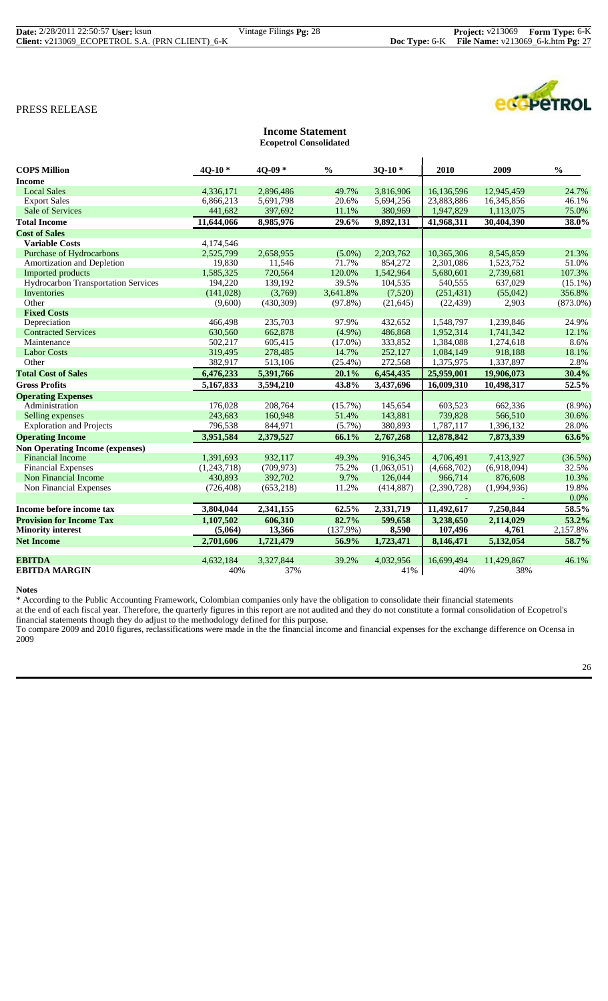| <b>Date:</b> 2/28/2011 22:50:57 <b>User:</b> ksun | Vintage Filings <b>Pg:</b> 28 | <b>Project:</b> v213069 Form Type: 6-K                    |  |
|---------------------------------------------------|-------------------------------|-----------------------------------------------------------|--|
| Client: v213069 ECOPETROL S.A. (PRN CLIENT) 6-K   |                               | <b>Doc Type:</b> 6-K File Name: $v213069_6$ -k.htm Pg: 27 |  |



|                                        |             | <b>Ecopetrol Consolidated</b> |               |             |             |             |               |
|----------------------------------------|-------------|-------------------------------|---------------|-------------|-------------|-------------|---------------|
| <b>COPS Million</b>                    | $40-10*$    | 4Q-09*                        | $\frac{0}{0}$ | $30-10*$    | 2010        | 2009        | $\frac{0}{0}$ |
| <b>Income</b>                          |             |                               |               |             |             |             |               |
| <b>Local Sales</b>                     | 4.336.171   | 2,896,486                     | 49.7%         | 3,816,906   | 16,136,596  | 12,945,459  | 24.7%         |
| <b>Export Sales</b>                    | 6,866,213   | 5,691,798                     | 20.6%         | 5,694,256   | 23,883,886  | 16,345,856  | 46.1%         |
| <b>Sale of Services</b>                | 441,682     | 397,692                       | 11.1%         | 380,969     | 1,947,829   | 1,113,075   | 75.0%         |
| <b>Total Income</b>                    | 11,644,066  | 8,985,976                     | 29.6%         | 9,892,131   | 41,968,311  | 30,404,390  | 38.0%         |
| <b>Cost of Sales</b>                   |             |                               |               |             |             |             |               |
| <b>Variable Costs</b>                  | 4,174,546   |                               |               |             |             |             |               |
| <b>Purchase of Hydrocarbons</b>        | 2,525,799   | 2,658,955                     | $(5.0\%)$     | 2,203,762   | 10,365,306  | 8,545,859   | 21.3%         |
| Amortization and Depletion             | 19,830      | 11,546                        | 71.7%         | 854,272     | 2,301,086   | 1,523,752   | 51.0%         |
| Imported products                      | 1,585,325   | 720,564                       | 120.0%        | 1,542,964   | 5,680,601   | 2,739,681   | 107.3%        |
| Hydrocarbon Transportation Services    | 194,220     | 139,192                       | 39.5%         | 104,535     | 540,555     | 637,029     | $(15.1\%)$    |
| Inventories                            | (141, 028)  | (3,769)                       | 3,641.8%      | (7,520)     | (251, 431)  | (55,042)    | 356.8%        |
| Other                                  | (9,600)     | (430,309)                     | $(97.8\%)$    | (21, 645)   | (22, 439)   | 2,903       | $(873.0\%)$   |
| <b>Fixed Costs</b>                     |             |                               |               |             |             |             |               |
| Depreciation                           | 466.498     | 235,703                       | 97.9%         | 432,652     | 1,548,797   | 1,239,846   | 24.9%         |
| <b>Contracted Services</b>             | 630,560     | 662,878                       | $(4.9\%)$     | 486,868     | 1,952,314   | 1,741,342   | 12.1%         |
| Maintenance                            | 502,217     | 605,415                       | $(17.0\%)$    | 333,852     | 1,384,088   | 1,274,618   | 8.6%          |
| <b>Labor Costs</b>                     | 319,495     | 278,485                       | 14.7%         | 252,127     | 1,084,149   | 918,188     | 18.1%         |
| Other                                  | 382,917     | 513,106                       | $(25.4\%)$    | 272,568     | 1,375,975   | 1,337,897   | 2.8%          |
| <b>Total Cost of Sales</b>             | 6,476,233   | 5,391,766                     | 20.1%         | 6,454,435   | 25,959,001  | 19,906,073  | 30.4%         |
| <b>Gross Profits</b>                   | 5,167,833   | 3,594,210                     | 43.8%         | 3,437,696   | 16,009,310  | 10,498,317  | 52.5%         |
| <b>Operating Expenses</b>              |             |                               |               |             |             |             |               |
| Administration                         | 176,028     | 208,764                       | $(15.7\%)$    | 145,654     | 603,523     | 662,336     | $(8.9\%)$     |
| Selling expenses                       | 243.683     | 160,948                       | 51.4%         | 143,881     | 739,828     | 566,510     | 30.6%         |
| <b>Exploration and Projects</b>        | 796,538     | 844,971                       | $(5.7\%)$     | 380,893     | 1,787,117   | 1,396,132   | 28.0%         |
| <b>Operating Income</b>                | 3,951,584   | 2,379,527                     | 66.1%         | 2,767,268   | 12,878,842  | 7,873,339   | 63.6%         |
| <b>Non Operating Income (expenses)</b> |             |                               |               |             |             |             |               |
| <b>Financial Income</b>                | 1,391,693   | 932.117                       | 49.3%         | 916,345     | 4,706,491   | 7,413,927   | (36.5%)       |
| <b>Financial Expenses</b>              | (1,243,718) | (709, 973)                    | 75.2%         | (1,063,051) | (4,668,702) | (6,918,094) | 32.5%         |
| Non Financial Income                   | 430.893     | 392,702                       | 9.7%          | 126,044     | 966,714     | 876,608     | 10.3%         |
| Non Financial Expenses                 | (726, 408)  | (653, 218)                    | 11.2%         | (414, 887)  | (2,390,728) | (1,994,936) | 19.8%         |
|                                        |             |                               |               |             |             |             | $0.0\%$       |
| Income before income tax               | 3,804,044   | 2,341,155                     | 62.5%         | 2,331,719   | 11,492,617  | 7,250,844   | 58.5%         |
| <b>Provision for Income Tax</b>        | 1,107,502   | 606,310                       | 82.7%         | 599,658     | 3,238,650   | 2,114,029   | 53.2%         |
| <b>Minority interest</b>               | (5,064)     | 13,366                        | (137.9%)      | 8,590       | 107,496     | 4,761       | 2,157.8%      |
| <b>Net Income</b>                      | 2,701,606   | 1,721,479                     | 56.9%         | 1,723,471   | 8,146,471   | 5,132,054   | 58.7%         |
| <b>EBITDA</b>                          | 4,632,184   | 3,327,844                     | 39.2%         | 4,032,956   | 16.699.494  | 11,429,867  | 46.1%         |
| <b>EBITDA MARGIN</b>                   | 40%         | 37%                           |               | 41%         | 40%         | 38%         |               |
|                                        |             |                               |               |             |             |             |               |

**Income Statement**

**Notes**

\* According to the Public Accounting Framework, Colombian companies only have the obligation to consolidate their financial statements

at the end of each fiscal year. Therefore, the quarterly figures in this report are not audited and they do not constitute a formal consolidation of Ecopetrol's financial statements though they do adjust to the methodology defined for this purpose.

To compare 2009 and 2010 figures, reclassifications were made in the the financial income and financial expenses for the exchange difference on Ocensa in 2009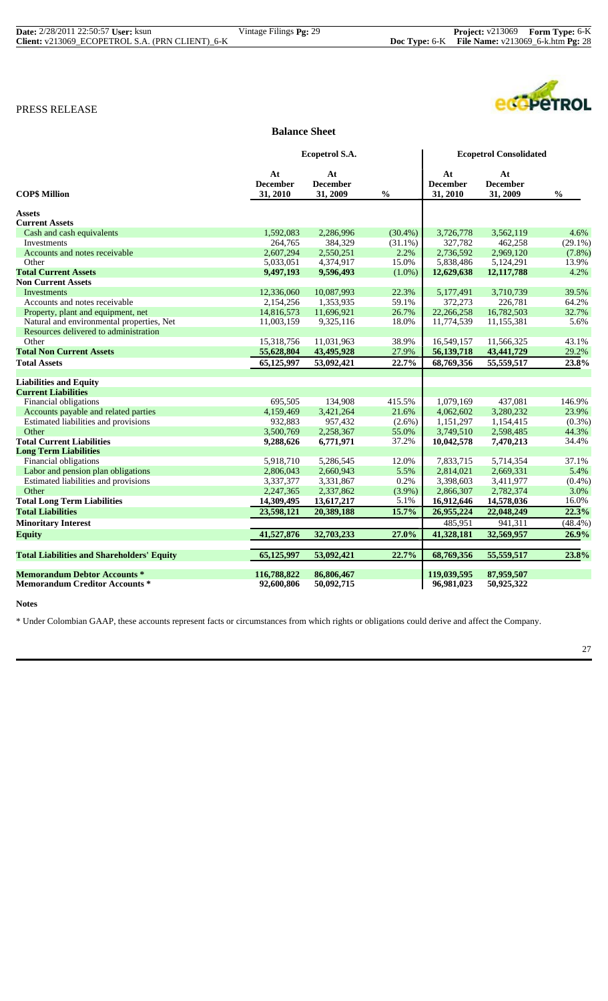| <b>Date:</b> 2/28/2011 22:50:57 <b>User:</b> ksun | Vintage Filings <b>Pg:</b> 29 | <b>Project:</b> v213069 Form Type: 6-K               |  |
|---------------------------------------------------|-------------------------------|------------------------------------------------------|--|
| Client: v213069_ECOPETROL S.A. (PRN CLIENT)_6-K   |                               | Doc Type: $6-K$ File Name: $v213069_6$ -k.htm Pg: 28 |  |

# **Balance Sheet**

|                                                   |                                   | Ecopetrol S.A.                    |                                    |                                   | <b>Ecopetrol Consolidated</b>     |               |
|---------------------------------------------------|-----------------------------------|-----------------------------------|------------------------------------|-----------------------------------|-----------------------------------|---------------|
| <b>COP\$ Million</b>                              | At<br><b>December</b><br>31, 2010 | At<br><b>December</b><br>31, 2009 | $\mathbf{0}_{\mathbf{0}}^{\prime}$ | At<br><b>December</b><br>31, 2010 | At<br><b>December</b><br>31, 2009 | $\frac{0}{0}$ |
| <b>Assets</b>                                     |                                   |                                   |                                    |                                   |                                   |               |
| <b>Current Assets</b>                             |                                   |                                   |                                    |                                   |                                   |               |
| Cash and cash equivalents                         | 1,592,083                         | 2,286,996                         | $(30.4\%)$                         | 3,726,778                         | 3,562,119                         | 4.6%          |
| Investments                                       | 264,765                           | 384,329                           | $(31.1\%)$                         | 327,782                           | 462,258                           | $(29.1\%)$    |
| Accounts and notes receivable                     | 2,607,294                         | 2,550,251                         | 2.2%                               | 2,736,592                         | 2,969,120                         | $(7.8\%)$     |
| Other                                             | 5,033,051                         | 4,374,917                         | 15.0%                              | 5,838,486                         | 5,124,291                         | 13.9%         |
| <b>Total Current Assets</b>                       | 9,497,193                         | 9,596,493                         | $(1.0\%)$                          | 12,629,638                        | 12,117,788                        | 4.2%          |
| <b>Non Current Assets</b>                         |                                   |                                   |                                    |                                   |                                   |               |
| Investments                                       | 12,336,060                        | 10,087,993                        | 22.3%                              | 5,177,491                         | 3,710,739                         | 39.5%         |
| Accounts and notes receivable                     | 2,154,256                         | 1,353,935                         | 59.1%                              | 372,273                           | 226,781                           | 64.2%         |
| Property, plant and equipment, net                | 14,816,573                        | 11,696,921                        | 26.7%                              | 22,266,258                        | 16,782,503                        | 32.7%         |
| Natural and environmental properties, Net         | 11,003,159                        | 9,325,116                         | 18.0%                              | 11,774,539                        | 11,155,381                        | 5.6%          |
| Resources delivered to administration             |                                   |                                   |                                    |                                   |                                   |               |
| Other                                             | 15,318,756                        | 11,031,963                        | 38.9%                              | 16,549,157                        | 11,566,325                        | 43.1%         |
| <b>Total Non Current Assets</b>                   | 55,628,804                        | 43,495,928                        | 27.9%                              | 56,139,718                        | 43,441,729                        | 29.2%         |
| <b>Total Assets</b>                               | 65,125,997                        | 53,092,421                        | 22.7%                              | 68,769,356                        | 55,559,517                        | 23.8%         |
| <b>Liabilities and Equity</b>                     |                                   |                                   |                                    |                                   |                                   |               |
| <b>Current Liabilities</b>                        |                                   |                                   |                                    |                                   |                                   |               |
| Financial obligations                             | 695,505                           | 134,908                           | 415.5%                             | 1,079,169                         | 437,081                           | 146.9%        |
| Accounts payable and related parties              | 4,159,469                         | 3,421,264                         | 21.6%                              | 4,062,602                         | 3,280,232                         | 23.9%         |
| Estimated liabilities and provisions              | 932,883                           | 957,432                           | $(2.6\%)$                          | 1,151,297                         | 1,154,415                         | $(0.3\%)$     |
| Other                                             | 3,500,769                         | 2,258,367                         | 55.0%                              | 3,749,510                         | 2,598,485                         | 44.3%         |
| <b>Total Current Liabilities</b>                  | 9,288,626                         | 6,771,971                         | 37.2%                              | 10,042,578                        | 7,470,213                         | 34.4%         |
| <b>Long Term Liabilities</b>                      |                                   |                                   |                                    |                                   |                                   |               |
| Financial obligations                             | 5,918,710                         | 5,286,545                         | 12.0%                              | 7,833,715                         | 5,714,354                         | 37.1%         |
| Labor and pension plan obligations                | 2,806,043                         | 2,660,943                         | 5.5%                               | 2,814,021                         | 2,669,331                         | 5.4%          |
| Estimated liabilities and provisions              | 3,337,377                         | 3,331,867                         | 0.2%                               | 3,398,603                         | 3,411,977                         | $(0.4\%)$     |
| Other                                             | 2,247,365                         | 2,337,862                         | $(3.9\%)$                          | 2,866,307                         | 2,782,374                         | 3.0%          |
| <b>Total Long Term Liabilities</b>                | 14,309,495                        | 13,617,217                        | 5.1%                               | 16,912,646                        | 14,578,036                        | 16.0%         |
| <b>Total Liabilities</b>                          | 23,598,121                        | 20,389,188                        | 15.7%                              | 26,955,224                        | 22,048,249                        | 22.3%         |
| <b>Minoritary Interest</b>                        |                                   |                                   |                                    | 485,951                           | 941,311                           | (48.4%)       |
| <b>Equity</b>                                     | 41,527,876                        | 32,703,233                        | 27.0%                              | 41,328,181                        | 32,569,957                        | 26.9%         |
| <b>Total Liabilities and Shareholders' Equity</b> | 65,125,997                        | 53,092,421                        | 22.7%                              | 68,769,356                        | 55,559,517                        | 23.8%         |
| <b>Memorandum Debtor Accounts *</b>               | 116,788,822                       | 86,806,467                        |                                    | 119,039,595                       | 87,959,507                        |               |
| <b>Memorandum Creditor Accounts *</b>             | 92,600,806                        | 50,092,715                        |                                    | 96,981,023                        | 50,925,322                        |               |

**Notes**

\* Under Colombian GAAP, these accounts represent facts or circumstances from which rights or obligations could derive and affect the Company.

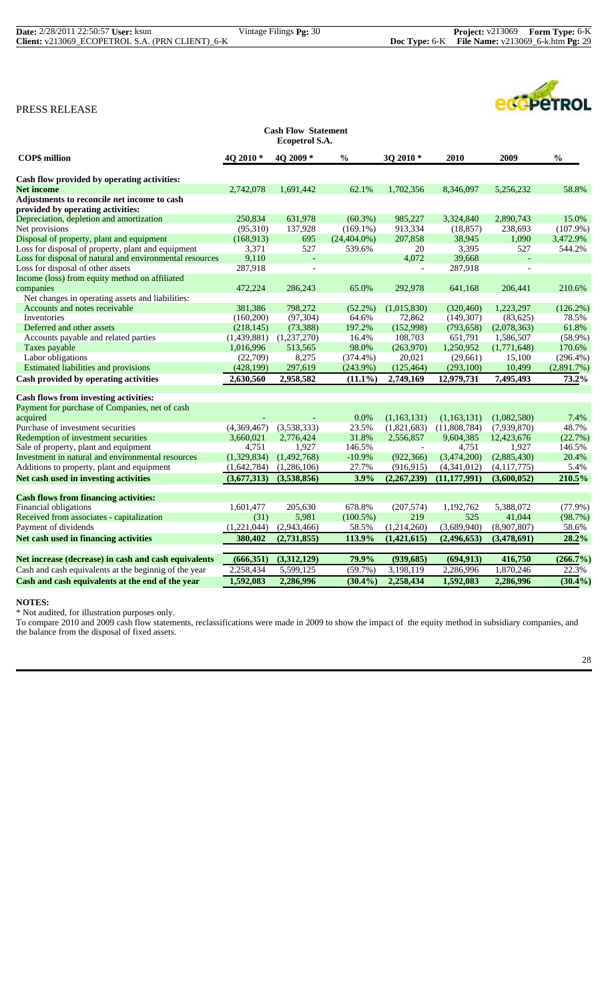ecopeTROL

# PRESS RELEASE

| <b>Cash Flow Statement</b><br>Ecopetrol S.A.             |                      |                          |                 |                          |                |                |               |  |
|----------------------------------------------------------|----------------------|--------------------------|-----------------|--------------------------|----------------|----------------|---------------|--|
| <b>COPS</b> million                                      | 4Q 2010 <sup>*</sup> | 4O 2009 *                | $\frac{0}{0}$   | 3Q 2010 *                | 2010           | 2009           | $\frac{0}{0}$ |  |
| Cash flow provided by operating activities:              |                      |                          |                 |                          |                |                |               |  |
| <b>Net income</b>                                        | 2,742,078            | 1,691,442                | 62.1%           | 1,702,356                | 8,346,097      | 5,256,232      | 58.8%         |  |
| Adjustments to reconcile net income to cash              |                      |                          |                 |                          |                |                |               |  |
| provided by operating activities:                        |                      |                          |                 |                          |                |                |               |  |
| Depreciation, depletion and amortization                 | 250,834              | 631,978                  | $(60.3\%)$      | 985,227                  | 3,324,840      | 2,890,743      | 15.0%         |  |
| Net provisions                                           | (95,310)             | 137,928                  | $(169.1\%)$     | 913,334                  | (18, 857)      | 238,693        | $(107.9\%)$   |  |
| Disposal of property, plant and equipment                | (168,913)            | 695                      | $(24, 404.0\%)$ | 207,858                  | 38,945         | 1,090          | 3,472.9%      |  |
| Loss for disposal of property, plant and equipment       | 3,371                | 527                      | 539.6%          | 20                       | 3,395          | 527            | 544.2%        |  |
| Loss for disposal of natural and environmental resources | 9,110                | L,                       |                 | 4,072                    | 39,668         |                |               |  |
| Loss for disposal of other assets                        | 287,918              | $\overline{\phantom{a}}$ |                 | $\overline{\phantom{a}}$ | 287,918        | $\overline{a}$ |               |  |
| Income (loss) from equity method on affiliated           |                      |                          |                 |                          |                |                |               |  |
| companies                                                | 472,224              | 286,243                  | 65.0%           | 292,978                  | 641,168        | 206,441        | 210.6%        |  |
| Net changes in operating assets and liabilities:         |                      |                          |                 |                          |                |                |               |  |
| Accounts and notes receivable                            | 381,386              | 798,272                  | $(52.2\%)$      | (1,015,830)              | (320, 460)     | 1,223,297      | $(126.2\%)$   |  |
| <b>Inventories</b>                                       | (160, 200)           | (97, 304)                | 64.6%           | 72,862                   | (149, 307)     | (83,625)       | 78.5%         |  |
| Deferred and other assets                                | (218, 145)           | (73, 388)                | 197.2%          | (152,998)                | (793, 658)     | (2,078,363)    | 61.8%         |  |
| Accounts payable and related parties                     | (1,439,881)          | (1,237,270)              | 16.4%           | 108,703                  | 651,791        | 1,586,507      | $(58.9\%)$    |  |
| Taxes payable                                            | 1,016,996            | 513,565                  | 98.0%           | (263,970)                | 1,250,952      | (1,771,648)    | 170.6%        |  |
| Labor obligations                                        | (22,709)             | 8,275                    | $(374.4\%)$     | 20,021                   | (29,661)       | 15,100         | $(296.4\%)$   |  |
| Estimated liabilities and provisions                     | (428, 199)           | 297,619                  | (243.9%)        | (125, 464)               | (293,100)      | 10,499         | $(2,891.7\%)$ |  |
| Cash provided by operating activities                    | 2,630,560            | 2,958,582                | $(11.1\%)$      | 2,749,169                | 12,979,731     | 7,495,493      | 73.2%         |  |
|                                                          |                      |                          |                 |                          |                |                |               |  |
| <b>Cash flows from investing activities:</b>             |                      |                          |                 |                          |                |                |               |  |
| Payment for purchase of Companies, net of cash           |                      |                          |                 |                          |                |                |               |  |
| acquired                                                 |                      |                          | 0.0%            | (1,163,131)              | (1,163,131)    | (1,082,580)    | 7.4%          |  |
| Purchase of investment securities                        | (4,369,467)          | (3,538,333)              | 23.5%           | (1,821,683)              | (11,808,784)   | (7,939,870)    | 48.7%         |  |
| Redemption of investment securities                      | 3.660.021            | 2,776,424                | 31.8%           | 2,556,857                | 9,604,385      | 12,423,676     | (22.7%)       |  |
| Sale of property, plant and equipment                    | 4,751                | 1,927                    | 146.5%          | $\blacksquare$           | 4,751          | 1,927          | 146.5%        |  |
| Investment in natural and environmental resources        | (1,329,834)          | (1,492,768)              | $-10.9%$        | (922, 366)               | (3,474,200)    | (2,885,430)    | 20.4%         |  |
| Additions to property, plant and equipment               | (1,642,784)          | (1,286,106)              | 27.7%           | (916, 915)               | (4,341,012)    | (4, 117, 775)  | 5.4%          |  |
| Net cash used in investing activities                    | (3,677,313)          | (3,538,856)              | 3.9%            | (2,267,239)              | (11, 177, 991) | (3,600,052)    | 210.5%        |  |
| <b>Cash flows from financing activities:</b>             |                      |                          |                 |                          |                |                |               |  |
| Financial obligations                                    | 1,601,477            | 205,630                  | 678.8%          | (207, 574)               | 1,192,762      | 5,388,072      | $(77.9\%)$    |  |
| Received from associates - capitalization                | (31)                 | 5,981                    | $(100.5\%)$     | 219                      | 525            | 41,044         | (98.7%)       |  |
| Payment of dividends                                     | (1,221,044)          | (2,943,466)              | 58.5%           | (1,214,260)              | (3,689,940)    | (8,907,807)    | 58.6%         |  |
| Net cash used in financing activities                    | 380,402              | (2,731,855)              | 113.9%          | (1,421,615)              | (2,496,653)    | (3,478,691)    | 28.2%         |  |
|                                                          |                      |                          |                 |                          |                |                |               |  |
| Net increase (decrease) in cash and cash equivalents     | (666, 351)           | (3,312,129)              | 79.9%           | (939, 685)               | (694, 913)     | 416,750        | (266.7%)      |  |
| Cash and cash equivalents at the beginnig of the year    | 2,258,434            | 5,599,125                | $(59.7\%)$      | 3,198,119                | 2,286,996      | 1,870,246      | 22.3%         |  |
| Cash and cash equivalents at the end of the year         | 1.592.083            | 2.286.996                | $(30.4\%)$      | 2.258.434                | 1.592.083      | 2.286.996      | (30.4%        |  |

# **NOTES:**

\* Not audited, for illustration purposes only.

To compare 2010 and 2009 cash flow statements, reclassifications were made in 2009 to show the impact of the equity method in subsidiary companies, and the balance from the disposal of fixed assets.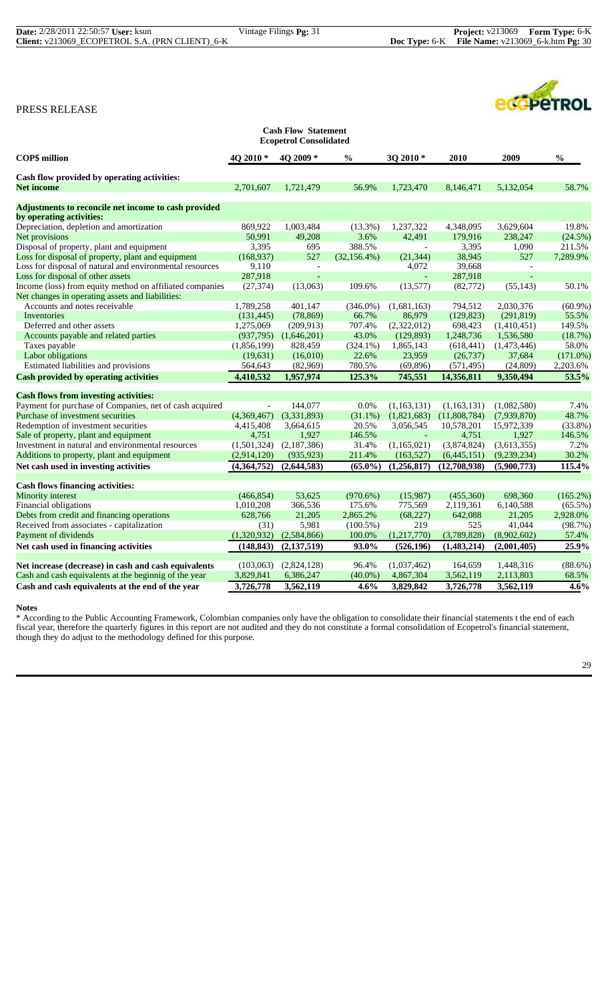| <b>Cash Flow Statement</b><br><b>Ecopetrol Consolidated</b> |                          |                |                 |                |              |                |               |  |
|-------------------------------------------------------------|--------------------------|----------------|-----------------|----------------|--------------|----------------|---------------|--|
| <b>COP\$</b> million                                        | $402010*$                | 4O 2009 *      | $\frac{0}{0}$   | 3Q 2010*       | 2010         | 2009           | $\frac{0}{0}$ |  |
| Cash flow provided by operating activities:                 |                          |                |                 |                |              |                |               |  |
| <b>Net income</b>                                           | 2.701.607                | 1.721.479      | 56.9%           | 1,723,470      | 8,146,471    | 5.132,054      | 58.7%         |  |
| Adjustments to reconcile net income to cash provided        |                          |                |                 |                |              |                |               |  |
| by operating activities:                                    |                          |                |                 |                |              |                |               |  |
| Depreciation, depletion and amortization                    | 869,922                  | 1,003,484      | (13.3%)         | 1,237,322      | 4.348.095    | 3.629.604      | 19.8%         |  |
| Net provisions                                              | 50,991                   | 49.208         | 3.6%            | 42.491         | 179,916      | 238,247        | (24.5%)       |  |
| Disposal of property, plant and equipment                   | 3,395                    | 695            | 388.5%          |                | 3,395        | 1,090          | 211.5%        |  |
| Loss for disposal of property, plant and equipment          | (168, 937)               | 527            | $(32, 156.4\%)$ | (21, 344)      | 38,945       | 527            | 7,289.9%      |  |
| Loss for disposal of natural and environmental resources    | 9,110                    | $\blacksquare$ |                 | 4,072          | 39,668       | $\blacksquare$ |               |  |
| Loss for disposal of other assets                           | 287,918                  | $\overline{a}$ |                 | $\overline{a}$ | 287,918      | ÷,             |               |  |
| Income (loss) from equity method on affiliated companies    | (27, 374)                | (13,063)       | 109.6%          | (13,577)       | (82, 772)    | (55, 143)      | 50.1%         |  |
| Net changes in operating assets and liabilities:            |                          |                |                 |                |              |                |               |  |
| Accounts and notes receivable                               | 1,789,258                | 401,147        | $(346.0\%)$     | (1,681,163)    | 794,512      | 2,030,376      | $(60.9\%)$    |  |
| Inventories                                                 | (131, 445)               | (78, 869)      | 66.7%           | 86,979         | (129, 823)   | (291, 819)     | 55.5%         |  |
| Deferred and other assets                                   | 1,275,069                | (209, 913)     | 707.4%          | (2,322,012)    | 698,423      | (1,410,451)    | 149.5%        |  |
| Accounts payable and related parties                        | (937, 795)               | (1,646,201)    | 43.0%           | (129, 893)     | 1,248,736    | 1,536,580      | (18.7%)       |  |
| Taxes payable                                               | (1,856,199)              | 828,459        | $(324.1\%)$     | 1,865,143      | (618, 441)   | (1,473,446)    | 58.0%         |  |
| Labor obligations                                           | (19, 631)                | (16,010)       | 22.6%           | 23,959         | (26, 737)    | 37,684         | (171.0%)      |  |
| Estimated liabilities and provisions                        | 564,643                  | (82,969)       | 780.5%          | (69, 896)      | (571, 495)   | (24, 809)      | 2,203.6%      |  |
| <b>Cash provided by operating activities</b>                | 4,410,532                | 1,957,974      | 125.3%          | 745,551        | 14,356,811   | 9,350,494      | 53.5%         |  |
|                                                             |                          |                |                 |                |              |                |               |  |
| <b>Cash flows from investing activities:</b>                |                          |                |                 |                |              |                |               |  |
| Payment for purchase of Companies, net of cash acquired     | $\overline{\phantom{a}}$ | 144,077        | $0.0\%$         | (1,163,131)    | (1,163,131)  | (1,082,580)    | 7.4%          |  |
| Purchase of investment securities                           | (4,369,467)              | (3,331,893)    | $(31.1\%)$      | (1,821,683)    | (11,808,784) | (7,939,870)    | 48.7%         |  |
| Redemption of investment securities                         | 4,415,408                | 3,664,615      | 20.5%           | 3,056,545      | 10,578,201   | 15,972,339     | $(33.8\%)$    |  |
| Sale of property, plant and equipment                       | 4,751                    | 1,927          | 146.5%          | $\mathbb{Z}^2$ | 4,751        | 1,927          | 146.5%        |  |
| Investment in natural and environmental resources           | (1,501,324)              | (2,187,386)    | 31.4%           | (1,165,021)    | (3,874,824)  | (3,613,355)    | 7.2%          |  |
| Additions to property, plant and equipment                  | (2,914,120)              | (935, 923)     | 211.4%          | (163, 527)     | (6,445,151)  | (9,239,234)    | 30.2%         |  |
| Net cash used in investing activities                       | (4,364,752)              | (2,644,583)    | $(65.0\%)$      | (1,256,817)    | (12,708,938) | (5,900,773)    | 115.4%        |  |
| <b>Cash flows financing activities:</b>                     |                          |                |                 |                |              |                |               |  |
| <b>Minority</b> interest                                    | (466, 854)               | 53,625         | (970.6%)        | (15,987)       | (455,360)    | 698,360        | $(165.2\%)$   |  |
| Financial obligations                                       | 1,010,208                | 366,536        | 175.6%          | 775,569        | 2,119,361    | 6,140,588      | $(65.5\%)$    |  |
| Debts from credit and financing operations                  | 628,766                  | 21,205         | 2,865.2%        | (68, 227)      | 642,088      | 21,205         | 2,928.0%      |  |
| Received from associates - capitalization                   | (31)                     | 5,981          | $(100.5\%)$     | 219            | 525          | 41,044         | (98.7%)       |  |
| Payment of dividends                                        | (1,320,932)              | (2, 584, 866)  | 100.0%          | (1,217,770)    | (3,789,828)  | (8,902,602)    | 57.4%         |  |
| Net cash used in financing activities                       | (148, 843)               | (2, 137, 519)  | 93.0%           | (526, 196)     | (1,483,214)  | (2,001,405)    | 25.9%         |  |
| Net increase (decrease) in cash and cash equivalents        | (103,063)                | (2,824,128)    | 96.4%           | (1,037,462)    | 164,659      | 1,448,316      | $(88.6\%)$    |  |
| Cash and cash equivalents at the beginnig of the year       | 3,829,841                | 6,386,247      | $(40.0\%)$      | 4,867,304      | 3,562,119    | 2,113,803      | 68.5%         |  |
| Cash and cash equivalents at the end of the year            | 3,726,778                | 3,562,119      | 4.6%            | 3,829,842      | 3,726,778    | 3,562,119      | 4.6%          |  |

# **Notes**

\* According to the Public Accounting Framework, Colombian companies only have the obligation to consolidate their financial statements t the end of each fiscal year, therefore the quarterly figures in this report are not audited and they do not constitute a formal consolidation of Ecopetrol's financial statement, though they do adjust to the methodology defined for this purpose.

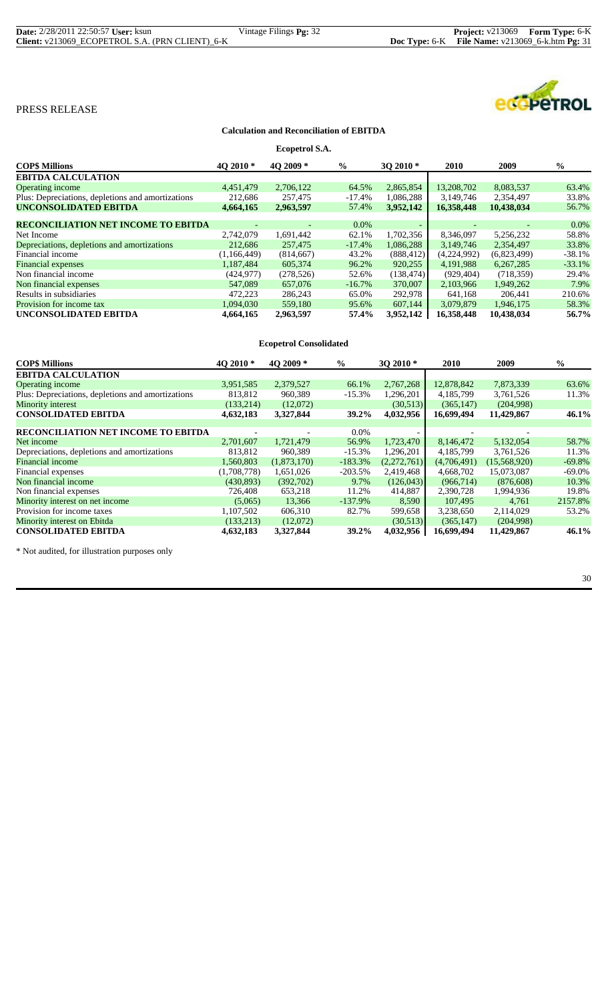| <b>Date:</b> 2/28/2011 22:50:57 <b>User:</b> ksun | Vintage Filings <b>Pg:</b> 32 | <b>Project:</b> v213069 Form Type: 6-K                      |  |
|---------------------------------------------------|-------------------------------|-------------------------------------------------------------|--|
| Client: v213069 ECOPETROL S.A. (PRN CLIENT) 6-K   |                               | <b>Doc Type:</b> $6-K$ File Name: $v213069_6$ -k.htm Pg: 31 |  |

# ecopeTROL

# PRESS RELEASE

#### **Calculation and Reconciliation of EBITDA**

| Ecopetrol S.A.                                    |             |            |               |            |             |             |               |
|---------------------------------------------------|-------------|------------|---------------|------------|-------------|-------------|---------------|
| <b>COPS Millions</b>                              | 4O 2010*    | 40 2009 *  | $\frac{6}{6}$ | 3O 2010 *  | 2010        | 2009        | $\frac{6}{6}$ |
| <b>EBITDA CALCULATION</b>                         |             |            |               |            |             |             |               |
| <b>Operating income</b>                           | 4,451,479   | 2,706,122  | 64.5%         | 2,865,854  | 13,208,702  | 8,083,537   | 63.4%         |
| Plus: Depreciations, depletions and amortizations | 212,686     | 257,475    | $-17.4%$      | 1,086,288  | 3,149,746   | 2,354,497   | 33.8%         |
| <b>UNCONSOLIDATED EBITDA</b>                      | 4,664,165   | 2,963,597  | 57.4%         | 3,952,142  | 16,358,448  | 10,438,034  | 56.7%         |
|                                                   |             |            |               |            |             |             |               |
| <b>RECONCILIATION NET INCOME TO EBITDA</b>        |             |            | $0.0\%$       |            |             |             | $0.0\%$       |
| Net Income                                        | 2,742,079   | 1,691,442  | 62.1%         | 1,702,356  | 8,346,097   | 5,256,232   | 58.8%         |
| Depreciations, depletions and amortizations       | 212,686     | 257,475    | $-17.4%$      | 1,086,288  | 3,149,746   | 2,354,497   | 33.8%         |
| Financial income                                  | (1,166,449) | (814, 667) | 43.2%         | (888, 412) | (4,224,992) | (6,823,499) | $-38.1%$      |
| <b>Financial expenses</b>                         | 1,187,484   | 605,374    | 96.2%         | 920,255    | 4, 191, 988 | 6,267,285   | $-33.1%$      |
| Non financial income                              | (424, 977)  | (278, 526) | 52.6%         | (138, 474) | (929, 404)  | (718, 359)  | 29.4%         |
| Non financial expenses                            | 547,089     | 657,076    | $-16.7\%$     | 370,007    | 2.103.966   | 1.949.262   | 7.9%          |
| Results in subsidiaries                           | 472,223     | 286,243    | 65.0%         | 292,978    | 641,168     | 206,441     | 210.6%        |
| Provision for income tax                          | 1,094,030   | 559,180    | 95.6%         | 607,144    | 3.079.879   | 1.946.175   | 58.3%         |
| UNCONSOLIDATED EBITDA                             | 4,664,165   | 2,963,597  | 57.4%         | 3,952,142  | 16,358,448  | 10,438,034  | 56.7%         |

| <b>Ecopetrol Consolidated</b>                     |             |             |               |             |             |              |               |
|---------------------------------------------------|-------------|-------------|---------------|-------------|-------------|--------------|---------------|
| <b>COPS Millions</b>                              | $402010*$   | 40 2009 $*$ | $\frac{6}{9}$ | 30 2010 *   | <b>2010</b> | <b>2009</b>  | $\frac{0}{0}$ |
| <b>EBITDA CALCULATION</b>                         |             |             |               |             |             |              |               |
| Operating income                                  | 3,951,585   | 2,379,527   | 66.1%         | 2,767,268   | 12,878,842  | 7,873,339    | 63.6%         |
| Plus: Depreciations, depletions and amortizations | 813,812     | 960,389     | $-15.3%$      | 1,296,201   | 4,185,799   | 3,761,526    | 11.3%         |
| <b>Minority interest</b>                          | (133, 214)  | (12,072)    |               | (30,513)    | (365, 147)  | (204,998)    |               |
| <b>CONSOLIDATED EBITDA</b>                        | 4,632,183   | 3,327,844   | 39.2%         | 4,032,956   | 16,699,494  | 11,429,867   | 46.1%         |
|                                                   |             |             |               |             |             |              |               |
| <b>RECONCILIATION NET INCOME TO EBITDA</b>        |             |             | $0.0\%$       |             |             |              |               |
| Net income                                        | 2,701,607   | 1,721,479   | 56.9%         | 1,723,470   | 8,146,472   | 5,132,054    | 58.7%         |
| Depreciations, depletions and amortizations       | 813.812     | 960.389     | $-15.3%$      | 1,296,201   | 4.185.799   | 3,761,526    | 11.3%         |
| <b>Financial income</b>                           | 1,560,803   | (1,873,170) | $-183.3%$     | (2,272,761) | (4,706,491) | (15,568,920) | $-69.8%$      |
| Financial expenses                                | (1,708,778) | 1,651,026   | $-203.5%$     | 2,419,468   | 4,668,702   | 15,073,087   | $-69.0%$      |
| Non financial income                              | (430, 893)  | (392,702)   | 9.7%          | (126, 043)  | (966, 714)  | (876, 608)   | 10.3%         |
| Non financial expenses                            | 726,408     | 653,218     | 11.2%         | 414,887     | 2,390,728   | 1,994,936    | 19.8%         |
| Minority interest on net income                   | (5,065)     | 13.366      | $-137.9%$     | 8,590       | 107.495     | 4,761        | 2157.8%       |
| Provision for income taxes                        | 1,107,502   | 606,310     | 82.7%         | 599,658     | 3,238,650   | 2,114,029    | 53.2%         |
| Minority interest on Ebitda                       | (133, 213)  | (12,072)    |               | (30,513)    | (365, 147)  | (204,998)    |               |
| <b>CONSOLIDATED EBITDA</b>                        | 4,632,183   | 3,327,844   | 39.2%         | 4,032,956   | 16,699,494  | 11,429,867   | 46.1%         |

\* Not audited, for illustration purposes only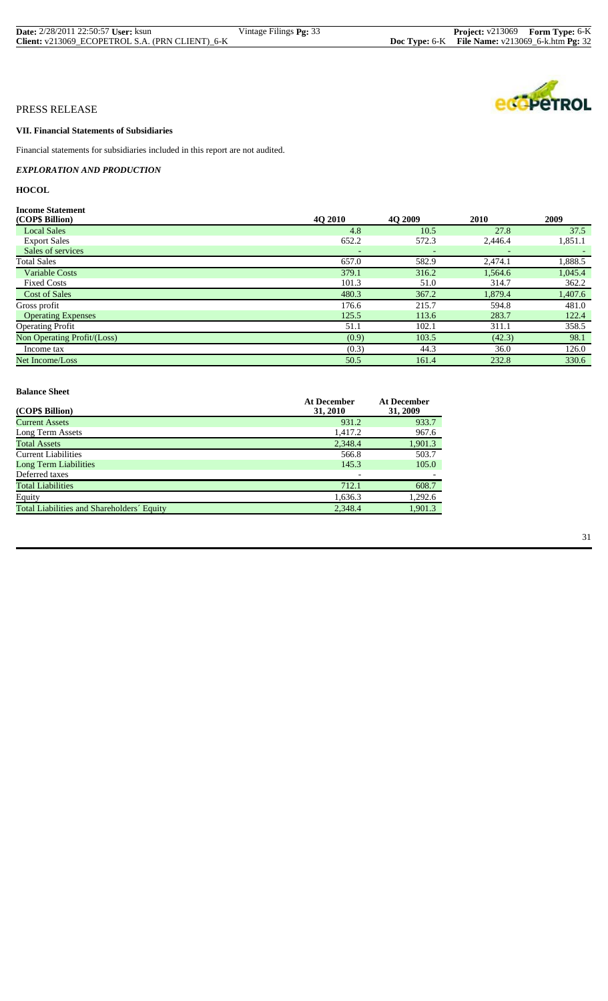| <b>Date:</b> 2/28/2011 22:50:57 <b>User:</b> ksun | Vintage Filings <b>Pg:</b> 33 | <b>Project:</b> v213069 Form Type: 6-K                 |  |
|---------------------------------------------------|-------------------------------|--------------------------------------------------------|--|
| Client: v213069_ECOPETROL S.A. (PRN CLIENT)_6-K   |                               | <b>Doc Type: 6-K</b> File Name: v213069_6-k.htm Pg: 32 |  |

# **VII. Financial Statements of Subsidiaries**

Financial statements for subsidiaries included in this report are not audited.

*EXPLORATION AND PRODUCTION*

# **HOCOL**

# **Income Statement**<br>
(CODE: D'il)

| (COP\$ Billion)<br>4Q 2010<br>2010<br><b>40 2009</b>    | 2009    |
|---------------------------------------------------------|---------|
| 10.5<br>27.8<br><b>Local Sales</b><br>4.8               | 37.5    |
| 652.2<br>572.3<br>2,446.4<br><b>Export Sales</b>        | 1,851.1 |
| Sales of services                                       |         |
| <b>Total Sales</b><br>657.0<br>582.9<br>2.474.1         | 1,888.5 |
| <b>Variable Costs</b><br>379.1<br>316.2<br>1,564.6      | 1,045.4 |
| 101.3<br><b>Fixed Costs</b><br>51.0<br>314.7            | 362.2   |
| <b>Cost of Sales</b><br>367.2<br>480.3<br>1,879.4       | 1,407.6 |
| 176.6<br>215.7<br>Gross profit<br>594.8                 | 481.0   |
| 125.5<br>113.6<br>283.7<br><b>Operating Expenses</b>    | 122.4   |
| <b>Operating Profit</b><br>51.1<br>102.1<br>311.1       | 358.5   |
| Non Operating Profit/(Loss)<br>(0.9)<br>103.5<br>(42.3) | 98.1    |
| (0.3)<br>44.3<br>36.0<br>Income tax                     | 126.0   |
| 50.5<br>161.4<br>232.8<br>Net Income/Loss               | 330.6   |

#### **Balance Sheet**

| (COP\$ Billion)                            | <b>At December</b><br>31, 2010 | <b>At December</b><br>31, 2009 |
|--------------------------------------------|--------------------------------|--------------------------------|
| <b>Current Assets</b>                      | 931.2                          | 933.7                          |
| Long Term Assets                           | 1,417.2                        | 967.6                          |
| <b>Total Assets</b>                        | 2,348.4                        | 1,901.3                        |
| <b>Current Liabilities</b>                 | 566.8                          | 503.7                          |
| <b>Long Term Liabilities</b>               | 145.3                          | 105.0                          |
| Deferred taxes                             |                                |                                |
| <b>Total Liabilities</b>                   | 712.1                          | 608.7                          |
| Equity                                     | 1,636.3                        | 1,292.6                        |
| Total Liabilities and Shareholders' Equity | 2.348.4                        | 1,901.3                        |

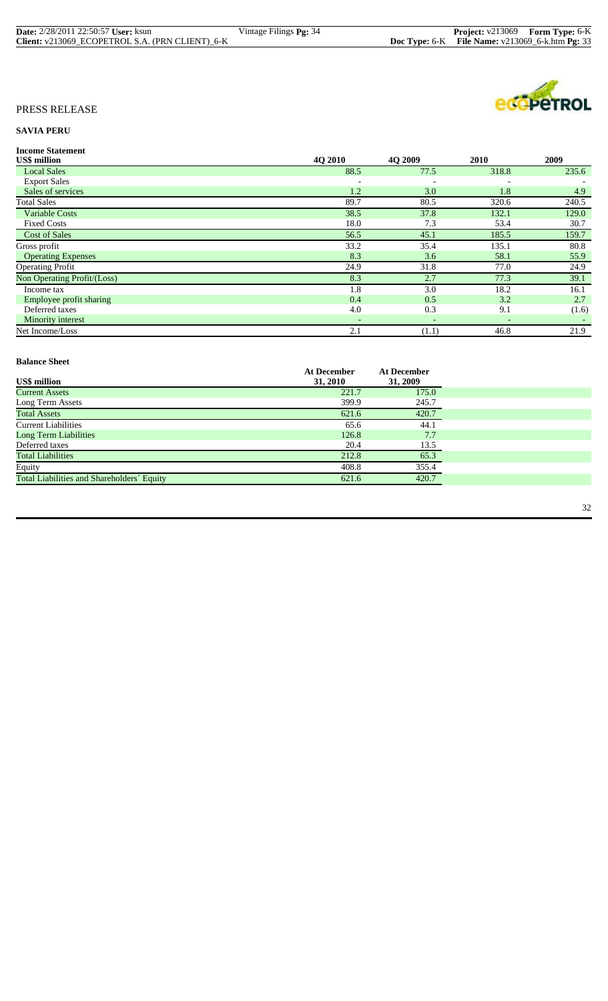| <b>Date:</b> 2/28/2011 22:50:57 User: ksun      | Vintage Filings <b>Pg:</b> 34 | <b>Project:</b> v213069 Form Type: 6-K            |
|-------------------------------------------------|-------------------------------|---------------------------------------------------|
| Client: v213069 ECOPETROL S.A. (PRN CLIENT) 6-K |                               | Doc Type: 6-K File Name: $v213069$ 6-k.htm Pg: 33 |



# **SAVIA PERU**

| <b>Income Statement</b> |
|-------------------------|
|                         |

| <b>US\$</b> million         | 4Q 2010                  | <b>4O 2009</b>           | 2010  | 2009  |
|-----------------------------|--------------------------|--------------------------|-------|-------|
| <b>Local Sales</b>          | 88.5                     | 77.5                     | 318.8 | 235.6 |
| <b>Export Sales</b>         | $\overline{\phantom{a}}$ |                          |       |       |
| Sales of services           | 1.2                      | 3.0                      | 1.8   | 4.9   |
| <b>Total Sales</b>          | 89.7                     | 80.5                     | 320.6 | 240.5 |
| <b>Variable Costs</b>       | 38.5                     | 37.8                     | 132.1 | 129.0 |
| <b>Fixed Costs</b>          | 18.0                     | 7.3                      | 53.4  | 30.7  |
| <b>Cost of Sales</b>        | 56.5                     | 45.1                     | 185.5 | 159.7 |
| Gross profit                | 33.2                     | 35.4                     | 135.1 | 80.8  |
| <b>Operating Expenses</b>   | 8.3                      | 3.6                      | 58.1  | 55.9  |
| <b>Operating Profit</b>     | 24.9                     | 31.8                     | 77.0  | 24.9  |
| Non Operating Profit/(Loss) | 8.3                      | 2.7                      | 77.3  | 39.1  |
| Income tax                  | 1.8                      | 3.0                      | 18.2  | 16.1  |
| Employee profit sharing     | 0.4                      | 0.5                      | 3.2   | 2.7   |
| Deferred taxes              | 4.0                      | 0.3                      | 9.1   | (1.6) |
| Minority interest           | $\overline{\phantom{a}}$ | $\overline{\phantom{a}}$ |       |       |
| Net Income/Loss             | 2.1                      | (1.1)                    | 46.8  | 21.9  |

#### **Balance Sheet Balance Sheet**

|                                            | <b>At December</b> | <b>At December</b> |
|--------------------------------------------|--------------------|--------------------|
| <b>US\$</b> million                        | 31, 2010           | 31, 2009           |
| <b>Current Assets</b>                      | 221.7              | 175.0              |
| Long Term Assets                           | 399.9              | 245.7              |
| <b>Total Assets</b>                        | 621.6              | 420.7              |
| <b>Current Liabilities</b>                 | 65.6               | 44.1               |
| <b>Long Term Liabilities</b>               | 126.8              | 7.7                |
| Deferred taxes                             | 20.4               | 13.5               |
| <b>Total Liabilities</b>                   | 212.8              | 65.3               |
| Equity                                     | 408.8              | 355.4              |
| Total Liabilities and Shareholders' Equity | 621.6              | 420.7              |
|                                            |                    |                    |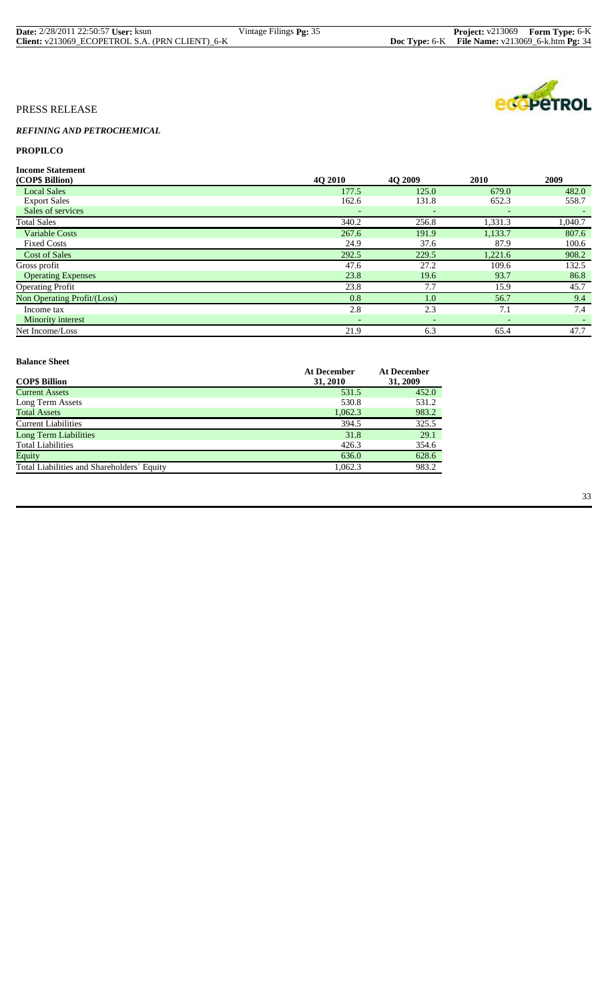| <b>Date:</b> 2/28/2011 22:50:57 User: ksun      | Vintage Filings <b>Pg:</b> 35 | <b>Project:</b> v213069 Form Type: 6-K                   |  |
|-------------------------------------------------|-------------------------------|----------------------------------------------------------|--|
| Client: v213069 ECOPETROL S.A. (PRN CLIENT) 6-K |                               | <b>Doc Type:</b> 6-K File Name: $v213069$ 6-k.htm Pg: 34 |  |



# *REFINING AND PETROCHEMICAL*

# **PROPILCO**

**Income Statement**

| (COP\$ Billion)             | 4Q 2010                  | 4O 2009                  | 2010                     | 2009                     |
|-----------------------------|--------------------------|--------------------------|--------------------------|--------------------------|
| <b>Local Sales</b>          | 177.5                    | 125.0                    | 679.0                    | 482.0                    |
| <b>Export Sales</b>         | 162.6                    | 131.8                    | 652.3                    | 558.7                    |
| Sales of services           | $\overline{\phantom{a}}$ |                          |                          |                          |
| <b>Total Sales</b>          | 340.2                    | 256.8                    | 1,331.3                  | 1,040.7                  |
| <b>Variable Costs</b>       | 267.6                    | 191.9                    | 1,133.7                  | 807.6                    |
| <b>Fixed Costs</b>          | 24.9                     | 37.6                     | 87.9                     | 100.6                    |
| <b>Cost of Sales</b>        | 292.5                    | 229.5                    | 1,221.6                  | 908.2                    |
| Gross profit                | 47.6                     | 27.2                     | 109.6                    | 132.5                    |
| <b>Operating Expenses</b>   | 23.8                     | 19.6                     | 93.7                     | 86.8                     |
| <b>Operating Profit</b>     | 23.8                     | 7.7                      | 15.9                     | 45.7                     |
| Non Operating Profit/(Loss) | 0.8                      | 1.0                      | 56.7                     | 9.4                      |
| Income tax                  | 2.8                      | 2.3                      | 7.1                      | 7.4                      |
| Minority interest           | $\sim$                   | $\overline{\phantom{a}}$ | $\overline{\phantom{0}}$ | $\overline{\phantom{0}}$ |
| Net Income/Loss             | 21.9                     | 6.3                      | 65.4                     | 47.7                     |

#### **Balance Sheet Balance Sheet**

| <b>COP\$ Billion</b>                       | <b>At December</b><br>31, 2010 | <b>At December</b><br>31, 2009 |
|--------------------------------------------|--------------------------------|--------------------------------|
| <b>Current Assets</b>                      | 531.5                          | 452.0                          |
| Long Term Assets                           | 530.8                          | 531.2                          |
| <b>Total Assets</b>                        | 1,062.3                        | 983.2                          |
| <b>Current Liabilities</b>                 | 394.5                          | 325.5                          |
| Long Term Liabilities                      | 31.8                           | 29.1                           |
| <b>Total Liabilities</b>                   | 426.3                          | 354.6                          |
| Equity                                     | 636.0                          | 628.6                          |
| Total Liabilities and Shareholders' Equity | 1.062.3                        | 983.2                          |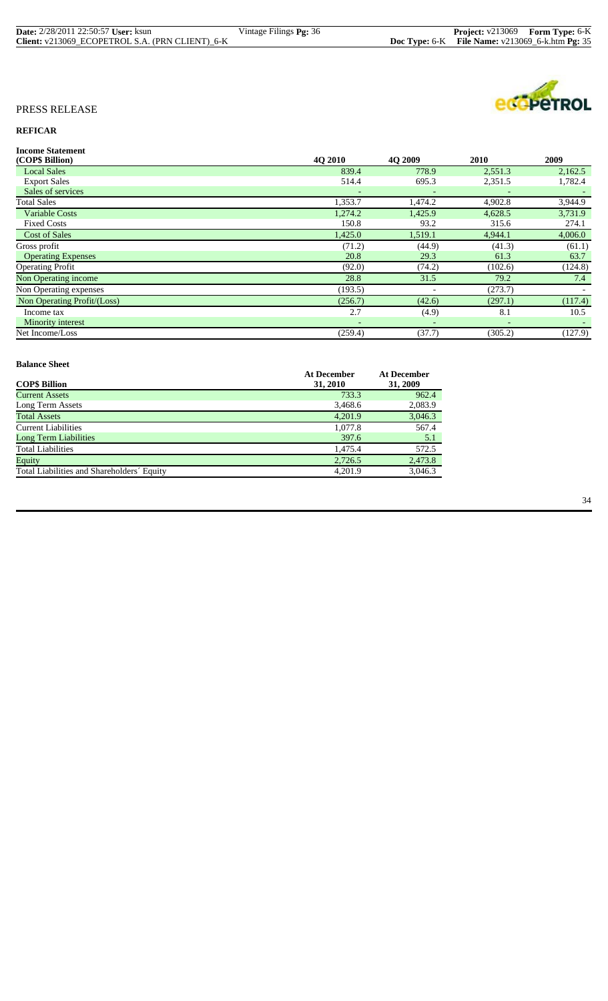| <b>Date:</b> 2/28/2011 22:50:57 User: ksun      | Vintage Filings <b>Pg:</b> 36 | <b>Project:</b> v213069 Form Type: 6-K               |  |
|-------------------------------------------------|-------------------------------|------------------------------------------------------|--|
| Client: v213069 ECOPETROL S.A. (PRN CLIENT) 6-K |                               | Doc Type: $6-K$ File Name: $v213069_6$ -k.htm Pg: 35 |  |



# **REFICAR**

| <b>Income Statement</b>     |         |         |         |         |
|-----------------------------|---------|---------|---------|---------|
| (COP\$ Billion)             | 4O 2010 | 4O 2009 | 2010    | 2009    |
| <b>Local Sales</b>          | 839.4   | 778.9   | 2,551.3 | 2,162.5 |
| <b>Export Sales</b>         | 514.4   | 695.3   | 2,351.5 | 1,782.4 |
| Sales of services           |         |         |         |         |
| <b>Total Sales</b>          | 1,353.7 | 1,474.2 | 4,902.8 | 3,944.9 |
| <b>Variable Costs</b>       | 1,274.2 | 1,425.9 | 4,628.5 | 3,731.9 |
| <b>Fixed Costs</b>          | 150.8   | 93.2    | 315.6   | 274.1   |
| <b>Cost of Sales</b>        | 1,425.0 | 1,519.1 | 4,944.1 | 4,006.0 |
| Gross profit                | (71.2)  | (44.9)  | (41.3)  | (61.1)  |
| <b>Operating Expenses</b>   | 20.8    | 29.3    | 61.3    | 63.7    |
| <b>Operating Profit</b>     | (92.0)  | (74.2)  | (102.6) | (124.8) |
| Non Operating income        | 28.8    | 31.5    | 79.2    | 7.4     |
| Non Operating expenses      | (193.5) |         | (273.7) |         |
| Non Operating Profit/(Loss) | (256.7) | (42.6)  | (297.1) | (117.4) |
| Income tax                  | 2.7     | (4.9)   | 8.1     | 10.5    |
| <b>Minority interest</b>    |         |         |         |         |
| Net Income/Loss             | (259.4) | (37.7)  | (305.2) | (127.9) |

#### **Balance Sheet Balance Sheet**

|                                            | <b>At December</b> | <b>At December</b> |
|--------------------------------------------|--------------------|--------------------|
| <b>COP\$ Billion</b>                       | 31, 2010           | 31, 2009           |
| <b>Current Assets</b>                      | 733.3              | 962.4              |
| Long Term Assets                           | 3,468.6            | 2,083.9            |
| <b>Total Assets</b>                        | 4.201.9            | 3,046.3            |
| Current Liabilities                        | 1,077.8            | 567.4              |
| Long Term Liabilities                      | 397.6              | 5.1                |
| <b>Total Liabilities</b>                   | 1.475.4            | 572.5              |
| Equity                                     | 2,726.5            | 2,473.8            |
| Total Liabilities and Shareholders' Equity | 4.201.9            | 3,046.3            |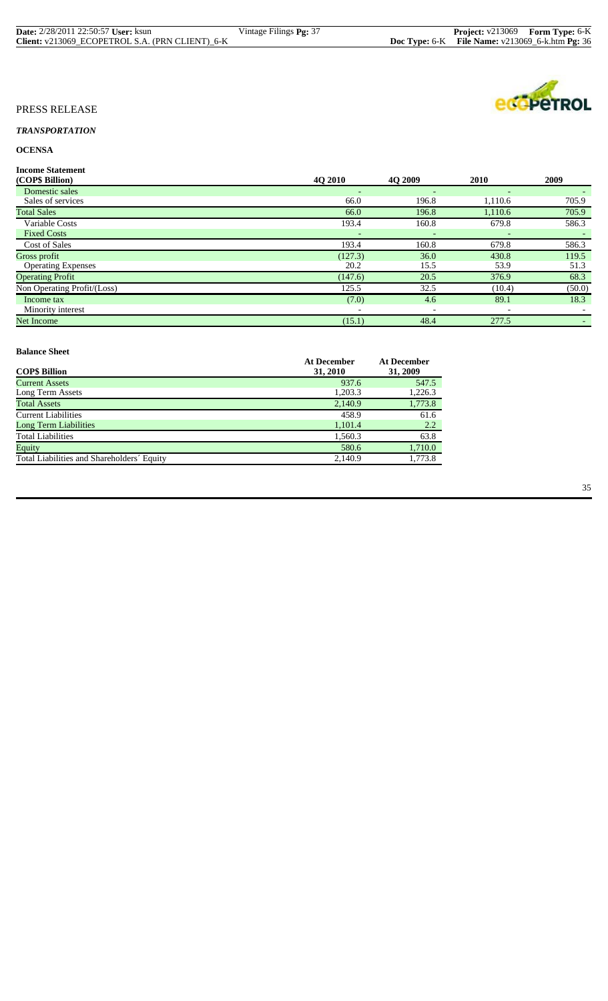| <b>Date:</b> 2/28/2011 22:50:57 <b>User:</b> ksun | Vintage Filings <b>Pg:</b> 37 | <b>Project:</b> v213069 Form Type: 6-K                   |  |
|---------------------------------------------------|-------------------------------|----------------------------------------------------------|--|
| Client: v213069 ECOPETROL S.A. (PRN CLIENT) 6-K   |                               | <b>Doc Type:</b> 6-K File Name: $v213069$ 6-k.htm Pg: 36 |  |

**eco**peTROL

# PRESS RELEASE

# *TRANSPORTATION*

# **OCENSA**

**Income Statement**

| (COP\$ Billion)             | 4Q 2010                  | <b>40 2009</b>           | 2010    | 2009   |
|-----------------------------|--------------------------|--------------------------|---------|--------|
| Domestic sales              | ٠                        | $\overline{\phantom{a}}$ |         |        |
| Sales of services           | 66.0                     | 196.8                    | 1,110.6 | 705.9  |
| <b>Total Sales</b>          | 66.0                     | 196.8                    | 1,110.6 | 705.9  |
| Variable Costs              | 193.4                    | 160.8                    | 679.8   | 586.3  |
| <b>Fixed Costs</b>          |                          |                          |         |        |
| <b>Cost of Sales</b>        | 193.4                    | 160.8                    | 679.8   | 586.3  |
| Gross profit                | (127.3)                  | 36.0                     | 430.8   | 119.5  |
| <b>Operating Expenses</b>   | 20.2                     | 15.5                     | 53.9    | 51.3   |
| <b>Operating Profit</b>     | (147.6)                  | 20.5                     | 376.9   | 68.3   |
| Non Operating Profit/(Loss) | 125.5                    | 32.5                     | (10.4)  | (50.0) |
| Income tax                  | (7.0)                    | 4.6                      | 89.1    | 18.3   |
| Minority interest           | $\overline{\phantom{0}}$ | $\overline{\phantom{a}}$ |         |        |
| Net Income                  | (15.1)                   | 48.4                     | 277.5   |        |
|                             |                          |                          |         |        |

#### **Balance Sheet**

| Daiance Sheet                              |                         |                         |
|--------------------------------------------|-------------------------|-------------------------|
| <b>COP\$ Billion</b>                       | At December<br>31, 2010 | At December<br>31, 2009 |
| <b>Current Assets</b>                      | 937.6                   | 547.5                   |
| Long Term Assets                           | 1,203.3                 | 1,226.3                 |
| <b>Total Assets</b>                        | 2,140.9                 | 1,773.8                 |
| <b>Current Liabilities</b>                 | 458.9                   | 61.6                    |
| <b>Long Term Liabilities</b>               | 1,101.4                 | 2.2                     |
| <b>Total Liabilities</b>                   | 1,560.3                 | 63.8                    |
| Equity                                     | 580.6                   | 1,710.0                 |
| Total Liabilities and Shareholders' Equity | 2.140.9                 | 1,773.8                 |
|                                            |                         |                         |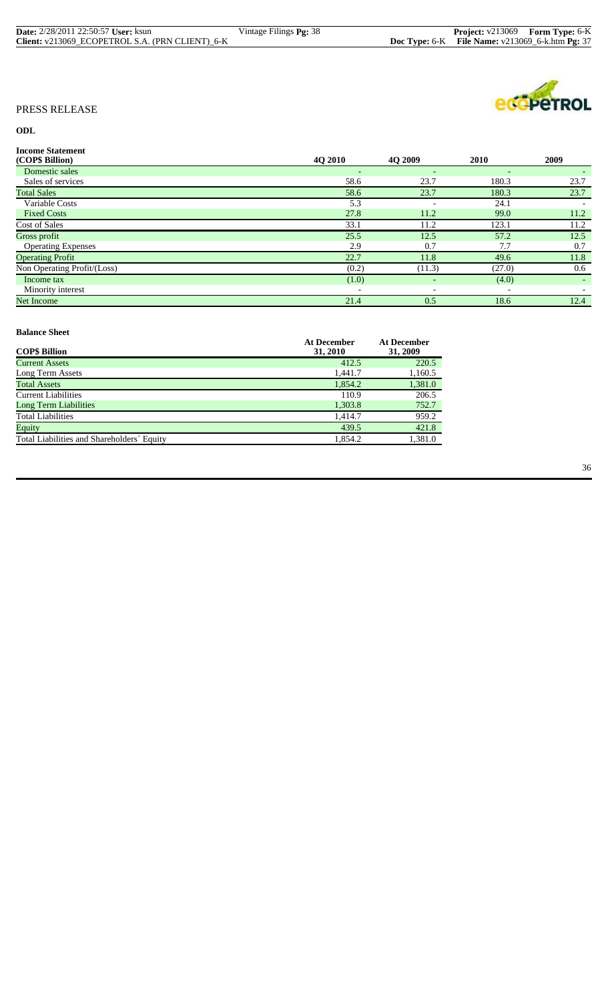| <b>Date:</b> 2/28/2011 22:50:57 <b>User:</b> ksun | Vintage Filings <b>Pg:</b> 38 | <b>Project:</b> v213069 Form Type: 6-K                   |  |
|---------------------------------------------------|-------------------------------|----------------------------------------------------------|--|
| Client: v213069 ECOPETROL S.A. (PRN CLIENT) 6-K   |                               | <b>Doc Type:</b> 6-K File Name: $v213069$ 6-k.htm Pg: 37 |  |



# **ODL**

| <b>Income Statement</b>     |                          |                          |                          |        |
|-----------------------------|--------------------------|--------------------------|--------------------------|--------|
| (COP\$ Billion)             | 4O 2010                  | <b>4O 2009</b>           | <b>2010</b>              | 2009   |
| Domestic sales              | $\qquad \qquad -$        | $\overline{\phantom{0}}$ | $\overline{\phantom{0}}$ | $\sim$ |
| Sales of services           | 58.6                     | 23.7                     | 180.3                    | 23.7   |
| <b>Total Sales</b>          | 58.6                     | 23.7                     | 180.3                    | 23.7   |
| Variable Costs              | 5.3                      |                          | 24.1                     |        |
| <b>Fixed Costs</b>          | 27.8                     | 11.2                     | 99.0                     | 11.2   |
| <b>Cost of Sales</b>        | 33.1                     | 11.2                     | 123.1                    | 11.2   |
| Gross profit                | 25.5                     | 12.5                     | 57.2                     | 12.5   |
| <b>Operating Expenses</b>   | 2.9                      | 0.7                      | 7.7                      | 0.7    |
| <b>Operating Profit</b>     | 22.7                     | 11.8                     | 49.6                     | 11.8   |
| Non Operating Profit/(Loss) | (0.2)                    | (11.3)                   | (27.0)                   | 0.6    |
| Income tax                  | (1.0)                    | $\overline{\phantom{a}}$ | (4.0)                    | $\sim$ |
| Minority interest           | $\overline{\phantom{a}}$ | $\overline{\phantom{a}}$ | $\overline{\phantom{0}}$ |        |
| Net Income                  | 21.4                     | 0.5                      | 18.6                     | 12.4   |

#### **Balance Sheet Balance Sheet**

|                                            | <b>At December</b> | <b>At December</b> |
|--------------------------------------------|--------------------|--------------------|
| <b>COP\$ Billion</b>                       | 31, 2010           | 31, 2009           |
| <b>Current Assets</b>                      | 412.5              | 220.5              |
| Long Term Assets                           | 1,441.7            | 1,160.5            |
| <b>Total Assets</b>                        | 1.854.2            | 1,381.0            |
| Current Liabilities                        | 110.9              | 206.5              |
| <b>Long Term Liabilities</b>               | 1,303.8            | 752.7              |
| <b>Total Liabilities</b>                   | 1.414.7            | 959.2              |
| Equity                                     | 439.5              | 421.8              |
| Total Liabilities and Shareholders' Equity | 1.854.2            | 1,381.0            |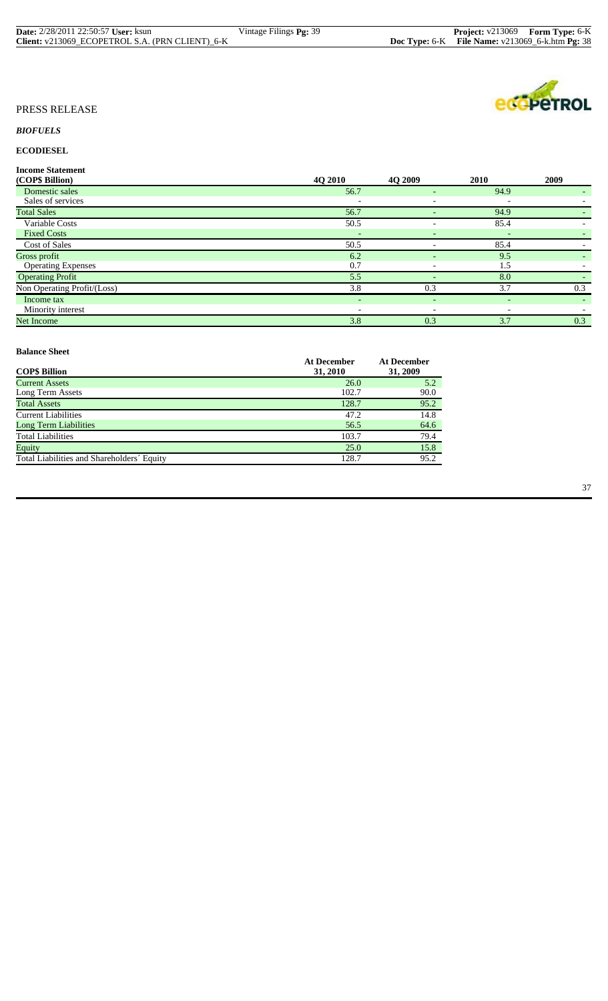| <b>Date:</b> 2/28/2011 22:50:57 User: ksun      | Vintage Filings <b>Pg:</b> 39 | <b>Project:</b> v213069 Form Type: 6-K               |  |
|-------------------------------------------------|-------------------------------|------------------------------------------------------|--|
| Client: v213069 ECOPETROL S.A. (PRN CLIENT) 6-K |                               | Doc Type: $6-K$ File Name: $v213069_6$ -k.htm Pg: 38 |  |

# *BIOFUELS*

# **ECODIESEL**

**Income Statement**

| (COP\$ Billion)             | 4Q 2010 | <b>40 2009</b>           | 2010 | 2009 |
|-----------------------------|---------|--------------------------|------|------|
| Domestic sales              | 56.7    | $\overline{\phantom{0}}$ | 94.9 | ۰.   |
| Sales of services           |         | $\overline{\phantom{0}}$ |      |      |
| <b>Total Sales</b>          | 56.7    |                          | 94.9 |      |
| Variable Costs              | 50.5    |                          | 85.4 |      |
| <b>Fixed Costs</b>          |         | $\overline{\phantom{a}}$ |      |      |
| Cost of Sales               | 50.5    |                          | 85.4 |      |
| Gross profit                | 6.2     | $\overline{\phantom{a}}$ | 9.5  | $-$  |
| <b>Operating Expenses</b>   | 0.7     |                          | 1.5  |      |
| <b>Operating Profit</b>     | 5.5     |                          | 8.0  |      |
| Non Operating Profit/(Loss) | 3.8     | 0.3                      | 3.7  | 0.3  |
| Income tax                  | $\sim$  | $\overline{\phantom{a}}$ | $-$  |      |
| Minority interest           |         |                          |      |      |
| Net Income                  | 3.8     | 0.3                      | 3.7  | 0.3  |

#### **Balance Sheet**

| Daiance Sheet                              |                                |                                |
|--------------------------------------------|--------------------------------|--------------------------------|
| <b>COP\$ Billion</b>                       | <b>At December</b><br>31, 2010 | <b>At December</b><br>31, 2009 |
| <b>Current Assets</b>                      | 26.0                           | 5.2                            |
| Long Term Assets                           | 102.7                          | 90.0                           |
| <b>Total Assets</b>                        | 128.7                          | 95.2                           |
| <b>Current Liabilities</b>                 | 47.2                           | 14.8                           |
| <b>Long Term Liabilities</b>               | 56.5                           | 64.6                           |
| <b>Total Liabilities</b>                   | 103.7                          | 79.4                           |
| Equity                                     | 25.0                           | 15.8                           |
| Total Liabilities and Shareholders' Equity | 128.7                          | 95.2                           |
|                                            |                                |                                |

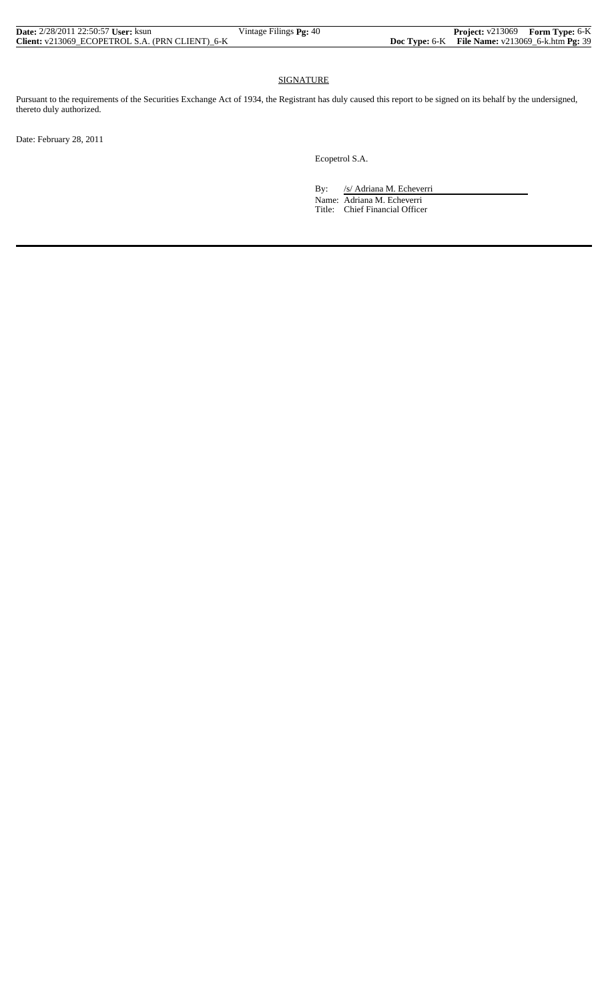| <b>Date:</b> 2/28/2011 22:50:57 <b>User:</b> ksun | Vintage Filings Pg: 40 |                                                      | <b>Project:</b> v213069 Form Type: 6-K |
|---------------------------------------------------|------------------------|------------------------------------------------------|----------------------------------------|
| Client: v213069 ECOPETROL S.A. (PRN CLIENT) 6-K   |                        | Doc Type: $6-K$ File Name: $v213069_6$ -k.htm Pg: 39 |                                        |

# SIGNATURE

Pursuant to the requirements of the Securities Exchange Act of 1934, the Registrant has duly caused this report to be signed on its behalf by the undersigned, thereto duly authorized.

Date: February 28, 2011

Ecopetrol S.A.

By: /s/ Adriana M. Echeverri

 Name: Adriana M. Echeverri Title: Chief Financial Officer